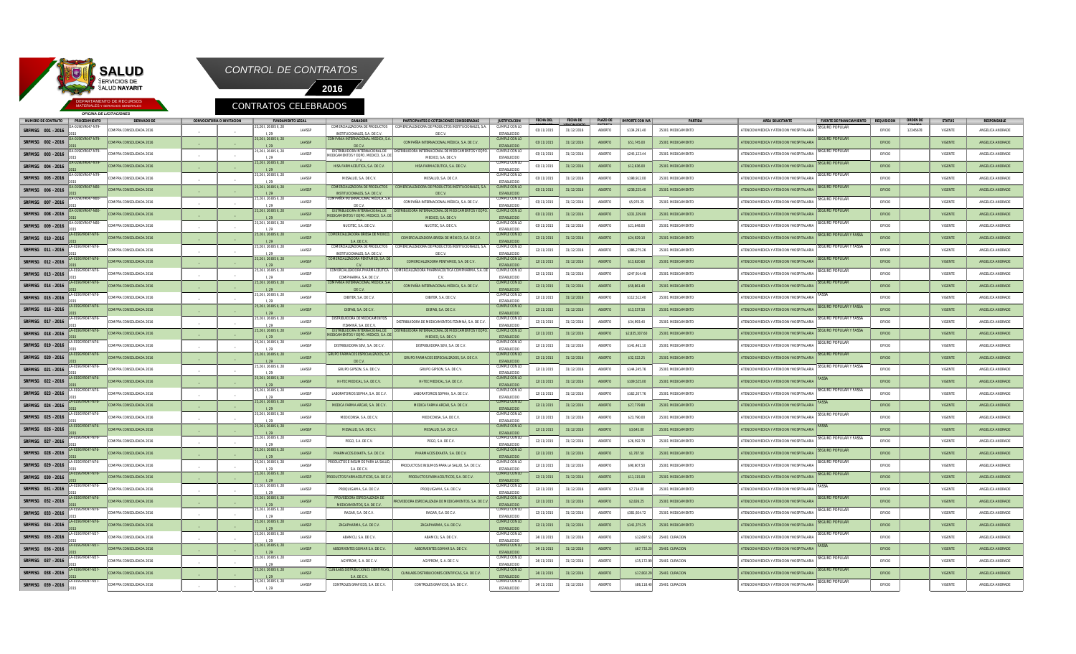

*OFICINA DE LICITACIONES*

MATERIALES Y SERVICIOS GENERALES

2015

\_

\_

I, 29



**SRFMSG 001 - 2016** 9GYR047-N79 2015 PRA CONSOLIDADA 2016 \_ \_ 25,26 I, 26 BIS II, 28 I, 29 25,26 I, 26 BIS II, 28 LAASSP COMERCIALIZADORA DE PRODUCTO INSTITUCIONALES, S.A. DE C. MERCIALIZADORA DE PRODUCTOS INSTITUCIONALES, S.A. DE C.V. CUMPLE CON LO **ESTABLECID** S134,291.40 25301 MEDICAMENTO **ABIERTO ABIERTO ATENCION ATENCION YHOSPITAL** EGURO POPULAR OFICIO 12345678 VIGENTE ANGELICA ANDRADE **SRFMSG 002 - 2016** OA-019GYR047-N79- 2015 COMPRA CONSOLIDADA 2016 I, 29 LAASSP COMPAÑÍA INTERNACIONAL MÉDICA, S.A. DE C.V. COMPAÑÍA INTERNACIONAL MÉDICA, S.A. DE C.V. CUMPLE CON LO ESTABLECIDO 03/11/2015 31/12/2016 ABIERTO \$51,745.00 25301 MEDICAMENTO ATENCION MEDICA Y ATENCION YHOSPITA D POPULAR OFICIO **I** VIGENTE ANGELICA ANDRADE **SRFMSG 003 - 2016** OA-019GYR047-N79- 2015 COMPRA CONSOLIDADA 2016  $\sim$  $\sim$ 25,26 I, 26 BIS II, 28 I, 29 25,26 I, 26 BIS II, 28 LAASSP DISTRIBUIDORA INTERNACIONAL DE MEDICAMENTOS Y EQPO. MEDICO, S.A. DE HISA FARMACELITICA S.A. DE C.V. RIBUIDORA INTERNACIONAL DE MEDICAME MEDICO, S.A. DE C.V CUMPLE CON LO **ESTABLECIDO** 03/11/2015 31/12/2016 ABIERTO \$245,123.44 25301 MEDICAMENTO ATENCION MEDICA Y ATENCION YHOSPITALARIA SEGURO POPULAR OFICIO **CONTE ANGELICA ANDRADE SRFMSG 004 - 2016** OA-019GYR047-N79- 2015 COMPRA CONSOLIDADA 2016 I, 29 LAASSP HISA FARMACEUTICA, S.A. DE C.V. HISA FARMACEUTICA, S.A. DE C.V. CUMPLE CON LO **ESTABLECID** 03/11/2015 31/12/2016 ABIERTO \$12,636.00 25301 MEDICAMENTO ATENCION MEDICA Y ATENCION YHOSPITALAI BODI II AI OFICIO **I** VIGENTE ANGELICA ANDRADE **SRFMSG 005 - 2016** OA-019GYR047-N79- 2015 COMPRA CONSOLIDADA 2016 \_ \_ 25,26 I, 26 BIS II, 28 I, 29 25,26 I, 26 BIS II, 28 LAASSP MESALUD, S.A. DE C.V. MESALUD, S.A. DE C.V. CUMPLE CON ESTABLECID 03/11/2015 31/12/2014 ABIERTO \$198,912.00 25301 MEDICAMENTO ATENCION MEDICA Y ATENCION MEDICA Y ATENCION YHOSPITALARI RO POPULAR OFICIO VIGENTE ANGELICA ANDRADE **SRFMSG 006 - 2016** OA-019GYR047-N80- 2015 COMPRA CONSOLIDADA 2016 I, 29 LAASSP CIALIZADORA DE PRODUCT INSTITUCIONALES, S.A. DE C.V. COMERCIALIZADORA DE PRODUCTOS INSTITUCIONALES, S.A. DE C.V. CUMPLE CON LO ESTABLECID 03/11/2015 31/12/2016 ABIERTO \$238,225.40 25301 MEDICAMENTO ATENCION MEDICA Y ATENCION YHOSPITALA SEGURO POPULAR OFICIO **CONTE ANGELICA ANDRADE SRFMSG 007 - 2016** OA-019GYR047-N80- 2015 COMPRA CONSOLIDADA 2016 \_ \_ 25,26 I, 26 BIS II, 28 I, 29 25,26 I, 26 BIS II, 28 LAASSP COMPAÑÍA INTERNACIONAL MÉDICA, S.A. DE C.V. COMPAÑÍA INTERNACIONAL MÉDICA, S.A. DE C.V. CUMPLE CON LO ESTABLECIDO 03/11/2015 31/12/2016 ABIERTO \$5,970.25 25301 MEDICAMENTO ATENCION MEDICA Y ATENCION YHOSPITALARIA **POPULAR** OFICIO | VIGENTE | ANGELICA ANDRADE **SRFMSG 008 - 2016** OA-019GYR047-N80- 2015 COMPRA CONSOLIDADA 2016 I, 29 LAASSP **IDORA INTERNACIONAL THE REAL PROPO.** MEDICO, S.A. LAASSP NUCITEC, S.A. DE C.V. NUCITEC, S.A. DE C.V. DISTRIBUIDORA INTERNACIONAL DE MEDICAMENTOS Y EQPO. MEDICO, S.A. DE C.V CUMPLE CON LO **ESTABLECIDO** 03/11/2015 31/12/2016 ABIERTO \$331,329.00 25301 MEDICAMENTO 3/11/2015 ATENCION MEDICA Y ATENCION YHOSPITALAI SEGURO POPULAR OFICIO **CONTE ANGELICA ANDRADE SRFMSG 009 - 2016** GYR047-N80 2015 COMPRA CONSOLIDADA 2016 \_ \_ 25,26 I, 26 BIS II, 28 I, 29 CUMPLE CON LO ESTABLECIDO 03/11/2015 31/12/2016 ABIERTO \$21,648.00 25301 MEDICAMENTO ATENCION MEDICA Y ATENCION YHOSPITALARIA EGURO POPULAR OFICIO VIGENTE ANGELICA ANDRADE **SRFMSG 010 - 2016** LA-019GYR047-N76- 2015 COMPRA CONSOLIDADA 2016 25,26 I, 26 BIS II, 28 I, 29 25,26 I, 26 BIS II, 28 LAASSP **IZADORA BRISSA DE M** S.A. DE C.V. COMERCIALIZADORA BRISSA DE MÉXICO, S.A. DE C.V. CUMPLE CON LO ESTABLECIDO 12/11/2015 31/12/2016 ABIERTO \$24,929.10 25301 MEDICAMENTO ATENCION MEDICA Y ATENCION YHOSPITALAR O POPULAR Y FAS OFICIO **CONTE ANGELICA ANDRADE SRFMSG 011 - 2016** LA-019GYR047-N76- 2015 COMPRA CONSOLIDADA 2016 \_ \_ I, 29 25,26 I, 26 BIS II, 28 LAASSP COMERCIALIZADORA DE PRODUCTOS INSTITUCIONALES, S.A. DE C.V. COMERCIALIZADORA DE PRODUCTOS INSTITUCIONALES, S.A. DE C.V. CUMPLE CON LO **ESTABLECIDO** 12/11/2015 31/12/2016 ABIERTO \$386,275.26 25301 MEDICAMENTO ATENCION MEDICA Y ATENCION YHOSPITALARIA EGURO POPULAR Y FASS OFICIO | VIGENTE | ANGELICA ANDRADE **SRFMSG 012 - 2016** LA-019GYR047-N76- 2015 COMPRA CONSOLIDADA 2016 I, 29 25,26 I, 26 BIS II, 28 LAASSP COMERCIALIZADORA PENTAMED, S.A. DE C.V. COMERCIALIZADORA PENTAMED, S.A. DE C.V. CUMPLE CON LO **ESTABLECID** 12/11/2015 31/12/2016 ABIERTO \$13,620.60 25301 MEDICAMENTO ATENCION MEDICA Y ATENCION YHOSPITALARI **JRO POPULAR** OFICIO **CONTE ANGELICA ANDRADE SRFMSG 013 - 2016** LA-019GYR047-N76- 2015 COMPRA CONSOLIDADA 2016 \_ \_ I, 29 25,26 I, 26 BIS II, 28 LAASSP COMERCIALIZADORA PHARMACEUTICA COMPHARMA, S.A. DE C.V COMERCIALIZADORA PHARMACEUTICA COMPHARMA, S.A. DE C.V. CUMPLE CON LO ESTABLECID 12/11/2015 31/12/2016 ABIERTO \$247,914.48 25301 MEDICAMENTO **ATENCION MEDICA Y ATENCION YHOSPITALARI GURO POPULAR** OFICIO | VIGENTE | ANGELICA ANDRADE **SRFMSG 014 - 2016** LA-019GYR047-N76- 2015 COMPRA CONSOLIDADA 2016 I, 29 25,26 I, 26 BIS II, 28 LAASSP COMPAÑÍA INTERNACIONAL MÉDICA, S.A. DE C.V. COMPAÑÍA INTERNACIONAL MÉDICA, S.A. DE C.V. CUMPLE CON LO ESTABLECIDO 12/11/2015 31/12/2016 ABIERTO \$59,861.40 25301 MEDICAMENTO ATENCION MEDICA Y ATENCION YHOSPITALARIA **OPULAR** OFICIO **CONTE ANGELICA ANDRADE SRFMSG 015 - 2016** LA-019GYR047-N76- 2015 COMPRA CONSOLIDADA 2016 \_ \_ I, 29 25,26 I, 26 BIS II, 28 LAASSP DIBITER, S.A. DE C.V. DIBITER, S.A. DE C.V. CUMPLE CON LO ESTABLECID 12/11/2015 31/12/2016 ABIERTO \$112,512.40 25301 MEDICAMENTO ATENCION MEDICA Y ATENCION YHOSPITALARIA FASSA OFICIO | VIGENTE | ANGELICA ANDRADE **SRFMSG 016 - 2016** LA-019GYR047-N76- 2015 COMPRA CONSOLIDADA 2016 I, 29 LAASSP **DISFAB, S.A. DE C.V. DISFAB, S.A. DE C.V.** CUMPLE CON LO **ESTABLECIDO** 12/11/2015 31/12/2016 ABIERTO \$13,537.50 25301 MEDICAMENTO ATENCION MEDICA Y ATENCION YHOSPITALARIA POPULAR Y F OFICIO **CONTE ANGELICA ANDRADE SRFMSG 017 - 2016** LA-019GYR047-N76- 2015 COMPRA CONSOLIDADA 2016 \_ \_ 25,26 I, 26 BIS II, 28 I, 29 25,26 I, 26 BIS II, 28 LAASSP DISTRIBUIDORA DE MEDICAMENTOS ITZAMNÁ, S.A. DE C.V. DISTRIBUIDORA DE MEDICAMENTOS ITZAMNÁ, S.A. DE C.V. UMPLE CON L ESTABLECIDO 12/11/2015 31/12/2016 ABIERTO \$34,993.40 25301 MEDICAMENTO ATENCION MEDICA Y ATENCION YHOSPITALARIA EGURO POPULAR Y FASSA OFICIO VIGENTE ANGELICA ANDRADE **SRFMSG 018 - 2016** LA-019GYR047-N76- 2015 COMPRA CONSOLIDADA 2016 I, 29 LAASSP DISTRIBUIDORA INTERNACIONAL DE MEDICAMENTOS Y EQPO. MEDICO, S.A. DE LAASSP DISTRIBUIDORA SEVI, S.A. DE C.V. DISTRIBUIDORA SEVI, S.A. DE C.V. **UDORA INTERNACIONAL DE MEDICAMENTOS** MEDICO, S.A. DE C.V CUMPLE CON LO **ESTABLECIDO** 12/12/2016 ABIERTO \$2,835,307.60 25301 MEDICAMENTO ATENCION MEDICA Y ATENCION MEDICA Y ATENCION YHOSPITALARI ) POPULAR Y FASS OFICIO VIGENTE ANGELICA ANDRADE **SRFMSG 019 - 2016** LA-019GYR047-N76- 2015 COMPRA CONSOLIDADA 2016 \_ \_ 25,26 I, 26 BIS II, 28 I, 29 25,26 I, 26 BIS II, 28 CUMPLE CON LO **ESTABLECID** 12/11/2015 31/12/2016 ABIERTO \$141,461.10 25301 MEDICAMENTO ATENCION MEDICA Y ATENCION YHOSPITALARIA SEGURO POPULAR OFICIO VIGENTE ANGELICA ANDRADE **SRFMSG 020 - 2016** LA-019GYR047-N76- 2015 COMPRA CONSOLIDADA 2016 I, 29 LAASSP **PMACOS ESPECIALIZADOS** DE C.V. GRUPO FARMACOS ESPECIALIZADOS, S.A. DE C.V. LIMPLE CO **ESTABLECID** ABIERTO \$32,522.25 3301 MEDICAMENTO ATENCION MEDICA Y ATENCION YHOSPITALARIARIA **DOPULAR** OFICIO **CONTE ANGELICA ANDRADE SRFMSG 021 - 2016** LA-019GYR047-N76- 2015 COMPRA CONSOLIDADA 2016 \_ \_ 25,26 I, 26 BIS II, 28 I, 29 25,26 I, 26 BIS II, 28 LAASSP GRUPO GIPSON, S.A. DE C.V. GRUPO GIPSON, S.A. DE C.V. CUMPLE CON LO ESTABLECIDO 12/11/2015 31/12/2016 ABIERTO \$144,245.76 25301 MEDICAMENTO ATENCION MEDICA Y ATENCION YHOSPITALARIA SEGURO POPULAR Y FASSA OFICIO VIGENTE ANGELICA ANDRADE **SRFMSG 022 - 2016** LA-019GYR047-N76- 2015 COMPRA CONSOLIDADA 2016 I, 29 25,26 I, 26 BIS II, 28 LAASSP HI-TEC MEDICAL, S.A. DE C.V. HI-TEC MEDICAL, S.A. DE C.V. CUMPLE CON LO **ESTABLECID** 12/11/2015 31/12/2016 ABIERTO \$109,525.00 25301 MEDICAMENTO ATENCION MEDICA Y ATENCION YHOSPITALARIA FASSA OFICIO **CONTE ANGELICA ANDRADE SRFMSG 023 - 2016** R047-N76 2015 COMPRA CONSOLIDADA 2016 \_ \_ I, 29 25,26 I, 26 BIS II, 28 LAASSP LABORATORIOS SOPHIA, S.A. DE C.V. LABORATORIOS SOPHIA, S.A. DE C.V. CUMPLE CON L ESTABLECIDO 12/11/2015 31/12/2016 ABIERTO \$162,207.76 25301 MEDICAMENTO ATENCION MEDICA Y ATENCION YHOSPITALARIA URO POPULAR Y FASS OFICIO VIGENTE ANGELICA ANDRADE **SRFMSG 024 - 2016** LA-019GYR047-N76- 2015 COMPRA CONSOLIDADA 2016 I, 29 25,26 I, 26 BIS II, 28 LAASSP MEDICA FARMA ARCAR, S.A. DE C.V. MEDICA FARMA ARCAR, S.A. DE C.V. CUMPLE CON **ESTABLECID** 12/12/2016 ABIERTO \$27,779.80 25301 MEDICAMENTO ATENCION MEDICA Y ATENCION YHOSPITALAI FASSA OFICIO **CONTE ANGELICA ANDRADE SRFMSG 025 - 2016** LA-019GYR047-N76- 2015 COMPRA CONSOLIDADA 2016 \_ \_ I, 29 LAASSP MEDICONSA, S.A. DE C.V. MEDICONSA, S.A. DE C.V. CUMPLE CON LO ESTABLECIDO 12/11/2015 31/12/2016 ABIERTO \$23,790.00 25301 MEDICAMENTO ATENCION MEDICA Y ATENCION YHOSPITALARIA SURO POPULAR OFICIO VIGENTE ANGELICA ANDRADE **SRFMSG 026 - 2016** LA-019GYR047-N76- 2015 COMPRA CONSOLIDADA 2016 25,26 I, 26 BIS II, 28 I, 29 25,26 I, 26 BIS II, 28 LAASSP MESALUD, S.A. DE C.V. SALUD, S.A. DE C.V. CUMPLE CON LO ESTABLECID 12/11/2015 31/12/2016 ABIERTO \$3,645.00 25301 MEDICAMENTO ATENCION MEDICA Y ATENCION YHOSPITALARIA FASSA OFICIO | VIGENTE | ANGELICA ANDRADE **SRFMSG 027 - 2016** LA-019GYR047-N76- 2015 COMPRA CONSOLIDADA 2016 \_ \_ I, 29 25,26 I, 26 BIS II, 28 LAASSP **PEGO SA DE C.V. PEGO, S.A. DE C.V. PEGO, S.A. DE C.V.** CUMPLE CON LO **ESTABLECIDO** 12/11/2015 31/12/2016 ABIERTO \$26,592.70 25301 MEDICAMENTO ATENCION MEDICA Y ATENCION YHOSPITALARIA **SURO POPULAR Y FASS** OFICIO **CONTENTE ANGELICA ANDRADE SRFMSG 028 - 2016** LA-019GYR047-N76- 2015 COMPRA CONSOLIDADA 2016 I, 29 LAASSP PHARMACOS EXAKTA, S.A. DE C.V. PHARMACOS EXAKTA, S.A. DE C.V. CUMPLE CON LO **ESTABLECID** 12/11/2015 31/12/2016 ABIERTO \$1,787.50 \$1,787.50 25301 MEDICAMENTO ATENCION MEDICA Y ATENCION YHOSPITALARI SEGURO POPULAR OFICIO | VIGENTE | ANGELICA ANDRADE **SRFMSG 029 - 2016** LA-019GYR047-N76- 2015 MPRA CONSOLIDADA 2016 \_ \_ 25,26 I, 26 BIS II, 28 I, 29 25,26 I, 26 BIS II, 28 **LAASSP** PRODUCTOS E INSUMOS PARA LA SALUD, S.A. DE C.V. PRODUCTOS E INSUMOS PARA LA SALUD, S.A. DE C.V. CUMPLE CON LO ESTABLECIDO 12/11/2015 31/12/2016 ABIERTO \$90,607.50 25301 MEDICAMENTO ATENCION MEDICA Y ATENCION YHOSPITALARIA SEGURO POPULAR OFICIO | VIGENTE | ANGELICA ANDRADE **SRFMSG 030 - 2016** LA-019GYR047-N76- 2015 COMPRA CONSOLIDADA 2016 I, 29 25,26 I, 26 BIS II, 28 LAASSP PRODUCTOS FARMACEUTICOS, S.A. DE C.V. PRODUCTOS FARMACEUTICOS, S.A. DE C.V. CUMPLE CON LO **ESTABLECIDO** 12/11/2015 31/12/2016 ABIERTO \$11,115.00 25301 MEDICAMENTO ATENCION MEDICA Y ATENCION YHOSPITALARIA URO POPULAR OFICIO **CONTE ANGELICA ANDRADE SRFMSG 031 - 2016** LA-019GYR047-N76- 2015 COMPRA CONSOLIDADA 2016 \_ \_ I, 29 25,26 I, 26 BIS II, 28 LAASSP PROQUIGAMA, S.A. DE C.V. PROQUIGAMA, S.A. DE C.V. CUMPLE CON LO ESTABLECIDO 12/11/2015 31/12/2016 ABIERTO \$7,714.00 25301 MEDICAMENTO ATENCION MEDICA Y ATENCION YHOSPITALARIA FASSA OFICIO VIGENTE ANGELICA ANDRADE **SRFMSG 032 - 2016** LA-019GYR047-N76- 2015 COMPRA CONSOLIDADA 2016 I, 29 25,26 I, 26 BIS II, 28 LAASSP **EDORA ESPECIALIZADA D** MEDICAMENTOS, S.A. DE C.V. **PEDORA ESPECIALIZADA DE MEDICAMENTOS, S.A. DE C.** CUMPLE CON **ESTABLECIDO** 12/11/2015 31/12/2016 ABIERTO \$2,826.25 25301 MEDICAMENTO ATENCION MEDICA Y ATENCION MEDICA Y ATENCION YHOSPITALAR SO POPULAR OFICIO VIGENTE ANGELICA ANDRADE **SRFMSG 033 - 2016** LA-019GYR047-N76- 2015 COMPRA CONSOLIDADA 2016 \_ \_ I, 29 25,26 I, 26 BIS II, 28 LAASSP RAGAR, S.A. DE C.V. RAGAR, S.A. DE C.V. CUMPLE CON LO ESTABLECID 12/11/2015 31/12/2016 ABIERTO \$381,924.72 25301 MEDICAMENTO ATENCION MEDICA Y ATENCION YHOSPITALARIA SEGURO POPULAR OFICIO VIGENTE ANGELICA ANDRADE **SRFMSG 034 - 2016** LA-019GYR047-N76- 2015 COMPRA CONSOLIDADA 2016 I, 29 25,26 I, 26 BIS II, 28 LAASSP **ZAGAPHARMA, S.A. DE C.V. ZAGAPHARMA, S.A. DE C.V.** CUMPLE CON LO ESTABLECID 12/11/2015 31/12/2016 ABIERTO \$141,375.25 25301 MEDICAMENTO ATENCION MEDICA Y ATENCION YHOSPITALARIA SEGURO POPULAR OFICIO **CONTE ANGELICA ANDRADE SRFMSG 035 - 2016** LA-019GYR047-N57- 2015 COMPRA CONSOLIDADA 2016  $\overline{\phantom{a}}$  $\overline{\phantom{a}}$ I, 29 25,26 I, 26 BIS II, 28 LAASSP ABAMCU, S.A. DE C.V. ABAMCU, S.A. DE C.V. CUMPLE CON LO ESTABLECIDO 24/11/2015 31/12/2016 ABIERTO \$12,697.51 25401 CURACION ATENCION MEDICA Y ATENCION YHOSPITALARIA SEGURO POPULAR OFICIO VIGENTE ANGELICA ANDRADE **SRFMSG 036 - 2016** LA-019GYR047-N57- 2015 COMPRA CONSOLIDADA 2016 I, 29 LAASSP ABSORVENTES GOMAR S.A. DE C.V. ABSORVENTES GOMAR S.A. DE C.V. CUMPLE CON LO **ESTABLECIDO** 24/11/2015 31/12/2016 ABIERTO \$67,733.20 25401 CURACION ATENCION MEDICA Y ATENCION YHOSPITALARIA FASSA OFICIO **CONTE ANGELICA ANDRADE SRFMSG 037 - 2016** LA-019GYR047-N57- 2015 COMPRA CONSOLIDADA 2016 \_ \_ 25,26 I, 26 BIS II, 28 I, 29 25,26 I, 26 BIS II, 28 LAASSP **AGYPROM, S. A. DE C. V. AGYPROM, S. A. DE C. V.** CUMPLE CON L ESTABLECIDO 24/11/2015 31/12/2016 ABIERTO \$15,172.99 25401 CURACION ATENCION MEDICA Y ATENCION YHOSPITALARIA RO POPULA OFICIO VIGENTE ANGELICA ANDRADE **SRFMSG 038 - 2016** LA-019GYR047-N57- 2015 COMPRA CONSOLIDADA 2016 I, 29 25,26 I, 26 BIS II, 28 LAASSP **CIRIBUCIONES CIENT** S.A. DE C.V. CLINILABS DISTRIBUCIONES CIENTIFICAS, S.A. DE C.V. CUMPLE CON LO **ESTABLECID** 24/11/2015 31/12/2016 ABIERTO \$17,802.29 25401 CURACION ATENCION MEDICA Y ATENCION YHOSPITALARIA **RO POPULAR** OFICIO **CONTE ANGELICA ANDRADE SRFMSG 039 - 2016** LA-019GYR047-N57- COMPRA CONSOLIDADA 2016 LAASSP CONTROLES GRAFICOS, S.A. DE C.V. CONTROLES GRAFICOS, S.A. DE C.V. CUMPLE CON LO 24/11/2015 31/12/2016 ABIERTO \$86,118.40 25401 CURACION ATENCION MEDICA Y ATENCION YHOSPITALARIA JRO POPULAI OFICIO VIGENTE ANGELICA ANDRADE NUMERO DE CONTRATO | PROCEDIMIENTO | DERIVADO DE | CONVOCATORIA O INVITACION | FUNDAMENTO LEGAL | GANADOR | PARTICIPANTES O COTIZACIONES CONSIDERADAS | JUSTIFICACION 03/11/2015 **FECHA DEL FECHA DE |**  $31/12/2016$ **PLAZO DE | IMPORTE CON IVA ABIERTO PARTIDA AREA SOLICITANTE FUENTE DE FINANCIAMIENTO REQUISICION ORDEN DE RESPONSABLE COMPRA STATUS**

ESTABLECIDO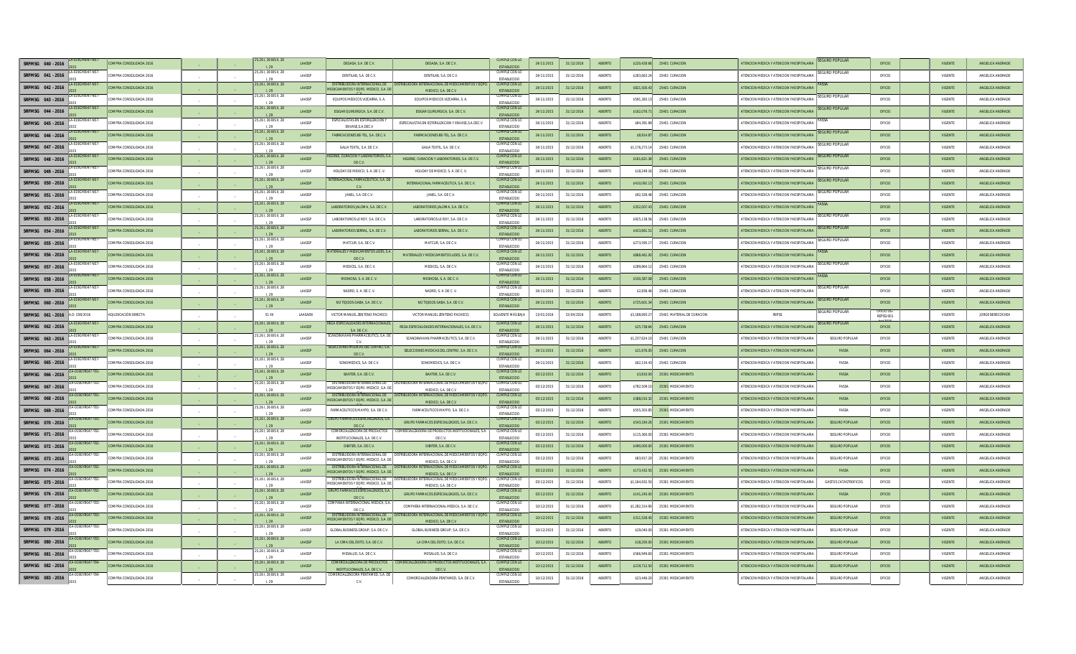| SRFMSG 040 - 2016 |                | <b>DMPRA CONSOLIDADA 2016</b> |                | ,26 I, 26 BIS II, 28           | LAASSE        | DEGASA, S.A. DE C.V.                                                          | DEGASA, S.A. DE C.V.                                                        | CUMPLE CON LI<br><b>ESTABLECIDO</b>        | 24/11/2019 | 31/12/2016 | ABIERTO        | \$220.428.6   | 25401 CURACION             | <b>TENCION MEDICA Y ATENCION YHOSPITALARI</b> | EGURO POPULAR               | OFICIO                       | VIGENTE        | ANGELICA ANDRADE |
|-------------------|----------------|-------------------------------|----------------|--------------------------------|---------------|-------------------------------------------------------------------------------|-----------------------------------------------------------------------------|--------------------------------------------|------------|------------|----------------|---------------|----------------------------|-----------------------------------------------|-----------------------------|------------------------------|----------------|------------------|
| SRFMSG 041 - 2016 |                | OMPRA CONSOLIDADA 2016        |                | 5,261, 26 BIS II, 28<br>1.20   | <b>LAASSP</b> | DENTILAR S.A. DEC.V.                                                          | DENTILAR S.A. DEC.V.                                                        | CUMPLE CON LC<br><b>ESTABLECIDO</b>        | 24/11/2015 | 31/12/2016 | ARIERTO        | \$283,663.2   | 25401 CURACION             | ATENCION MEDICA Y ATENCION YHOSPITALARIA      | <b>EGURO POPULAR</b>        | OFICIO                       | VIGENTE        | ANGELICA ANDRADE |
| SRFMSG 042 - 2016 |                | OMPRA CONSOLIDADA 2016        |                | 5,261, 26 BIS II, 28           | LAASSP        | DISTRIBUIDORA INTERNACIONAL DI<br>MEDICAMENTOS Y EQPO, MEDICO, S.A. DE        | MEDICO S A DE C.V.                                                          | CUMPLE CON LC<br><b>ESTABLECIDO</b>        | 24/11/2015 | 31/12/2016 | <b>ABIERTO</b> | \$821,500.43  | 25401 CURACION             | ATENCION MEDICA Y ATENCION YHOSPITALARIA      |                             | OFICIO                       | <b>VIGENTE</b> | ANGELICA ANDRADE |
| SREMSG 043 - 2016 |                | OMPRA CONSOLIDADA 2016        |                | 261.26 BIS II. 28              | LAASSP        | EQUIPOS MEDICOS VIZCARRA. S. A.                                               | EQUIPOS MEDICOS VIZCARRA, S. A.                                             | <b>CUMPLE CON LC</b><br><b>ESTABLECID</b>  | 24/11/2015 | 31/12/2016 | ABIERTO        | \$591,383.1   | 25401 CURACION             | ATENCION MEDICA Y ATENCION YHOSPITALARIA      | <b>GURO POPULAR</b>         | OFICIO                       | VIGENTE        | ANGELICA ANDRADE |
| SRFMSG 044 - 2016 |                | OMPRA CONSOLIDADA 2016        |                | 5,261, 26 BIS II, 28<br>1.29   | LAASSE        | ESIGAR QUIRURGICA, S.A. DE C.V.                                               | ESIGAR QUIRURGICA, S.A. DE C.V.                                             | <b>CUMPLE CON LO</b><br>ESTABLECIDO        | 24/11/2015 | 31/12/2016 | <b>ABIERTO</b> | \$162,076.7   | 25401 CURACION             | ATENCION MEDICA Y ATENCION YHOSPITALARIA      | <b>EGURO POPULAR</b>        | OFICIO                       | VIGENTE        | ANGELICA ANDRADE |
| SRFMSG 045 - 2016 |                | MPRA CONSOLIDADA 2016         |                | 261, 26 BIS II, 28             | LAASSE        | ENVASE S.A.DEC.Y                                                              | ESPECIALISTAS EN ESTERILIZACION Y ENVASE,S.A.DEC.V                          | CUMPLE CON LC<br><b>ESTABLECIDO</b>        | 24/11/2015 | 31/12/2016 | ABIERTO        | \$84,391.     | 25401 CURACION             | ATENCION MEDICA Y ATENCION YHOSPITALARI       |                             | OFICIO                       | VIGENTE        | ANGELICA ANDRADE |
| SRFMSG 046 - 2016 |                | <b>DMPRA CONSOLIDADA 2016</b> |                | 25, 26 I, 26 BIS II, 28        | <b>LAASSP</b> | FABRICACIONES BE-TEL, S.A. DE C.V                                             | FABRICACIONES BE-TEL. S.A. DE C.V.                                          | <b>CUMPLE CON LC</b><br>ESTABLECIDO        | 24/11/2015 | 31/12/201  | ABIERTO        | \$8,914.87    | 25401 CURACION             | ATENCION MEDICA Y ATENCION YHOSPITALARIA      | <b>GURO POPULAI</b>         | OFICIO                       | VIGENTE        | ANGELICA ANDRADI |
| SRFMSG 047 - 2016 |                | MPRA CONSOLIDADA 2016         |                | 5.26 L 26 BIS IL 28<br>1.29    | <b>LAASSP</b> | GALIA TEXTIL. S.A. DE C.V.                                                    | GALIA TEXTIL. S.A. DE C.V.                                                  | CUMPLE CON LI<br><b>ESTABLECIDO</b>        | 24/11/2015 | 31/12/2016 | ARIFRTO        | \$1,176,273.  | 25401 CURACION             | ATENCION MEDICA Y ATENCION YHOSPITALARIA      | <b>GURO POPULA</b>          | OFICIO                       | VIGENTE        | ANGELICA ANDRADE |
| SREMSG 048 - 2016 | <b>R047-N5</b> | OMPRA CONSOLIDADA 2016        |                | 25.26 I. 26 BIS II. 28         | <b>LAASSP</b> | <b>IIGIENE, CURACION Y LABORATORIOS, S</b><br>DE C.V.                         | HIGIENE, CURACION Y LABORATORIOS, S.A. DE C.V.                              | <b>CUMPLE CON LO</b><br>ESTABLECIDO        | 24/11/2015 | 31/12/2016 | <b>ABIERTO</b> | \$161,621.3   | 25401 CURACION             | ATENCION MEDICA Y ATENCION YHOSPITALARIA      | <b>GURO POPULAR</b>         | OFICIO                       | VIGENTE        | ANGELICA ANDRADE |
| SRFMSG 049 - 2016 | 9GYR047-N57    | <b>DMPRA CONSOLIDADA 2016</b> |                | 5.26 L 26 BIS IL 28            | LAASSE        | HOLIDAY DE MEXICO, S. A. DE C. V                                              | HOLIDAY DE MEXICO, S. A. DE C. V.                                           | CUMPLE CON LO<br>ESTABLECIDO               | 24/11/2015 | 31/12/2016 | ABIERTO        | \$18,249.1    | 25401 CURACION             | ATENCION MEDICA Y ATENCION YHOSPITALARIA      | SEGURO POPULAR              | OFICIO                       | VIGENTE        | ANGELICA ANDRADE |
| SRFMSG 050 - 2016 |                | MPRA CONSOLIDADA 2016         |                | 261, 26 BIS II,                | LAASSP        | ERNACIONAL FARMACEUTICA, S.A. I                                               | INTERNACIONAL FARMACEUTICA, S.A. DE C.V.                                    | CUMPLE CON LC<br>ESTABLECIDO               | 24/11/2015 | 31/12/2016 | ABIERTO        | \$410,092.    | 25401 CURACION             | ATENCION MEDICA Y ATENCION YHOSPITALARI       | <b>GURO POPULAI</b>         | OFICIO                       | VIGENTE        | ANGELICA ANDRADE |
| SRFMSG 051 - 2016 |                | OMPRA CONSOLIDADA 2016        |                | 25,261, 26 BIS II, 28          | <b>LAASSP</b> | JANEL, S.A. DE C.V.                                                           | JANEL, S.A. DE C.V.                                                         | <b>CUMPLE CON L</b><br><b>ESTABLECIDE</b>  | 24/11/2015 | 31/12/201  | ABIERTO        | \$92,328.48   | 25401 CURACION             | ATENCION MEDICA Y ATENCION YHOSPITALARIA      | <b>SURO POPULA</b>          | OFICIO                       | VIGENTE        | ANGELICA ANDRADE |
| SRFMSG 052 - 2016 |                | OMPRA CONSOLIDADA 2016        |                | 5.26 I. 26 BIS II. 28          | <b>LAASSE</b> | LABORATORIOS JALOMA, S.A. DE C.V                                              | LABORATORIOS JALOMA, S.A. DE C.V.                                           | CUMPLE CON LI<br>ESTABLECIDO               | 24/11/2015 | 31/12/201  | ARIERTO        | \$352,007.4   | 25401 CURACION             | ATENCION MEDICA Y ATENCION YHOSPITALARIA      |                             | OFICIO                       | <b>VIGENTE</b> | ANGELICA ANDRADE |
| SREMSG 053 - 2016 | 9GYR047-N57    | OMPRA CONSOLIDADA 2016        |                | 5.26 L 26 BIS II. 28<br>1.29   | LAASSP        | LABORATORIOS LE ROY. S.A. DE C.V.                                             | LABORATORIOS LE ROY. S.A. DE C.V.                                           | CUMPLE CON LO<br>ESTABLECIDO               | 24/11/2015 | 31/12/2016 | ABIERTO        | \$925,138.56  | 25401 CURACION             | ATENCION MEDICA Y ATENCION YHOSPITALARIA      | <b>GURO POPULAR</b>         | OFICIO                       | VIGENTE        | ANGELICA ANDRADE |
| SRFMSG 054 - 2016 |                | OMPRA CONSOLIDADA 2016        |                | 5.26 I. 26 BIS II. 28<br>1.29  | LAASSP        | LABORATORIOS SERRAL, S.A. DE C.V.                                             | LABORATORIOS SERRAL, S.A. DE C.V.                                           | <b>CUMPLE CON LO</b><br>ESTABLECIDO        | 24/11/2015 | 31/12/2016 | <b>ABIERTO</b> | \$423,661.5   | 25401 CURACION             | ATENCION MEDICA Y ATENCION YHOSPITALARIA      | GURO POPULAI                | OFICIO                       | <b>VIGENTE</b> | ANGELICA ANDRADI |
| SRFMSG 055 - 2016 |                | OMPRA CONSOLIDADA 2016        | $\overline{a}$ | 261, 26 BIS II, 28             | LAASSE        | MATCUR, S.A. DE C.V.                                                          | MATCUR, S.A. DE C.V                                                         | CUMPLE CON LC<br>ESTABLECIDO               | 24/11/201  | 31/12/2016 | ABIERTO        | \$273,595.    | 25401 CURACION             | ATENCION MEDICA Y ATENCION YHOSPITALARI       | GURO POPULAR                | OFICIO                       | VIGENTE        | ANGELICA ANDRADE |
| SRFMSG 056 - 2016 |                | OMPRA CONSOLIDADA 2016        |                | 5,261, 26 BIS II, 28           | LAASSP        | <b>IALES Y MEDICAMENTOS LIDES,</b><br>DE C.V.                                 | MATERIALES Y MEDICAMENTOS LIDES, S.A. DE C.V.                               | <b>CUMPLE CON LO</b><br>ESTABLECIDO        | 24/11/2015 | 31/12/2016 | <b>ABIERTO</b> | \$868,461.0   | 25401 CURACION             | ATENCION MEDICA Y ATENCION YHOSPITALARIA      |                             | OFICIO                       | <b>VIGENTE</b> | ANGELICA ANDRADE |
| SRFMSG 057 - 2016 |                | MPRA CONSOLIDADA 2016         |                | 5 26 1 26 BIS IL 28            | <b>LAASSP</b> | MEDICEL, S.A. DE C.V.                                                         | MEDICEL S.A. DE C.V.                                                        | CUMPLE CON LC<br><b>ESTABLECIDO</b>        | 24/11/2015 | 31/12/2016 | ARIFRTO        | \$289,864.1   | 25401 CURACION             | ATENCION MEDICA Y ATENCION YHOSPITALARIA      | <b>GURO POPULA</b>          | OFICIO                       | VIGENTE        | ANGELICA ANDRADE |
| SREMSG 058 - 2016 |                | COMPRA CONSOLIDADA 2016       |                | 5.26 L 26 BIS IL 28            | LAASSP        | MEXHOSA, S. A. DE C. V.                                                       | MEXHOSA, S. A. DE C. V.                                                     | <b>CUMPLE CON LO</b><br><b>ESTABLECIDO</b> | 24/11/2015 | 31/12/2016 | <b>ABIERTO</b> | \$530,387.08  | 25401 CURACION             | ATENCION MEDICA Y ATENCION YHOSPITALARIA      |                             | OFICIO                       | <b>VIGENTE</b> | ANGELICA ANDRADE |
| SREMSG 059 - 2016 | 9GYR047-N5     | <b>DMPRA CONSOLIDADA 2016</b> |                | 5,261, 26 BIS II, 28           | <b>LAASSP</b> | NADRO, S. A. DE C. V.                                                         | NADRO, S. A. DE C. V.                                                       | CUMPLE CON LC<br>ESTABLECIDO               | 24/11/2015 | 31/12/2016 | ABIERTO        | \$2,836.4     | 25401 CURACION             | ATENCION MEDICA Y ATENCION YHOSPITALARIA      | <b>EGURO POPULAI</b>        | OFICIO                       | VIGENTE        | ANGELICA ANDRADE |
| SRFMSG 060 - 2016 |                | DMPRA CONSOLIDADA 2016        |                | 26 I, 26 BIS II, 28            | LAASSE        | NO TEJIDOS GABA, S.A. DE C.V.                                                 | NO TEJIDOS GABA, S.A. DE C.V.                                               | <b>CUMPLE CON LO</b><br>ESTABLECIDO        | 24/11/2015 | 31/12/2016 | ABIERTO        | \$725,601.3   | 25401 CURACION             | ATENCION MEDICA Y ATENCION YHOSPITALARI       | GURO POPULAR                | OFICIO                       | VIGENTE        | ANGELICA ANDRADE |
| SRFMSG 061 - 2016 | A.D. 038/2016  | JUDICACIÓN DIRECTA            |                | 51 XII                         | LAASAEN       | VICTOR MANUEL ZENTENO PACHECO                                                 | VICTOR MANUEL ZENTENO PACHECO                                               | SOLVENTE MÁS BAJA                          | 13/01/2016 | 15/04/201  | ABIERTO        | \$3,188,693.2 | 25401 MATERIAL DE CURACION | <b>REPSS</b>                                  | Suro popular                | OFICIO D<br><b>REPSS/001</b> | VIGENTE        | JORGE BERECOCHEA |
| SRFMSG 062 - 2016 |                | OMPRA CONSOLIDADA 2016        |                | 5 26   26 BIS   28             | <b>LAASSP</b> | <b>CA ESPECIALIDADES INTERNACIONA</b><br>SA DECV                              | REGA ESPECIALIDADES INTERNACIONALES S.A. DEC.V                              | CLIMPLE CON LI<br><b>ESTABLECIDO</b>       | 24/11/2015 | 31/12/201  | ARIERTO        | \$25,738.64   | 25401 CURACION             | ATENCION MEDICA Y ATENCION YHOSPITALARIA      | <b>GURO POPULAR</b>         | OFICIO                       | <b>VIGENTE</b> | ANGELICA ANDRADE |
| SREMSG 063 - 2016 |                | <b>DMPRA CONSOLIDADA 2016</b> |                | 261, 26 BIS II, 28<br>1.29     | LAASSP        | CANDINAVIAN PHARMACEUTICS, S.A.<br>C.V.                                       | SCANDINAVIAN PHARMACEUTICS, S.A. DE C.V.                                    | CUMPLE CON LC<br>ESTABLECIDO               | 24/11/2015 | 31/12/2016 | ABIERTO        | \$1,237,624.1 | 25401 CURACION             | ATENCION MEDICA Y ATENCION YHOSPITALARIA      | SEGURO POPULAR              | OFICIO                       | VIGENTE        | ANGELICA ANDRADE |
| SRFMSG 064 - 2016 |                | OMPRA CONSOLIDADA 2016        |                | 5,261, 26 BIS II, 28           | <b>LAASSP</b> | SELECCIONES MEDICAS DEL CENTRO, S<br>DE C.V.                                  | SELECCIONES MEDICAS DEL CENTRO, S.A. DE C.V.                                | <b>CUMPLE CON LC</b><br>ESTABLECIDO        | 24/11/2015 | 31/12/2016 | ABIERTO        | \$21,676.0    | 25401 CURACION             | ATENCION MEDICA Y ATENCION YHOSPITALARI       | <b>FASSA</b>                | OFICIO                       | VIGENTE        | ANGELICA ANDRADI |
| SRFMSG 065 - 2016 |                | OMPRA CONSOLIDADA 2016        |                | ,261, 26 BIS II, 28            | LAASSE        | SONOMEDICS, S.A. DE C.V.                                                      | SONOMEDICS, S.A. DE C.V.                                                    | CUMPLE CON LC<br><b>ESTABLECID</b>         | 24/11/2015 | 31/12/2016 | ABIERTO        | \$62,134.4    | 25401 CURACION             | ATENCION MEDICA Y ATENCION YHOSPITALARIA      | FASSA                       | OFICIO                       | VIGENTE        | ANGELICA ANDRADE |
| SRFMSG 066 - 2016 |                | MPRA CONSOLIDADA 201          |                | 15,261, 26 BIS II, 28          | LAASSP        | BAXTER, S.A. DE C.V.                                                          | BAXTER, S.A. DE C.V.                                                        | <b>CUMPLE CON LC</b><br><b>ESTABLECIDO</b> | 03/12/2015 | 31/12/201  | ABIERTO        | \$3,810.0     | 25301 MEDICAMENTO          | ATENCION MEDICA Y ATENCION YHOSPITALARI       | FASSA                       | OFICIO                       | VIGENTE        | ANGELICA ANDRAD  |
| SRFMSG 067 - 2016 |                | MPRA CONSOLIDADA 2016         |                | 5,261, 26 BIS II, 28           | LAASSP        | DISTRIBUIDORA INTERNACIONAL DI<br>MEDICAMENTOS Y EQPO. MEDICO. S.A. DE        | DISTRIBUIDORA INTERNACIONAL DE MEDICAMENTOS Y EQPO<br>MEDICO S A DE C!      | CUMPLE CON LI<br><b>ESTABLECTDO</b>        | 03/12/2015 | 31/12/201  | ARIFRTO        | \$782,509.    | 25301 MEDICAMENTO          | ATENCION MEDICA Y ATENCION YHOSPITALARI       | FASSA                       | OFICIO                       | VIGENTE        | ANGELICA ANDRADI |
| SREMSG 068 - 2016 |                | OMPRA CONSOLIDADA 2016        |                | 25.26 I. 26 BIS II. 28         | <b>LAASSP</b> | DISTRIBUIDORA INTERNACIONAL DE<br>MEDICAMENTOS Y EQPO, MEDICO, S.A. DE        | TRIBLIIDORA INTERNACIONAL DE MEDICAMENTOS Y FOPO<br>MEDICO, S.A. DE C.V.    | CHMPLE CON LO<br>ESTABLECIDO               | 03/12/2015 | 31/12/2016 | ARIERTO        | \$388,010.32  | 25301 MEDICAMENTO          | ATENCION MEDICA Y ATENCION YHOSPITALARIA      | <b>FASSA</b>                | OFICIO                       | <b>VIGENTE</b> | ANGELICA ANDRADE |
| SRFMSG 069 - 2016 | 19GYR047-T81   | <b>DMPRA CONSOLIDADA 2016</b> |                | 25.26 I. 26 BIS II. 28<br>1.29 | LAASSP        | FARMACEUTICOS MAYPO, S.A. DE C.V                                              | FARMACEUTICOS MAYPO, S.A. DE C.V.                                           | CUMPLE CON LO<br><b>ESTABLECIDO</b>        | 03/12/2015 | 31/12/2016 | ABIERTO        | \$555,303.85  | 25301 MEDICAMENTO          | ATENCION MEDICA Y ATENCION YHOSPITALARIA      | FASSA                       | OFICIO                       | VIGENTE        | ANGELICA ANDRADE |
| SRFMSG 070 - 2016 |                | OMPRA CONSOLIDADA 2016        |                | 261, 26 BIS II, 28             | LAASSP        | GRUPO FARMACOS ESPECIALIZADOS, S.A<br>DE C.V.                                 | GRUPO FARMACOS ESPECIALIZADOS, S.A. DE C.V.                                 | <b>CUMPLE CON LO</b><br>ESTABLECIDO        | 03/12/2015 | 31/12/2016 | <b>ABIERTO</b> | \$543,184.2   | 25301 MEDICAMENTO          | ATENCION MEDICA Y ATENCION YHOSPITALARI       | <b>SEGURO POPULAR</b>       | OFICIO                       | VIGENTE        | ANGELICA ANDRADE |
| SRFMSG 071 - 2016 |                | OMPRA CONSOLIDADA 2016        | $\sim$         | 261, 26 BIS II, 28             | LAASSP        | COMERCIALIZADORA DE PRODUCTO<br>INSTITUCIONALES, S.A. DE C.V.                 | OMERCIALIZADORA DE PRODUCTOS INSTITUCIONALES S.A<br>DE C.V.                 | <b>CUMPLE CON LI</b><br><b>ESTABLECIDO</b> | 03/12/2015 | 31/12/2016 | ABIERTO        | \$115,360.0   | 25301 MEDICAMENTO          | ATENCION MEDICA Y ATENCION YHOSPITALARI       | <b>SEGURO POPULAR</b>       | OFICIO                       | VIGENTE        | ANGELICA ANDRADI |
| SRFMSG 072 - 2016 |                | OMPRA CONSOLIDADA 2016        |                | 5,261, 26 BIS II, 28           | <b>LAASSE</b> | DIBITER, S.A. DE C.V                                                          | DIBITER, S.A. DE C.V                                                        | CLIMPLE CON I<br>ESTABLECIDO               | 03/12/2015 | 31/12/201  | ABIERTO        | \$490,000.0   | 25301 MEDICAMENTO          | ATENCION MEDICA Y ATENCION YHOSPITALAR        | <b>SEGURO POPULAR</b>       | OFICIO                       | VIGENTE        | ANGELICA ANDRADE |
| SRFMSG 073 - 2016 | 9GYR047-T82    | MPRA CONSOLIDADA 2016         |                | 5.26 L 26 BIS II. 28           | <b>LAASSP</b> | DISTRIBUIDORA INTERNACIONAL DE<br>MEDICAMENTOS Y EQPO, MEDICO, S.A. DE        | DISTRIBUIDORA INTERNACIONAL DE MEDICAMENTOS Y EOPO<br>MEDICO S A DE C V     | CHIMPLE CON LC<br><b>ESTABLECIDO</b>       | 03/12/2015 | 31/12/2016 | ARIFRTO        | \$83,917.20   | 25301 MEDICAMENTO          | ATENCION MEDICA Y ATENCION YHOSPITALARIA      | SEGURO POPULAR              | OEICIO                       | VIGENTE        | ANGELICA ANDRADE |
| SRFMSG 074 - 2016 |                | OMPRA CONSOLIDADA 2016        |                | 5.26 L 26 BIS IL 28<br>129     | LAASSP        | DISTRIBUIDORA INTERNACIONAL DE<br><b>IEDICAMENTOS Y EQPO, MEDICO, S.A. DI</b> | A INTERNACIONAL DE MEDICAMENTOS Y EQPO<br>MEDICO, S.A. DE C.V.              | CUMPLE CON LC<br>ESTABLECIDO               | 03/12/2015 | 31/12/2016 | ABIERTO        | \$173,432.5   | 25301 MEDICAMENTO          | ATENCION MEDICA Y ATENCION YHOSPITALAR        | FASSA                       | OFICIO                       | <b>VIGENTE</b> | ANGELICA ANDRADI |
| SRFMSG 075 - 2016 | GYR047-T82     | OMPRA CONSOLIDADA 2016        |                | 261, 26 BIS II, 28             | <b>LAASSP</b> | DISTRIBUIDORA INTERNACIONAL DE<br>MEDICAMENTOS Y EQPO. MEDICO, S.A. DE        | STRIBUIDORA INTERNACIONAL DE MEDICAMENTOS Y EQPO<br>MEDICO, S.A. DE C.V.    | CUMPLE CON LO<br><b>ESTABLECID</b>         | 03/12/2015 | 31/12/2016 | ABIERTO        | \$1,164,932.5 | 25301 MEDICAMENTO          | ATENCION MEDICA Y ATENCION YHOSPITALARIA      | <b>GASTOS CATASTROFICOS</b> | OFICIO                       | VIGENTE        | ANGELICA ANDRADE |
| SRFMSG 076 - 2016 |                | OMPRA CONSOLIDADA 2016        |                | 25, 26 I, 26 BIS II, 28        | <b>LAASSP</b> | ARMACOS ESPECIALIZADOS. S.A.<br>DE C.V.                                       | GRUPO FARMACOS ESPECIALIZADOS, S.A. DE C.V.                                 | <b>CUMPLE CON LC</b><br>ESTABLECIDO        | 03/12/2015 | 31/12/2016 | ABIERTO        | \$141,240.0   | 25301 MEDICAMENTO          | ATENCION MEDICA Y ATENCION YHOSPITALARI       | FASSA                       | OFICIO                       | VIGENTE        | ANGELICA ANDRADI |
| SRFMSG 077 - 2016 |                | MPRA CONSOLIDADA 2016         |                | 261, 26 BIS II, 28<br>1.20     | <b>LAASSP</b> | OMPAÑÍA INTERNACIONAL MÉDICA. S<br>DE C.V.                                    | COMPAÑÍA INTERNACIONAL MÉDICA. S.A. DE C.V.                                 | CUMPLE CON LC<br><b>ESTABLECIDO</b>        | 10/12/2015 | 31/12/2016 | ARIFRTO        | \$1,282,314.9 | 25301 MEDICAMENTO          | ATENCION MEDICA Y ATENCION YHOSPITALARIA      | SEGURO POPULAR              | OFICIO                       | VIGENTE        | ANGELICA ANDRADE |
| SREMSG 078 - 2016 |                | COMPRA CONSOLIDADA 2016       |                | 25.261, 26 BIS II, 28          | <b>LAASSP</b> | DISTRIBUIDORA INTERNACIONAL DE<br>MEDICAMENTOS Y EQPO, MEDICO, S.A. DI        | DISTRIBUIDORA INTERNACIONAL DE MEDICAMENTOS Y EQPO.<br>MEDICO, S.A. DE C.V. | CUMPLE CON LO<br><b>ESTABLECIDE</b>        | 10/12/2015 | 31/12/2016 | ARIFRTO        | \$311,528.40  | 25301 MEDICAMENTO          | ATENCION MEDICA Y ATENCION YHOSPITALARIA      | SEGURO POPULAR              | OFICIO                       | <b>VIGENTE</b> | ANGELICA ANDRADE |
| SRFMSG 079 - 2016 |                | OMPRA CONSOLIDADA 2016        |                | 25.26 L 26 BIS II. 28<br>120   | LAASSP        | GLOBAL BUSINESS GROUP, S.A. DE C.\                                            | GLOBAL BUSINESS GROUP, S.A. DE C.V.                                         | CUMPLE CON LC<br>ESTABLECIDO               | 10/12/2015 | 31/12/2016 | ABIERTO        | \$29,040.00   | 25301 MEDICAMENTO          | ATENCION MEDICA Y ATENCION YHOSPITALARIA      | <b>SEGURO POPULAR</b>       | OFICIO                       | VIGENTE        | ANGELICA ANDRADE |
| SRFMSG 080 - 2016 |                | OMPRA CONSOLIDADA 2016        |                | 261, 26 BIS II, 28<br>120      | LAASSP        | LA CIMA DEL ÉXITO, S.A. DE C.V.                                               | LA CIMA DEL ÉXITO, S.A. DE C.V.                                             | <b>CUMPLE CON LO</b><br>ESTABLECIDO        | 10/12/2015 | 31/12/2016 | ABIERTO        | \$18,200.00   | 25301 MEDICAMENTO          | ATENCION MEDICA Y ATENCION YHOSPITALARIA      | <b>SEGURO POPULAR</b>       | OFICIO                       | VIGENTE        | ANGELICA ANDRADE |
| SRFMSG 081 - 2016 |                | MPRA CONSOLIDADA 2016         |                | 5,261, 26 BIS II, 28           | LAASSE        | MESALUD, S.A. DE C.V.                                                         | MESALUD, S.A. DE C.V.                                                       | CUMPLE CON LC<br><b>ESTABLECID</b>         | 10/12/2015 | 31/12/201  | ABIERTO        | \$566,949.6   | 25301 MEDICAMENTO          | ATENCION MEDICA Y ATENCION YHOSPITALARI       | <b>SEGURO POPULAR</b>       | OFICIO                       | VIGENTE        | ANGELICA ANDRADI |
| SRFMSG 082 - 2016 |                | OMPRA CONSOLIDADA 2016        |                | 5.26 I. 26 BIS II. 28          | LAASSE        | <b>IMERCIALIZADORA DE PRODUCTO</b><br>INSTITUCIONALES, S.A. DE C.V.           | COMERCIALIZADORA DE PRODUCTOS INSTITUCIONALES, S.A.<br>DEC.V.               | CUMPLE CON L<br><b>ESTABLECIDO</b>         | 10/12/201  | 31/12/201  | ABIERTO        | \$219,712.    | 25301 MEDICAMENTO          | ATENCION MEDICA Y ATENCION YHOSPITALAI        | <b>SEGURO POPULAR</b>       | OFICIO                       | VIGENTE        | ANGELICA ANDRADE |
| SRFMSG 083 - 2016 |                | OMPRA CONSOLIDADA 2016        |                | 5,261, 26 BIS II, 28<br>1.29   | <b>LAASSP</b> | OMERCIALIZADORA PENTAMED, S.A. D                                              | COMERCIALIZADORA PENTAMED S.A. DEC.V.                                       | CUMPLE CON LC<br><b>ESTABLECIDO</b>        | 10/12/2015 | 31/12/2016 | ARIFRTO        | \$23,446.20   | 25301 MEDICAMENTO          | ATENCION MEDICA Y ATENCION YHOSPITALARIA      | SEGURO POPULAR              | OFICIO                       | VIGENTE        | ANGELICA ANDRADE |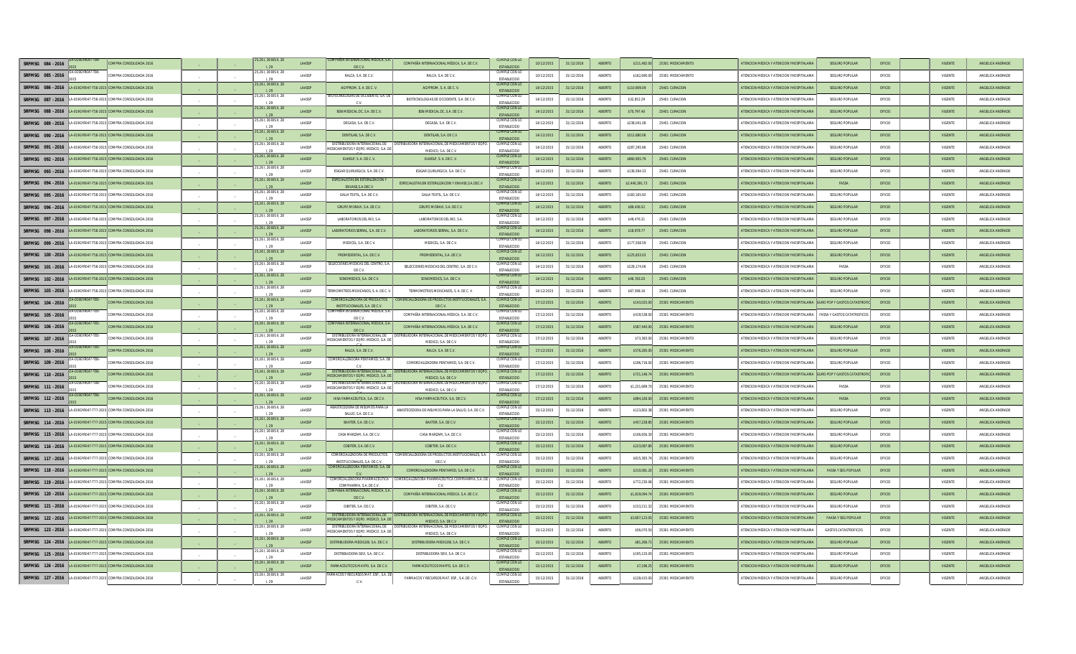| SRFMSG 084 - 2016 |                | OMPRA CONSOLIDADA 2016                                           |                | ,261, 26 BIS II, 28           | LAASSP        | VTERNACIONAL MÉDICA, S.                                                 | COMPAÑÍA INTERNACIONAL MÉDICA, S.A. DE C.V.                                                               | CUMPLE CON LC<br><b>ESTABLECIDO</b>        | 10/12/2015 | 31/12/2016 | ABIERTO | \$211,482.0    | 25301 MEDICAMENTO | <b>ITENCION MEDICA Y ATENCION YHOSPITALARI</b>                       | <b>SEGURO POPULAL</b>              | OFICIO | VIGENTI        | ANGELICA ANDRADE |
|-------------------|----------------|------------------------------------------------------------------|----------------|-------------------------------|---------------|-------------------------------------------------------------------------|-----------------------------------------------------------------------------------------------------------|--------------------------------------------|------------|------------|---------|----------------|-------------------|----------------------------------------------------------------------|------------------------------------|--------|----------------|------------------|
| SRFMSG 085 - 2016 | -019GYR047-T84 | COMPRA CONSOLIDADA 2016                                          |                | 5,261, 26 BIS II, 28<br>1.20  | <b>LAASSP</b> | RALCA, S.A. DE C.V.                                                     | RAICA SA DECV                                                                                             | CUMPLE CON LC<br><b>ESTABLECIDO</b>        | 10/12/2015 | 31/12/2016 | ARIFRTO | \$162,690.00   | 25301 MEDICAMENTO | ATENCION MEDICA Y ATENCION YHOSPITALARIA                             | SEGURO POPULAR                     | OEICIO | VIGENTE        | ANGELICA ANDRADE |
| SRFMSG 086 - 2016 |                | LA-019GYR047-T58-2015 COMPRA CONSOLIDADA 2016                    |                | 5,261, 26 BIS II, 28          | LAASSP        | AGYPROM. S. A. DE C. V.                                                 | AGYPROM. S. A. DE C. V.                                                                                   | <b>CUMPLE CON LC</b><br><b>ESTABLECIDO</b> | 14/12/2015 | 31/12/2016 | ABIERTO | \$110,909.09   | 25401 CURACION    | ATENCION MEDICA Y ATENCION YHOSPITALARI                              | <b>SEGURO POPULAR</b>              | OFICIO | <b>VIGENTE</b> | ANGELICA ANDRADE |
|                   |                | SREMSG 087 - 2016 LA-019GYR047-T58-2015 COMPRA CONSOLIDADA 2016  |                | 261, 26 BIS II, 28            | LAASSP        | TECNOLOGIAS DE OCCIDENTE, S.A. I<br>c v                                 | BIOTECNOLOGIAS DE OCCIDENTE, S.A. DE C.V.                                                                 | <b>CUMPLE CON LC</b><br>ESTABLECIDO        | 14/12/2015 | 31/12/2016 | ABIERTO | \$32,852.29    | 25401 CURACION    | ATENCION MEDICA Y ATENCION YHOSPITALARIA                             | SEGURO POPULAR                     | OFICIO | VIGENTE        | ANGELICA ANDRADE |
| SRFMSG 088 - 2016 |                | LA-019GYR047-T58-2015 COMPRA CONSOLIDADA 2016                    |                | 5,261, 26 BIS II, 28<br>1.29  | LAASSP        | BSN MEDICAL DC, S.A. DE C.V.                                            | BSN MEDICAL DC, S.A. DE C.V.                                                                              | <b>CUMPLE CON LO</b><br><b>ESTABLECIDO</b> | 14/12/2015 | 31/12/2016 | ABIERTO | \$70,797.40    | 25401 CURACION    | ATENCION MEDICA Y ATENCION YHOSPITALARI                              | <b>SEGURO POPULAR</b>              | OFICIO | VIGENTE        | ANGELICA ANDRADE |
| SRFMSG 089 - 2016 |                | LA-019GYR047-T58-2015 COMPRA CONSOLIDADA 2016                    |                | 261, 26 BIS II, 28            | LAASSP        | DEGASA, S.A. DE C.V                                                     | DEGASA, S.A. DE C.V.                                                                                      | CUMPLE CON LC<br><b>ESTABLECIDO</b>        | 14/12/2015 | 31/12/2016 | ABIERTO | \$238,041.08   | 25401 CURACION    | ATENCION MEDICA Y ATENCION YHOSPITALARI                              | <b>SEGURO POPULA</b>               | OFICIO | VIGENT         | ANGELICA ANDRADI |
| SRFMSG 090 - 2016 |                | LA-019GYR047-T58-2015 COMPRA CONSOLIDADA 201                     |                | 5,261, 26 BIS II, 28          | <b>LAASSP</b> | DENTILAB, S.A. DE C.V.                                                  | DENTILAB. S.A. DE C.V.                                                                                    | <b>CUMPLE CON LC</b><br><b>ESTABLECIDO</b> | 14/12/2015 | 31/12/2016 | ABIERTO | \$512,680.06   | 25401 CURACION    | ATENCION MEDICA Y ATENCION YHOSPITALARIA                             | <b>SEGURO POPULAR</b>              | OFICIO | VIGENTE        | ANGELICA ANDRADI |
| SRFMSG 091 - 2016 |                | A-019GYR047-T58-2015 COMPRA CONSOLIDADA 2016                     |                | 26 L 26 BIS IL 28<br>1.29     | <b>LAASSP</b> | DISTRIBUIDORA INTERNACIONAL DE<br>AEDICAMENTOS Y EOPO, MEDICO, S.A. DE  | <b>DISTRIBUIDORA INTERNACIONAL DE MEDICAMENTOS Y FOPO</b><br>MEDICO S A DE C V                            | CUMPLE CON LC<br>ESTABLECIDO               | 14/12/2015 | 31/12/2016 | ARIFRTO | \$287.295.96   | 25401 CURACION    | ATENCION MEDICA Y ATENCION YHOSPITALARIA                             | SEGURO POPULAR                     | OFICIO | VIGENTE        | ANGELICA ANDRADE |
|                   |                | SRFMSG 092 - 2016 LA-019GYR047-T58-2015 COMPRA CONSOLIDADA 2016  | $\sim$ $-$     | 25.26 I. 26 BIS II. 28        | LAASSP        | ELIHELP, S. A. DE C. V.                                                 | ELIHELP, S. A. DE C. V.                                                                                   | <b>CUMPLE CON LO</b><br><b>ESTABLECIDO</b> | 14/12/2015 | 31/12/2016 | ABIERTO | \$860,955.79   | 25401 CURACION    | ATENCION MEDICA Y ATENCION YHOSPITALARI                              | <b>SEGURO POPULAR</b>              | OFICIO | VIGENTE        | ANGELICA ANDRADE |
|                   |                | SRFMSG 093 - 2016  LA-019GYR047-T58-2015 COMPRA CONSOLIDADA 2016 |                | 5,261, 26 BIS II, 28          | LAASSP        | ESIGAR QUIRURGICA, S.A. DE C.V                                          | ESIGAR QUIRURGICA, S.A. DE C.V.                                                                           | CUMPLE CON LO<br>ESTABLECIDO               | 14/12/2015 | 31/12/2016 | ABIERTO | \$136,594.33   | 25401 CURACION    | ATENCION MEDICA Y ATENCION YHOSPITALARIA                             | <b>SEGURO POPULAR</b>              | OFICIO | VIGENT         | ANGELICA ANDRADE |
| SRFMSG 094 - 2016 |                | A-019GYR047-T58-2015 COMPRA CONSOLIDADA 2016                     |                | 5,261, 26 BIS II, 2           | LAASSP        | <b>SPECIALISTAS EN ESTERILIZACION</b><br>ENVASE, S.A.DEC.V              | ESPECIALISTAS EN ESTERILIZACION Y ENVASE, S.A.DEC.V                                                       | <b>CUMPLE CON LO</b><br><b>ESTABLECIDO</b> | 14/12/2015 | 31/12/2016 | ABIERTO | \$2,440,391.73 | 25401 CURACION    | ATENCION MEDICA Y ATENCION YHOSPITALAR                               | FASSA                              | OFICIO | VIGENTI        | ANGELICA ANDRADE |
|                   |                | SRFMSG 095 - 2016  LA-019GYR047-T58-2015 COMPRA CONSOLIDADA 2016 |                | 5,261, 26 BIS II, 28          | LAASSP        | GALIA TEXTIL, S.A. DE C.V.                                              | GALIA TEXTIL, S.A. DE C.V.                                                                                | <b>CUMPLE CON LC</b><br><b>ESTABLECIDO</b> | 14/12/2015 | 31/12/2016 | ABIERTO | \$183,165.92   | 25401 CURACION    | ATENCION MEDICA Y ATENCION YHOSPITALARIA                             | <b>SEGURO POPULAR</b>              | OFICIO | VIGENTE        | ANGELICA ANDRADE |
| SRFMSG 096 - 2016 |                | LA-019GYR047-T58-2015 COMPRA CONSOLIDADA 2016                    |                | 5.26 L 26 BIS IL 28<br>129    | <b>LAASSP</b> | GRUPO MORAVI, S.A. DE C.V.                                              | GRUPO MORAVI S A DEC V                                                                                    | CUMPLE CON LC<br>ESTABLECIDO               | 14/12/2015 | 31/12/2016 | ARIERTO | \$89,436.52    | 25401 CURACION    | ATENCION MEDICA Y ATENCION YHOSPITALARI                              | SEGURO POPULAR                     | OFICIO | <b>VIGENTE</b> | ANGELICA ANDRADE |
|                   |                | SREMSG 097 - 2016 LA-019GYR047-T58-2015 COMPRA CONSOLIDADA 2016  |                | 5.26 L 26 BIS II. 28<br>1.29  | LAASSP        | LABORATORIOS DEL RIO. S.A.                                              | LABORATORIOS DEL RIO. S.A.                                                                                | CUMPLE CON LO<br>ESTABLECIDO               | 14/12/2015 | 31/12/2016 | ABIERTO | \$49,476.31    | 25401 CURACION    | ATENCION MEDICA Y ATENCION YHOSPITALARIA                             | SEGURO POPULAR                     | OFICIO | VIGENTE        | ANGELICA ANDRADE |
| SRFMSG 098 - 2016 |                | LA-019GYR047-T58-2015 COMPRA CONSOLIDADA 2016                    |                | 5,261, 26 BIS II, 28<br>1.29  | <b>LAASSP</b> | LABORATORIOS SERRAL, S.A. DE C.V                                        | LABORATORIOS SERRAL, S.A. DE C.V.                                                                         | <b>CUMPLE CON LO</b><br>ESTABLECIDO        | 14/12/2015 | 31/12/2016 | ABIERTO | \$18,978.77    | 25401 CURACION    | ATENCION MEDICA Y ATENCION YHOSPITALARI                              | <b>SEGURO POPULAR</b>              | OFICIO | <b>VIGENTE</b> | ANGELICA ANDRADI |
| SRFMSG 099 - 2016 |                | 4-019GYR047-T58-2015 COMPRA CONSOLIDADA 2016                     | $\overline{a}$ | ,261, 26 BIS II, 28<br>1.29   | LAASSP        | MEDICEL, S.A. DE C.V                                                    | MEDICEL, S.A. DE C.V                                                                                      | <b>CUMPLE CON LC</b><br><b>ESTABLECIDO</b> | 14/12/2015 | 31/12/2016 | ABIERTO | \$177,508.59   | 25401 CURACION    | ATENCION MEDICA Y ATENCION YHOSPITALARI                              | <b>SEGURO POPULAR</b>              | OFICIO | VIGENT         | ANGELICA ANDRADE |
| SRFMSG 100 - 2016 |                | LA-019GYR047-T58-2015 COMPRA CONSOLIDADA 2016                    |                | 5,261, 26 BIS II, 28          | <b>LAASSP</b> | PROMEDENTAL, S.A. DE C.V.                                               | PROMEDENTAL, S.A. DE C.V.                                                                                 | <b>CUMPLE CON LO</b><br>ESTABLECIDO        | 14/12/2015 | 31/12/2016 | ABIERTO | \$125,833.03   | 25401 CURACION    | ATENCION MEDICA Y ATENCION YHOSPITALARIA                             | <b>SEGURO POPULAR</b>              | OFICIO | VIGENTE        | ANGELICA ANDRADE |
| SRFMSG 101 - 2016 |                | LA-019GYR047-T58-2015 COMPRA CONSOLIDADA 2016                    |                | 261.26 BIS II. 28<br>1.29     | <b>LAASSP</b> | ELECCIONES MEDICAS DEL CENTRO. S.<br>DE C.V.                            | SELECCIONES MEDICAS DEL CENTRO S A DE C.V.                                                                | CUMPLE CON LC<br><b>ESTABLECIDO</b>        | 14/12/2015 | 31/12/2016 | ARIERTO | \$228,174.06   | 25401 CURACION    | ATENCION MEDICA Y ATENCION YHOSPITALARIA                             | <b>FASSA</b>                       | OEICIO | VIGENTE        | ANGELICA ANDRADE |
| SREMSG 102 - 2016 |                | LA-019GYR047-T58-2015 COMPRA CONSOLIDADA 2016                    |                | 5.26 L 26 BIS IL 28           | LAASSP        | SONOMEDICS, S.A. DE C.V.                                                | SONOMEDICS, S.A. DE C.V.                                                                                  | <b>CUMPLE CON LO</b><br><b>ESTABLECIDO</b> | 14/12/2015 | 31/12/2016 | ABIERTO | \$46,783.20    | 25401 CURACION    | ATENCION MEDICA Y ATENCION YHOSPITALARIA                             | <b>SEGURO POPULAR</b>              | OFICIO | <b>VIGENTE</b> | ANGELICA ANDRADE |
| SRFMSG 103 - 2016 |                | LA-019GYR047-T58-2015 COMPRA CONSOLIDADA 2016                    |                | 5,261, 26 BIS II, 28          | LAASSP        | RMOMETROS MEXICANOS, S. A. DE C.                                        | TERMOMETROS MEXICANOS. S. A. DE C. V.                                                                     | CUMPLE CON LO<br><b>ESTABLECID</b>         | 14/12/2015 | 31/12/2016 | ABIERTO | \$87,598.16    | 25401 CURACION    | ATENCION MEDICA Y ATENCION YHOSPITALARIA                             | <b>SEGURO POPULAR</b>              | OFICIO | VIGENTE        | ANGELICA ANDRADE |
| SRFMSG 104 - 2016 |                | OMPRA CONSOLIDADA 2016                                           |                | 5,261, 26 BIS II, 28<br>1.29  | LAASSP        | INSTITUCIONALES, S.A. DE C.)                                            | <b>PRODUCTOS INSTITUCIONALES, S.A.</b>                                                                    | <b>CUMPLE CON LC</b><br>ESTABLECIDO        | 17/12/2015 | 31/12/2016 | ABIERTO | \$143,025.0    | 25301 MEDICAMENTO | ATENCION MEDICA Y ATENCION YHOSPITALARIA                             | URO POP Y GASTOS CATASTRO          | OFICIO | VIGENTE        | ANGELICA ANDRADE |
| SRFMSG 105 - 2016 |                | OMPRA CONSOLIDADA 2016                                           |                | 5,261, 26 BIS II, 28<br>1.20  | <b>LAASSP</b> | MPAÑÍA INTERNACIONAL MÉDICA. !<br>DE C.V.                               | COMPAÑÍA INTERNACIONAL MÉDICA. S.A. DE C.V                                                                | CUMPLE CON LI<br><b>ESTABLECIDO</b>        | 17/12/2015 | 31/12/2016 | ABIERTO | \$419,538.00   | 25301 MEDICAMENTO | ATENCION MEDICA Y ATENCION YHOSPITALARIA                             | <b>FASSA Y GASTOS CATATROFICOS</b> | OFICIO | VIGENTE        | ANGELICA ANDRADE |
| SRFMSG 106 - 2016 |                | COMPRA CONSOLIDADA 2016                                          |                | 5.26 L 26 BIS IL 28<br>1.20   | LAASSP        | OMPAÑÍA INTERNACIONAL MÉDICA S.<br>DE C.V.                              | COMPAÑÍA INTERNACIONAL MÉDICA, S.A. DE C.V.                                                               | CUMPLE CON LO<br><b>ESTABLECIDO</b>        | 17/12/2015 | 31/12/2016 | ABIERTO | \$587,440.00   | 25301 MEDICAMENTO | ATENCION MEDICA Y ATENCION YHOSPITALARIA                             | <b>SEGURO POPULAR</b>              | OFICIO | <b>VIGENTE</b> | ANGELICA ANDRADE |
| SREMSG 107 - 2016 | 19GYR047-T85   | OMPRA CONSOLIDADA 2016                                           |                | 5,261, 26 BIS II, 28<br>1.29  | LAASSP        | DISTRIBUIDORA INTERNACIONAL DE<br>VIEDICAMENTOS Y EQPO. MEDICO, S.A. DE | DISTRIBUIDORA INTERNACIONAL DE MEDICAMENTOS Y EQPO<br>MEDICO S A DE C V                                   | CUMPLE CON LO<br>ESTABLECIDO               | 17/12/2015 | 31/12/2016 | ABIERTO | \$73,383.00    | 25301 MEDICAMENTO | ATENCION MEDICA Y ATENCION YHOSPITALARIA                             | SEGURO POPULAR                     | OFICIO | VIGENTE        | ANGELICA ANDRADE |
| SRFMSG 108 - 2016 |                | OMPRA CONSOLIDADA 2016                                           |                | 5.261.26 BIS II.28            | LAASSP        | RALCA, S.A. DE C.V.                                                     | RALCA, S.A. DE C.V.                                                                                       | <b>CUMPLE CON LC</b><br>ESTABLECIDO        | 17/12/2015 | 31/12/2016 | ABIERTO | \$576,285.0    | 25301 MEDICAMENTO | ATENCION MEDICA Y ATENCION YHOSPITALARI                              | <b>SEGURO POPULAL</b>              | OFICIO | VIGENTE        | ANGELICA ANDRADI |
| SRFMSG 109 - 2016 |                | OMPRA CONSOLIDADA 2016                                           | $\overline{a}$ | 261, 26 BIS II, 28            | LAASSP        | MERCIALIZADORA PENTAMED, S.A.                                           | COMERCIALIZADORA PENTAMED, S.A. DE C.V.                                                                   | <b>ESTABLECID</b>                          | 17/12/2015 | 31/12/2016 | ABIERTO | \$196,716.0    | 25301 MEDICAMENTO | ATENCION MEDICA Y ATENCION YHOSPITALARI                              | <b>SEGURO POPULA</b>               | OFICIO | VIGENT         | ANGELICA ANDRADE |
| SRFMSG 110 - 2016 |                | COMPRA CONSOLIDADA 2016                                          |                | 5,261, 26 BIS II, 28          | LAASSP        | DISTRIBUIDORA INTERNACIONAL DE<br>MEDICAMENTOS Y EQPO. MEDICO, S.A. DE  | <b>TRIBUIDORA INTERNACIONAL DE MEDICAMENTOS Y FORC</b><br>MEDICO, S.A. DE C.V.                            | <b>CUMPLE CON LC</b><br>ESTABLECIDO        | 17/12/2015 | 31/12/2016 | ABIERTO | \$721,146.74   | 25301 MEDICAMENTO | ATENCION MEDICA Y ATENCION YHOSPITALARIA CURO POP Y GASTOS CATASTROF |                                    | OFICIO | <b>VIGENTE</b> | ANGELICA ANDRADE |
| SRFMSG 111 - 2016 |                | OMPRA CONSOLIDADA 2016                                           |                | 5.26 I. 26 BIS II. 28<br>1.20 | <b>LAASSP</b> | MEDICAMENTOS Y EQPO. MEDICO. S.A. DE                                    | DISTRIBUIDORA INTERNACIONAL DE   DISTRIBUIDORA INTERNACIONAL DE MEDICAMENTOS Y EQPO.<br>MEDICO S A DE C V | CUMPLE CON LO<br><b>ESTABLECIDO</b>        | 17/12/2015 | 31/12/2016 | ARIFRTO | \$1,221,689.7  | 25301 MEDICAMENTO | ATENCION MEDICA Y ATENCION YHOSPITALARIA                             | <b>FASSA</b>                       | OFICIO | VIGENTE        | ANGELICA ANDRADE |
| SRFMSG 112 - 2016 |                | COMPRA CONSOLIDADA 2016                                          |                | 5.26 L 26 BIS IL 28           | LAASSP        | HISA FARMACEUTICA. S.A. DE C.V.                                         | HISA FARMACEUTICA, S.A. DE C.V.                                                                           | <b>CUMPLE CON LO</b><br><b>ESTABLECIDO</b> | 17/12/2015 | 31/12/2016 | ABIERTO | \$894,160.00   | 25301 MEDICAMENTO | ATENCION MEDICA Y ATENCION YHOSPITALARIA                             | FASSA                              | OFICIO | <b>VIGENTE</b> | ANGELICA ANDRADE |
|                   |                | SRFMSG 113 - 2016 4-0196YR047-T77-2015 COMPRA CONSOLIDADA 2016   |                | 5,261, 26 BIS II, 28          | LAASSP        | ABASTECEDORA DE INSUMOS PARA LA<br>SALUD, S.A. DE C.V.                  | ABASTECEDORA DE INSUMOS PARA LA SALUD. S.A. DE C.V.                                                       | CUMPLE CON LO<br>ESTABLECIDO               | 15/12/2015 | 31/12/2016 | ABIERTO | \$123,802.3    | 25301 MEDICAMENTO | ATENCION MEDICA Y ATENCION YHOSPITALARIA                             | <b>SEGURO POPULAR</b>              | OFICIO | VIGENTE        | ANGELICA ANDRADE |
| SRFMSG 114 - 2016 |                | LA-019GYR047-T77-2015 COMPRA CONSOLIDADA 2016                    |                | 5,261, 26 BIS II, 28          | LAASSP        | BAXTER, S.A. DE C.V                                                     | BAXTER, S.A. DE C.V.                                                                                      | <b>CUMPLE CON LO</b><br>ESTABLECIDO        | 15/12/2015 | 31/12/2016 | ABIERTO | \$457,228.8    | 25301 MEDICAMENTO | ATENCION MEDICA Y ATENCION YHOSPITALAR                               | <b>SEGURO POPULAR</b>              | OFICIO | VIGENTI        | ANGELICA ANDRADE |
|                   |                | SRFMSG 115 - 2016  LA-019GYR047-T77-2015 COMPRA CONSOLIDADA 2016 |                | 261, 26 BIS II, 28            | LAASSP        | CASA MARZAM, S.A. DE C.V.                                               | CASA MARZAM, S.A. DE C.V.                                                                                 | <b>CUMPLE CON LC</b><br><b>ESTABLECIDO</b> | 15/12/2015 | 31/12/2016 | ABIERTO | \$106,656.30   | 25301 MEDICAMENTO | ATENCION MEDICA Y ATENCION YHOSPITALARIA                             | SEGURO POPULAR                     | OFICIO | VIGENTE        | ANGELICA ANDRADE |
| SRFMSG 116 - 2016 |                | LA-019GYR047-T77-2015 COMPRA CONSOLIDADA 2016                    |                | 5 26   26 BIS   28<br>1.20    | <b>LAASSP</b> | COBITER, S.A. DE C.V.                                                   | CORITER S A DEC.V.                                                                                        | CHMPLE CON LC<br>ESTABLECIDO               | 15/12/2015 | 31/12/2016 | ARIERTO | \$223,087.80   | 25301 MEDICAMENTO | ATENCION MEDICA Y ATENCION YHOSPITALARI                              | SEGURO POPULAR                     | OFICIO | <b>VIGENTE</b> | ANGELICA ANDRADE |
|                   |                | SREMSG 117 - 2016 LA-019GYR047-T77-2015 COMPRA CONSOLIDADA 2016  |                | 5.26 L 26 BIS II. 28          | LAASSP        | COMERCIALIZADORA DE PRODUCTOS<br>INSTITUCIONALES, S.A. DE C.V           | OMERCIALIZADORA DE PRODUCTOS INSTITUCIONALES. S.A.<br>DE C.V.                                             | CUMPLE CON LO<br><b>ESTABLECIDO</b>        | 15/12/2015 | 31/12/2016 | ABIERTO | \$815,383.74   | 25301 MEDICAMENTO | ATENCION MEDICA Y ATENCION YHOSPITALARIA                             | SEGURO POPULAR                     | OFICIO | VIGENTE        | ANGELICA ANDRADE |
| SRFMSG 118 - 2016 |                | LA-019GYR047-T77-2015 COMPRA CONSOLIDADA 2016                    |                | 5,261, 26 BIS II, 28<br>129   | LAASSP        | COMERCIALIZADORA PENTAMED, S.A. D<br>C.V.                               | COMERCIALIZADORA PENTAMED, S.A. DE C.V.                                                                   | <b>CUMPLE CON LO</b><br>ESTABLECIDO        | 15/12/2015 | 31/12/2016 | ABIERTO | \$210,081.2    | 25301 MEDICAMENTO | ATENCION MEDICA Y ATENCION YHOSPITALARI                              | <b>FASSA Y SEG POPULAR</b>         | OFICIO | VIGENTE        | ANGELICA ANDRADI |
| SRFMSG 119 - 2016 |                | LA-019GYR047-T77-2015 COMPRA CONSOLIDADA 2016                    |                | 26 I. 26 BIS II. 28<br>1.20   | LAASSP        | MERCIALIZADORA PI<br>COMPHARMA SA DEC.V.                                | MACEUTICA COMPHARMA. S.A. DI<br>MERCIALIZADORA.                                                           | CUMPLE CON LO<br><b>ESTABLECIDO</b>        | 15/12/2015 | 31/12/2016 | ABIERTO | \$772,230.0    | 25301 MEDICAMENTO | ATENCION MEDICA Y ATENCION YHOSPITALARI                              | <b>SEGURO POPULAR</b>              | OFICIO | VIGENTE        | ANGELICA ANDRADE |
| SRFMSG 120 - 2016 |                | LA-019GYR047-T77-2015 COMPRA CONSOLIDADA 2016                    |                | 5,261, 26 BIS II, 28          | <b>LAASSP</b> | MPAÑÍA INTERNACIONAL MÉDICA. S.<br>DE C.V.                              | COMPAÑÍA INTERNACIONAL MÉDICA, S.A. DE C.V.                                                               | <b>CUMPLE CON LO</b><br>ESTABLECIDO        | 15/12/2015 | 31/12/2016 | ABIERTO | \$1,819,094.74 | 25301 MEDICAMENTO | ATENCION MEDICA Y ATENCION YHOSPITALARIA                             | <b>SEGURO POPULAR</b>              | OFICIO | <b>VIGENTE</b> | ANGELICA ANDRADE |
| SRFMSG 121 - 2016 |                | A-019GYR047-T77-2015 COMPRA CONSOLIDADA 2016                     |                | 5,261, 26 BIS II, 28<br>1.20  | <b>LAASSP</b> | DIRITER S A DE C V                                                      | DIRITER SA DECV                                                                                           | CUMPLE CON LI<br><b>ESTABLECIDO</b>        | 15/12/2015 | 31/12/2016 | ARIERTO | \$153,211.3    | 25301 MEDICAMENTO | ATENCION MEDICA Y ATENCION YHOSPITALARI                              | SEGURO POPULAR                     | OFICIO | VIGENTE        | ANGELICA ANDRADE |
|                   |                | SREMSG 122 - 2016 LA-019GYR047-T77-2015 COMPRA CONSOLIDADA 2016  |                | 5.261.26 BIS II.28            | LAASSP        | DISTRIBUIDORA INTERNACIONAL DE<br>MEDICAMENTOS Y EQPO. MEDICO, S.A. DE  | DISTRIBUIDORA INTERNACIONAL DE MEDICAMENTOS Y FORO<br>MEDICO, S.A. DE C.V.                                | <b>CUMPLE CON LO</b><br><b>ESTABLECIDO</b> | 15/12/2015 | 31/12/2016 | ABIERTO | \$3,607,123.05 | 25301 MEDICAMENTO | ATENCION MEDICA Y ATENCION YHOSPITALARIA                             | <b>FAASA Y SEG POPULAR</b>         | OFICIO | VIGENTE        | ANGELICA ANDRADE |
| SRFMSG 123 - 2016 |                | LA-019GYR047-T77-2015 COMPRA CONSOLIDADA 2016                    |                | 5,261, 26 BIS II, 28          | LAASSP        | DISTRIBUIDORA INTERNACIONAL DE<br>MEDICAMENTOS Y EQPO, MEDICO, S.A. DE  | <b>RIBUIDORA INTERNACIONAL DE MEDICAMEN</b><br>MEDICO, S.A. DE C.V.                                       | CUMPLE CON LC<br><b>ESTABLECID</b>         | 15/12/2015 | 31/12/2016 | ABIERTO | \$56,070.50    | 25301 MEDICAMENTO | ATENCION MEDICA Y ATENCION YHOSPITALARIA                             | <b>GASTOS CATASTROFICOS</b>        | OFICIO | VIGENTE        | ANGELICA ANDRADE |
| SRFMSG 124 - 2016 |                | LA-019GYR047-T77-2015 COMPRA CONSOLIDADA 2016                    |                | 5,261, 26 BIS II, 28          | LAASSP        | DISTRIBUIDORA MEDIGOB, S.A. DE C.V                                      | DISTRIBUIDORA MEDIGOB, S.A. DE C.V.                                                                       | <b>CUMPLE CON LO</b><br>ESTABLECIDO        | 15/12/2015 | 31/12/2016 | ABIERTO | \$81,266.7     | 25301 MEDICAMENTO | ATENCION MEDICA Y ATENCION YHOSPITALARI                              | <b>SEGURO POPULAR</b>              | OFICIO | VIGENTE        | ANGELICA ANDRADE |
| SRFMSG 125 - 2016 |                | LA-019GYR047-T77-2015 COMPRA CONSOLIDADA 2016                    |                | 5,261, 26 BIS II, 28          | <b>LAASSP</b> | DISTRIBUIDORA SEVI. S.A. DE C.V.                                        | DISTRIBUIDORA SEVI. S.A. DE C.V.                                                                          | CUMPLE CON LO<br><b>ESTABLECIDO</b>        | 15/12/2015 | 31/12/2016 | ABIERTO | \$195,120.00   | 25301 MEDICAMENTO | ATENCION MEDICA Y ATENCION YHOSPITALARIA                             | SEGURO POPULAR                     | OFICIO | VIGENTE        | ANGELICA ANDRADE |
|                   |                | SRFMSG 126 - 2016 LA-019GYR047-T77-2015 COMPRA CONSOLIDADA 2016  |                | 5.26 L 26 BIS IL 28<br>1.20   | <b>LAASSP</b> | FARMACEUTICOS MAYPO, S.A. DE C.V                                        | FARMACEUTICOS MAYPO, S.A. DE C.V.                                                                         | CUMPLE CON LC<br><b>ESTABLECIDO</b>        | 15/12/2015 | 31/12/2016 | ABIERTO | \$7,196.25     | 25301 MEDICAMENTO | ATENCION MEDICA Y ATENCION YHOSPITALARI                              | <b>SEGURO POPULAR</b>              | OFICIO | <b>VIGENTE</b> | ANGELICA ANDRADE |
|                   |                | SRFMSG 127 - 2016  LA-019GYR047-T77-2015 COMPRA CONSOLIDADA 2016 |                | 5.26 L 26 BIS IL 28<br>1.29   | LAASSP        | <b>IRMACOS Y RECURSOS MAT. ESP., S.A. DE</b><br>.C.V.                   | FARMACOS Y RECURSOS MAT. ESP., S.A. DE .C.V.                                                              | CUMPLE CON LO<br>ESTABLECIDO               | 15/12/2015 | 31/12/2016 | ABIERTO | \$128,415.00   | 25301 MEDICAMENTO | ATENCION MEDICA Y ATENCION YHOSPITALARIA                             | SEGURO POPULAR                     | OFICIO | VIGENTE        | ANGELICA ANDRADE |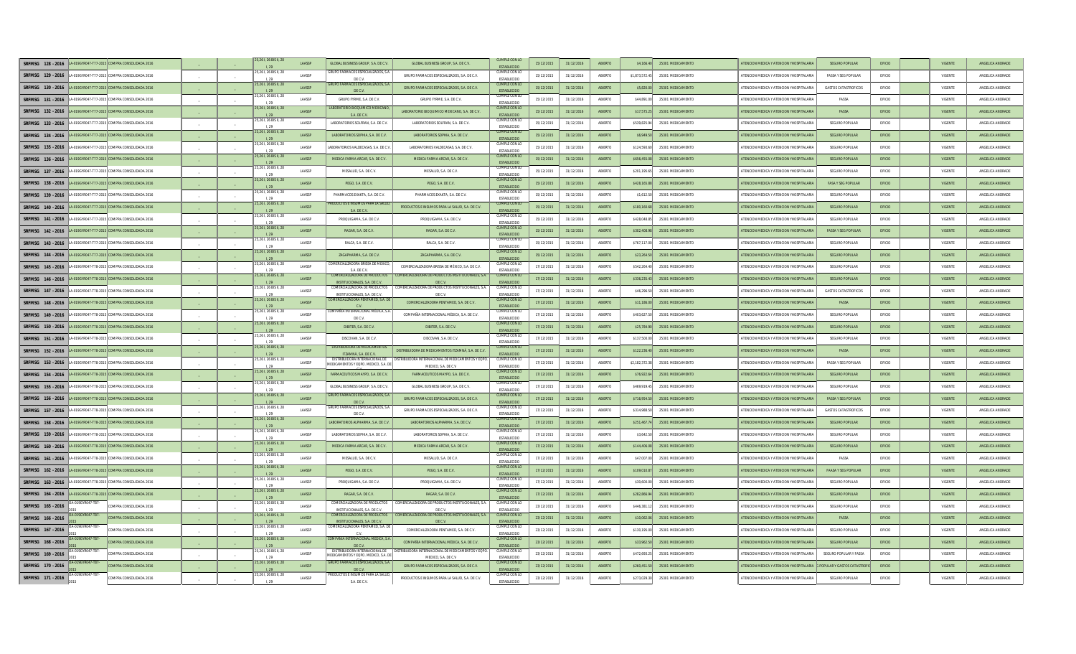| SRFMSG 128 - 2016 LA-019GYR047-T77-2015 COMPRA CONSOLIDADA 2016  |                                               |            |        | ,261, 26 BIS II, 28           | LAASSP        | <b>GLOBAL BUSINESS GROUP, S.A. DE C.V.</b>                             | GLOBAL BUSINESS GROUP, S.A. DE C.V.                                             | <b>CUMPLE CON LC</b><br><b>ESTABLECIDO</b> | 15/12/2015 | 31/12/2016 | ABIERTO        | \$4,166.4      | 25301 MEDICAMENTO | <b>ITENCION MEDICA Y ATENCION YHOSPITALARI</b> | <b>SEGURO POPULAL</b>            | OFICIO | VIGENTI        | ANGELICA ANDRADE |
|------------------------------------------------------------------|-----------------------------------------------|------------|--------|-------------------------------|---------------|------------------------------------------------------------------------|---------------------------------------------------------------------------------|--------------------------------------------|------------|------------|----------------|----------------|-------------------|------------------------------------------------|----------------------------------|--------|----------------|------------------|
| SRFMSG 129 - 2016 LA-019GYR047-T77-2015 COMPRA CONSOLIDADA 2016  |                                               |            |        | 5,261, 26 BIS II, 28<br>1.20  | LAASSP        | GRUPO FARMACOS ESPECIALIZADOS. S.<br>DE C.V.                           | GRUPO FARMACOS ESPECIALIZADOS, S.A. DE C.V.                                     | <b>CUMPLE CON LC</b><br><b>ESTABLECIDO</b> | 15/12/2015 | 31/12/2016 | ARIFRTO        | \$1,873,572.45 | 25301 MEDICAMENTO | ATENCION MEDICA Y ATENCION YHOSPITALARIA       | <b>FASSA Y SEG POPULAR</b>       | OEICIO | VIGENTE        | ANGELICA ANDRADE |
| SRFMSG 130 - 2016                                                | LA-019GYR047-T77-2015 COMPRA CONSOLIDADA 2016 |            |        | 5,261, 26 BIS II, 28          | LAASSP        | <b>GRUPO FARMACOS ESPECIALIZADOS S</b><br>DE C.V.                      | GRUPO FARMACOS ESPECIALIZADOS. S.A. DE C.V.                                     | <b>CUMPLE CON LO</b><br><b>ESTABLECIDO</b> | 15/12/2015 | 31/12/2016 | ABIERTO        | \$5,820.00     | 25301 MEDICAMENTO | ATENCION MEDICA Y ATENCION YHOSPITALARIA       | <b>GASTOS CATASTROFICOS</b>      | OFICIO | VIGENTE        | ANGELICA ANDRADE |
| SREMSG 131 - 2016 LA-019GYR047-T77-2015 COMPRA CONSOLIDADA 2016  |                                               |            |        | 261.26 BIS II.28              | LAASSP        | GRUPO FYRME. S.A. DE C.V.                                              | GRUPO FYRME, S.A. DE C.V.                                                       | CUMPLE CON LC<br>ESTABLECIDO               | 15/12/2015 | 31/12/2016 | ABIERTO        | \$44,891.00    | 25301 MEDICAMENTO | ATENCION MEDICA Y ATENCION YHOSPITALARIA       | FASSA                            | OFICIO | VIGENTE        | ANGELICA ANDRADE |
| SRFMSG 132 - 2016                                                | LA-019GYR047-T77-2015 COMPRA CONSOLIDADA 2016 |            |        | 5,261, 26 BIS II, 28<br>1.29  | LAASSP        | LABORATORIO BIOQUIMICO MEXICAI<br>S.A. DE C.V.                         | LABORATORIO BIOQUIMICO MEXICANO, S.A. DE C.V.                                   | <b>CUMPLE CON LO</b><br><b>ESTABLECIDO</b> | 15/12/2015 | 31/12/2016 | ABIERTO        | \$17,575.25    | 25301 MEDICAMENTO | ATENCION MEDICA Y ATENCION YHOSPITALARIA       | FASSA                            | OFICIO | VIGENTE        | ANGELICA ANDRADE |
| SRFMSG 133 - 2016                                                | LA-019GYR047-T77-2015 COMPRA CONSOLIDADA 2016 |            |        | 261, 26 BIS II, 28            | LAASSP        | ABORATORIOS SOLFRAN, S.A. DE C.V                                       | LABORATORIOS SOLFRAN, S.A. DE C.V.                                              | CUMPLE CON LC<br><b>ESTABLECIDO</b>        | 15/12/2015 | 31/12/2016 | ABIERTO        | \$539,825.9    | 25301 MEDICAMENTO | ATENCION MEDICA Y ATENCION YHOSPITALARI        | <b>SEGURO POPULA</b>             | OFICIO | VIGENT         | ANGELICA ANDRADI |
| SRFMSG 134 - 2016                                                | LA-019GYR047-T77-2015 COMPRA CONSOLIDADA 201  |            |        | 25,261, 26 BIS II, 28         | <b>LAASSP</b> | LABORATORIOS SOPHIA, S.A. DE C.V                                       | LABORATORIOS SOPHIA, S.A. DE C.V.                                               | <b>CUMPLE CON LC</b><br><b>ESTABLECIDO</b> | 15/12/2015 | 31/12/2016 | ABIERTO        | \$6,949.50     | 25301 MEDICAMENTO | ATENCION MEDICA Y ATENCION YHOSPITALARI        | <b>SEGURO POPULAR</b>            | OFICIO | VIGENTE        | ANGELICA ANDRADI |
| SRFMSG 135 - 2016                                                | LA-019GYR047-T77-2015 COMPRA CONSOLIDADA 2016 |            |        | 26 L 26 BIS IL 28<br>1.29     | <b>LAASSP</b> | ABORATORIOS VALDECASAS. S.A. DE C                                      | LABORATORIOS VALDECASAS. S.A. DE C.V.                                           | CUMPLE CON LC<br><b>ESTABLECIDO</b>        | 15/12/2015 | 31/12/2016 | ARIFRTO        | \$124,593.6    | 25301 MEDICAMENTO | ATENCION MEDICA Y ATENCION YHOSPITALARI        | SEGURO POPULAR                   | OFICIO | VIGENTE        | ANGELICA ANDRADE |
| SREMSG 136 - 2016 LA-019GYR047-T77-2015 COMPRA CONSOLIDADA 2016  |                                               |            |        | 25.26 I. 26 BIS II. 28        | <b>LAASSP</b> | MEDICA FARMA ARCAR. S.A. DE C.V.                                       | MEDICA FARMA ARCAR. S.A. DE C.V.                                                | <b>CUMPLE CON LO</b><br>ESTABLECIDO        | 15/12/2015 | 31/12/2016 | ABIERTO        | \$656,455.08   | 25301 MEDICAMENTO | ATENCION MEDICA Y ATENCION YHOSPITALARIA       | <b>SEGURO POPULAR</b>            | OFICIO | <b>VIGENTE</b> | ANGELICA ANDRADE |
| SRFMSG 137 - 2016  LA-019GYR047-T77-2015 COMPRA CONSOLIDADA 2016 |                                               |            |        | 5.26 L 26 BIS IL 28           | LAASSP        | MESALUD, S.A. DE C.V.                                                  | MESALUD, S.A. DE C.V.                                                           | CUMPLE CON LO<br>ESTABLECIDO               | 15/12/2015 | 31/12/2016 | ABIERTO        | \$201.195.6    | 25301 MEDICAMENTO | ATENCION MEDICA Y ATENCION YHOSPITALARIA       | SEGURO POPULAR                   | OFICIO | VIGENTE        | ANGELICA ANDRADE |
| SRFMSG 138 - 2016                                                | LA-019GYR047-T77-2015 COMPRA CONSOLIDADA 2016 | $\sim$     |        | 5,261, 26 BIS II, 28          | LAASSP        | PEGO, S.A. DE C.V.                                                     | PEGO, S.A. DE C.V.                                                              | <b>CUMPLE CON LO</b><br>ESTABLECIDO        | 15/12/2015 | 31/12/2016 | ABIERTO        | \$428,165.8    | 25301 MEDICAMENTO | ATENCION MEDICA Y ATENCION YHOSPITALARI        | <b>FASA Y SEG POPULAR</b>        | OFICIO | VIGENTE        | ANGELICA ANDRADE |
| SRFMSG 139 - 2016  LA-019GYR047-T77-2015 COMPRA CONSOLIDADA 2016 |                                               |            |        | 5,261, 26 BIS II, 28          | <b>LAASSP</b> | PHARMACOS EXAKTA, S.A. DE C.V.                                         | PHARMACOS EXAKTA, S.A. DE C.V.                                                  | <b>CUMPLE CON LC</b><br><b>ESTABLECIDO</b> | 15/12/2015 | 31/12/2016 | ABIERTO        | \$1,612.50     | 25301 MEDICAMENTO | ATENCION MEDICA Y ATENCION YHOSPITALARIA       | SEGURO POPULAR                   | OFICIO | VIGENTE        | ANGELICA ANDRADE |
| SRFMSG 140 - 2016                                                | LA-019GYR047-T77-2015 COMPRA CONSOLIDADA 2016 |            |        | 5.26 L 26 BIS IL 28<br>129    | <b>LAASSP</b> | RODUCTOS E INSUMOS PARA LA SALL<br>S.A. DE C.V                         | PRODUCTOS E INSUMOS PARA LA SALUD. S.A. DE C.V.                                 | CUMPLE CON LC<br><b>ESTABLECIDO</b>        | 15/12/2015 | 31/12/2016 | ARIERTO        | \$180,160.68   | 25301 MEDICAMENTO | ATENCION MEDICA Y ATENCION YHOSPITALARI        | <b>SEGURO POPULAR</b>            | OFICIO | <b>VIGENTE</b> | ANGELICA ANDRADE |
| SRFMSG 141 - 2016 LA-019GYR047-T77-2015 COMPRA CONSOLIDADA 2016  |                                               |            |        | 5.26 L 26 BIS IL 28<br>1.29   | LAASSP        | PROQUIGAMA, S.A. DE C.V.                                               | PROQUIGAMA, S.A. DE C.V.                                                        | CUMPLE CON LO<br>ESTABLECIDO               | 15/12/2015 | 31/12/2016 | ABIERTO        | \$428,048.85   | 25301 MEDICAMENTO | ATENCION MEDICA Y ATENCION YHOSPITALARIA       | SEGURO POPULAR                   | OFICIO | VIGENTE        | ANGELICA ANDRADE |
| SRFMSG 142 - 2016                                                | LA-019GYR047-T77-2015 COMPRA CONSOLIDADA 2016 |            |        | 5.26 L 26 BIS IL 28<br>1.29   | LAASSP        | RAGAR, S.A. DE C.V.                                                    | RAGAR, S.A. DE C.V.                                                             | <b>CUMPLE CON LO</b><br>ESTABLECIDO        | 15/12/2015 | 31/12/2016 | ABIERTO        | \$302,408.98   | 25301 MEDICAMENTO | ATENCION MEDICA Y ATENCION YHOSPITALARI        | <b>FASSA Y SEG POPULAR</b>       | OFICIO | VIGENTE        | ANGELICA ANDRADI |
| SRFMSG 143 - 2016                                                | LA-019GYR047-T77-2015 COMPRA CONSOLIDADA 201  | $\sim$     | $\sim$ | 5,261, 26 BIS II, 28          | LAASSP        | RALCA, S.A. DE C.V.                                                    | RALCA, S.A. DE C.V                                                              | CUMPLE CON LO<br>ESTABLECIDO               | 15/12/2015 | 31/12/2016 | ABIERTO        | \$767,117.     | 25301 MEDICAMENTO | ATENCION MEDICA Y ATENCION YHOSPITALARI        | <b>SEGURO POPULAR</b>            | OFICIO | VIGENT         | ANGELICA ANDRADI |
| SRFMSG 144 - 2016                                                | LA-019GYR047-T77-2015 COMPRA CONSOLIDADA 2016 |            |        | 5,261, 26 BIS II, 28          | <b>LAASSP</b> | ZAGAPHARMA, S.A. DE C.V.                                               | ZAGAPHARMA, S.A. DE C.V.                                                        | <b>CUMPLE CON LO</b><br>ESTABLECIDO        | 15/12/2015 | 31/12/2016 | ABIERTO        | \$23,264.50    | 25301 MEDICAMENTO | ATENCION MEDICA Y ATENCION YHOSPITALARIA       | <b>SEGURO POPULAR</b>            | OFICIO | VIGENTE        | ANGELICA ANDRADE |
| SRFMSG 145 - 2016                                                | LA-019GYR047-T78-2015 COMPRA CONSOLIDADA 2016 |            |        | 261 26 BIS II 28<br>1.20      | <b>LAASSP</b> | :OMERCIALIZADORA BRISSA DE MÉXI<br>SA DECV                             | COMERCIALIZADORA BRISSA DE MÉXICO, S.A. DE C.V.                                 | CHIMPLE CON LC<br><b>ESTABLECIDO</b>       | 17/12/2015 | 31/12/2016 | ARIFRTO        | \$542,264.40   | 25301 MEDICAMENTO | ATENCION MEDICA Y ATENCION YHOSPITALARIA       | SEGURO POPULAR                   | OEICIO | VIGENTE        | ANGELICA ANDRADE |
| SREMSG 146 - 2016 LA-019GYR047-T78-2015 COMPRA CONSOLIDADA 2016  |                                               |            |        | 25.26 I. 26 BIS II. 28        | LAASSP        | COMERCIALIZADORA DE PRODUCTO<br>INSTITUCIONALES S.A. DEC.V.            | COMERCIALIZADORA DE PRODUCTOS INSTITUCIONALES, S.A.<br>DE C.V.                  | <b>CUMPLE CON LO</b><br>ESTABLECIDO        | 17/12/2015 | 31/12/2016 | <b>ABIERTO</b> | \$336,235.43   | 25301 MEDICAMENTO | ATENCION MEDICA Y ATENCION YHOSPITALARIA       | <b>SEGURO POPULAR</b>            | OFICIO | <b>VIGENTE</b> | ANGELICA ANDRADE |
| SREMSG 147 - 2016                                                | LA-019GYR047-T78-2015 COMPRA CONSOLIDADA 2016 |            |        | 5,261, 26 BIS II, 28<br>1.29  | LAASSP        | COMERCIALIZADORA DE PRODUCTOS<br>INSTITUCIONALES, S.A. DE C.V          | :OMERCIALIZADORA DE PRODUCTOS INSTITUCIONALES, S.A.<br>DE C.V.                  | CUMPLE CON LO<br>ESTABLECIDO               | 17/12/2015 | 31/12/2016 | ABIERTO        | \$46,296.50    | 25301 MEDICAMENTO | ATENCION MEDICA Y ATENCION YHOSPITALARIA       | <b>GASTOS CATASTROFICOS</b>      | OFICIO | VIGENTE        | ANGELICA ANDRADE |
| SRFMSG 148 - 2016 LA-019GYR047-T78-2015 COMPRA CONSOLIDADA 2016  |                                               |            |        | 5,261, 26 BIS II, 28<br>1.29  | LAASSP        | OMERCIALIZADORA PENTAMED. S.A. D<br>C.V.                               | COMERCIALIZADORA PENTAMED. S.A. DE C.V.                                         | <b>CUMPLE CON LO</b><br>ESTABLECIDO        | 17/12/2015 | 31/12/2016 | ABIERTO        | \$11,186.00    | 25301 MEDICAMENTO | ATENCION MEDICA Y ATENCION YHOSPITALARIA       | FASSA                            | OFICIO | VIGENTE        | ANGELICA ANDRADE |
| SRFMSG 149 - 2016                                                | LA-019GYR047-T78-2015 COMPRA CONSOLIDADA 201  |            |        | 5,261, 26 BIS II, 28<br>1.29  | LAASSP        | : OMPAÑÍA INTERNACIONAL MÉDICA<br>DE C.V.                              | COMPAÑÍA INTERNACIONAL MÉDICA, S.A. DE C.\                                      | CUMPLE CON LO<br><b>ESTABLECIDO</b>        | 17/12/2015 | 31/12/2016 | ABIERTO        | \$403,627.5    | 25301 MEDICAMENTO | ATENCION MEDICA Y ATENCION YHOSPITALARI        | <b>SEGURO POPULAR</b>            | OFICIO | VIGENT         | ANGELICA ANDRADI |
| SRFMSG 150 - 2016                                                | LA-019GYR047-T78-2015 COMPRA CONSOLIDADA 2016 | $\sim$     |        | 5,261, 26 BIS II, 28<br>1.20  | <b>LAASSP</b> | DIBITER, S.A. DE C.V.                                                  | DIRITER SA DECV                                                                 | <b>CUMPLE CON LO</b><br><b>ESTABLECIDO</b> | 17/12/2015 | 31/12/2016 | ARIERTO        | \$25,784.90    | 25301 MEDICAMENTO | ATENCION MEDICA Y ATENCION YHOSPITALARI        | SEGURO POPULAR                   | OFICIO | <b>VIGENTE</b> | ANGELICA ANDRADE |
| SREMSG 151 - 2016 LA-019GYR047-T78-2015 COMPRA CONSOLIDADA 2016  |                                               |            |        | 5,261, 26 BIS II, 28<br>1.29  | LAASSP        | DISCOVAN, S.A. DE C.V.                                                 | DISCOVAN, S.A. DE C.V.                                                          | <b>CUMPLE CON LC</b><br>ESTABLECIDO        | 17/12/2015 | 31/12/2016 | ABIERTO        | \$137,500.00   | 25301 MEDICAMENTO | ATENCION MEDICA Y ATENCION YHOSPITALARIA       | SEGURO POPULAR                   | OFICIO | VIGENTE        | ANGELICA ANDRADE |
| SRFMSG 152 - 2016                                                | LA-019GYR047-T78-2015 COMPRA CONSOLIDADA 2016 |            |        | 5,261, 26 BIS II, 28<br>1.29  | <b>LAASSP</b> | <b>DISTRIBUIDORA DE MEDICAMEN</b><br>ITZAMNÁ, S.A. DE C.V.             | DISTRIBUIDORA DE MEDICAMENTOS ITZAMNÁ, S.A. DE C.V                              | <b>CUMPLE CON LC</b><br>ESTABLECIDO        | 17/12/2015 | 31/12/2016 | ABIERTO        | \$122,236.40   | 25301 MEDICAMENTO | ATENCION MEDICA Y ATENCION YHOSPITALARI        | <b>FASSA</b>                     | OFICIO | VIGENTE        | ANGELICA ANDRADI |
| SRFMSG 153 - 2016                                                | LA-019GYR047-T78-2015 COMPRA CONSOLIDADA 2016 |            |        | 26 I, 26 BIS II, 28           | LAASSP        | DISTRIBUIDORA INTERNACIONAL DE<br>MEDICAMENTOS Y EQPO. MEDICO, S.A. DE | INTERNACIONAL DE MEDICAMENTOS Y EQP<br>MEDICO, S.A. DE C.V.                     | CUMPLE CON LC<br><b>ESTABLECID</b>         | 17/12/2015 | 31/12/2016 | ABIERTO        | \$2,182,372.3  | 25301 MEDICAMENTO | ATENCION MEDICA Y ATENCION YHOSPITALARIA       | <b>FASSA Y SEG POPULAR</b>       | OFICIO | VIGENTE        | ANGELICA ANDRADE |
| SRFMSG 154 - 2016                                                | -019GYR047-T78-2015 COMPRA CONSOLIDADA 201    |            |        | 5,261, 26 BIS II, 28          | LAASSP        | FARMACEUTICOS MAYPO, S.A. DE C.V                                       | FARMACEUTICOS MAYPO, S.A. DE C.V.                                               | <b>CUMPLE CON LO</b><br>ESTABLECIDO        | 17/12/2015 | 31/12/2016 | ABIERTO        | \$76,922.6     | 25301 MEDICAMENTO | ATENCION MEDICA Y ATENCION YHOSPITALARI        | <b>SEGURO POPULAR</b>            | OFICIO | VIGENTI        | ANGELICA ANDRAD  |
| SRFMSG 155 - 2016                                                | -019GYR047-T78-2015 COMPRA CONSOLIDADA 2016   |            |        | 5,261, 26 BIS II, 28<br>1.29  | LAASSP        | GLOBAL BUSINESS GROUP, S.A. DE C.\                                     | GLOBAL BUSINESS GROUP, S.A. DE C.V.                                             | CUMPLE CON LC<br><b>ESTABLECIDE</b>        | 17/12/2015 | 31/12/2016 | ABIERTO        | \$469,919.4    | 25301 MEDICAMENTO | ATENCION MEDICA Y ATENCION YHOSPITALARI        | SEGURO POPULAR                   | OFICIO | VIGENT         | ANGELICA ANDRADI |
| SREMSG 156 - 2016 A-019GYR047-T78-2015 COMPRA CONSOLIDADA 2016   |                                               |            |        | 25 26 L 26 BIS IL 28          | <b>LAASSP</b> | GRUPO FARMACOS ESPECIALIZADOS S A<br>DE C.V.                           | GRUPO FARMACOS ESPECIALIZADOS, S.A. DE C.V.                                     | CHMPLE CON LO<br><b>ESTABLECIDO</b>        | 17/12/2015 | 31/12/2016 | ARIERTO        | \$716,954.50   | 25301 MEDICAMENTO | ATENCION MEDICA Y ATENCION YHOSPITALARIA       | <b>FASSA Y SEG POPULAR</b>       | OEICIO | <b>VIGENTE</b> | ANGELICA ANDRADE |
| SRFMSG 157 - 2016                                                | LA-019GYR047-T78-2015 COMPRA CONSOLIDADA 2016 |            |        | 5.26 L 26 BIS IL 28<br>1.29   | LAASSP        | GRUPO FARMACOS ESPECIALIZADOS. S.A<br>DE C.V.                          | GRUPO FARMACOS ESPECIALIZADOS, S.A. DE C.V.                                     | CUMPLE CON LO<br><b>ESTABLECIDO</b>        | 17/12/2015 | 31/12/2016 | ABIERTO        | \$314,988.50   | 25301 MEDICAMENTO | ATENCION MEDICA Y ATENCION YHOSPITALARIA       | <b>GASTOS CATASTROFICOS</b>      | OFICIO | VIGENTE        | ANGELICA ANDRADE |
| SRFMSG 158 - 2016  LA-019GYR047-T78-2015 COMPRA CONSOLIDADA 2016 |                                               | $\sim$ $-$ |        | 5,261, 26 BIS II, 28          | LAASSP        | LABORATORIOS ALPHARMA, S.A. DE C.)                                     | LABORATORIOS ALPHARMA, S.A. DE C.V.                                             | <b>CUMPLE CON LO</b><br>ESTABLECIDO        | 17/12/2015 | 31/12/2016 | ABIERTO        | \$251,467.7    | 25301 MEDICAMENTO | ATENCION MEDICA Y ATENCION YHOSPITALARI        | <b>SEGURO POPULAR</b>            | OFICIO | VIGENTE        | ANGELICA ANDRADE |
| SRFMSG 159 - 2016                                                | LA-019GYR047-T78-2015 COMPRA CONSOLIDADA 2016 | $\sim$     | $\sim$ | 5,261, 26 BIS II, 28          | LAASSP        | LABORATORIOS SOPHIA, S.A. DE C.V                                       | LABORATORIOS SOPHIA, S.A. DE C.V.                                               | <b>CUMPLE CON LC</b><br><b>ESTABLECIDO</b> | 17/12/2015 | 31/12/2016 | ABIERTO        | \$3,642.5      | 25301 MEDICAMENTO | ATENCION MEDICA Y ATENCION YHOSPITALARIA       | <b>SEGURO POPULAR</b>            | OFICIO | VIGENTE        | ANGELICA ANDRADI |
| SRFMSG 160 - 2016                                                | LA-019GYR047-T78-2015 COMPRA CONSOLIDADA 201  |            |        | 5,261, 26 BIS II, 28          | <b>LAASSP</b> | MEDICA FARMA ARCAR, S.A. DE C.V.                                       | MEDICA FARMA ARCAR, S.A. DE C.V.                                                | <b>CUMPLE CON LI</b><br>ESTABLECIDO        | 17/12/2015 | 31/12/2016 | ABIERTO        | \$144,406.0    | 25301 MEDICAMENTO | ATENCION MEDICA Y ATENCION YHOSPITALAR         | <b>SEGURO POPULAR</b>            | OFICIO | VIGENTE        | ANGELICA ANDRADE |
| SRFMSG 161 - 2016 LA-019GYR047-T78-2015 COMPRA CONSOLIDADA 2016  |                                               |            |        | 5 26   26 BIS   28            | <b>LAASSP</b> | MESAILID S.A. DEC.V.                                                   | MESALUD S.A. DEC.V.                                                             | CUMPLE CON LO<br><b>ESTABLECIDO</b>        | 17/12/2015 | 31/12/2016 | ARIFRTO        | \$47,007.00    | 25301 MEDICAMENTO | ATENCION MEDICA Y ATENCION YHOSPITALARIA       | FASSA                            | OFICIO | VIGENTE        | ANGELICA ANDRADE |
| SRFMSG 162 - 2016                                                | LA-019GYR047-T78-2015 COMPRA CONSOLIDADA 2016 |            |        | 5.26 L 26 BIS IL 28<br>129    | LAASSP        | PEGO, S.A. DE C.V.                                                     | PEGO, S.A. DE C.V.                                                              | CUMPLE CON LO<br><b>ESTABLECIDO</b>        | 17/12/2015 | 31/12/2016 | ABIERTO        | \$109,010.8    | 25301 MEDICAMENTO | ATENCION MEDICA Y ATENCION YHOSPITALARI        | <b>FAASA Y SEG POPULAR</b>       | OFICIO | <b>VIGENTE</b> | ANGELICA ANDRADI |
| SRFMSG 163 - 2016  LA-019GYR047-T78-2015 COMPRA CONSOLIDADA 2016 |                                               |            |        | 5,261, 26 BIS II, 28          | <b>LAASSP</b> | PROQUIGAMA, S.A. DE C.V.                                               | PROQUIGAMA, S.A. DE C.V.                                                        | CUMPLE CON LO<br>ESTABLECIDO               | 17/12/2015 | 31/12/2016 | ABIERTO        | \$30,600.00    | 25301 MEDICAMENTO | ATENCION MEDICA Y ATENCION YHOSPITALARIA       | <b>SEGURO POPULAR</b>            | OFICIO | VIGENTE        | ANGELICA ANDRADE |
| SRFMSG 164 - 2016                                                | LA-019GYR047-T78-2015 COMPRA CONSOLIDADA 2016 |            |        | 5,261, 26 BIS II, 28          | <b>LAASSP</b> | RAGAR, S.A. DE C.V.                                                    | RAGAR, S.A. DE C.V.                                                             | <b>CUMPLE CON LC</b><br>ESTABLECIDO        | 17/12/2015 | 31/12/2016 | ABIERTO        | \$282,866.9    | 25301 MEDICAMENTO | ATENCION MEDICA Y ATENCION YHOSPITALARI        | <b>SEGURO POPULAR</b>            | OFICIO | VIGENTE        | ANGELICA ANDRADE |
| SRFMSG 165 - 2016                                                | OMPRA CONSOLIDADA 2016                        |            |        | 261, 26 BIS II, 28<br>1.20    | <b>LAASSP</b> | COMERCIALIZADORA DE PRODUCTI<br>INSTITUCIONALES S.A. DEC.V.            | OMERCIALIZADORA DE PRODUCTOS INSTITUCIONALES, S.A.<br>DEC V                     | <b>CUMPLE CON LC</b><br><b>ESTABLECIDO</b> | 23/12/2015 | 31/12/2016 | ABIERTO        | \$446,381.1    | 25301 MEDICAMENTO | ATENCION MEDICA Y ATENCION YHOSPITALARIA       | SEGURO POPULAR                   | OFICIO | VIGENTE        | ANGELICA ANDRADE |
| CVP047-T87<br>SREMSG 166 - 2016                                  | COMPRA CONSOLIDADA 2016                       | $\sim$     |        | 25.261.26 BIS II.28           | <b>LAASSP</b> | <b>COMERCIALIZADORA DE PRODUCTOS</b><br>INSTITUCIONALES S.A. DEC.V.    | COMERCIALIZADORA DE PRODUCTOS INSTITUCIONALES, S.A.<br>DEC.V                    | CUMPLE CON LO<br><b>ESTABLECIDO</b>        | 23/12/2015 | 31/12/2016 | ARIERTO        | \$10,062.06    | 25301 MEDICAMENTO | ATENCION MEDICA Y ATENCION YHOSPITALARIA       | <b>FASSA</b>                     | OFICIO | <b>VIGENTE</b> | ANGELICA ANDRADE |
| SREMSG 167 - 2016                                                | OMPRA CONSOLIDADA 2016                        |            |        | 5.26 I. 26 BIS II. 28<br>1.29 | LAASSP        | COMERCIALIZADORA PENTAMED. S.A. D<br>C.V                               | COMERCIALIZADORA PENTAMED. S.A. DE C.V.                                         | CUMPLE CON LC<br>ESTABLECIDO               | 23/12/2015 | 31/12/2016 | ABIERTO        | \$130,195.00   | 25301 MEDICAMENTO | ATENCION MEDICA Y ATENCION YHOSPITALARIA       | <b>SEGURO POPULAR</b>            | OFICIO | VIGENTE        | ANGELICA ANDRADE |
| SRFMSG 168 - 2016                                                | COMPRA CONSOLIDADA 2016                       |            |        | 5,261, 26 BIS II, 28<br>1.29  | LAASSP        | MPAÑÍA INTERNACIONAL MÉDICA, S.<br>DE C.V.                             | COMPAÑÍA INTERNACIONAL MÉDICA, S.A. DE C.V.                                     | <b>CUMPLE CON LO</b><br>ESTABLECIDO        | 23/12/2015 | 31/12/2016 | ABIERTO        | \$33,962.50    | 25301 MEDICAMENTO | ATENCION MEDICA Y ATENCION YHOSPITALARIA       | <b>SEGURO POPULAR</b>            | OFICIO | VIGENTE        | ANGELICA ANDRADE |
| SRFMSG 169 - 2016                                                | OMPRA CONSOLIDADA 2016                        |            |        | 5,261, 26 BIS II, 28          | LAASSP        | DISTRIBUIDORA INTERNACIONAL DE<br>MEDICAMENTOS Y EQPO. MEDICO, S.A. D  | <b>STRIBUIDORA INTERNACIONAL DE MEDICAMENTOS Y EQPO</b><br>MEDICO, S.A. DE C.V. | CUMPLE CON LC<br><b>ESTABLECIDO</b>        | 23/12/2015 | 31/12/2016 | ABIERTO        | \$472,693.2    | 25301 MEDICAMENTO | ATENCION MEDICA Y ATENCION YHOSPITALARI        | SEGURO POPULAR Y FASSA           | OFICIO | VIGENT         | ANGELICA ANDRADI |
| SRFMSG 170 - 2016                                                | OMPRA CONSOLIDADA 2016                        |            |        | 5,261, 26 BIS II, 28          | LAASSP        | <b>RUPO FARMACOS ESPECIALIZADOS S.A.</b><br>DE C.V.                    | GRUPO FARMACOS ESPECIALIZADOS, S.A. DE C.V.                                     | <b>CUMPLE CON LI</b><br><b>ESTABLECIDO</b> | 23/12/2015 | 31/12/2016 | ABIERTO        | \$260,451.5    | 25301 MEDICAMENTO | ATENCION MEDICA Y ATENCION YHOSPITALARIA       | <b>POPULAR Y GASTOS CATASTRO</b> | OFICIO | <b>VIGENTE</b> | ANGELICA ANDRADE |
| 19GYR047-T87<br>SRFMSG 171 - 2016                                | COMPRA CONSOLIDADA 2016                       |            |        | 5,261, 26 BIS II, 28<br>1.29  | <b>LAASSP</b> | RODUCTOS E INSUMOS PARA LA SALU<br>S.A. DE C.V.                        | PRODUCTOS E INSUMOS PARA LA SALUD S.A. DE C.V.                                  | CUMPLE CON LC<br><b>ESTABLECIDO</b>        | 23/12/2015 | 31/12/2016 | ARIFRTO        | \$273,029.30   | 25301 MEDICAMENTO | ATENCION MEDICA Y ATENCION YHOSPITALARIA       | SEGURO POPULAR                   | OFICIO | VIGENTE        | ANGELICA ANDRADE |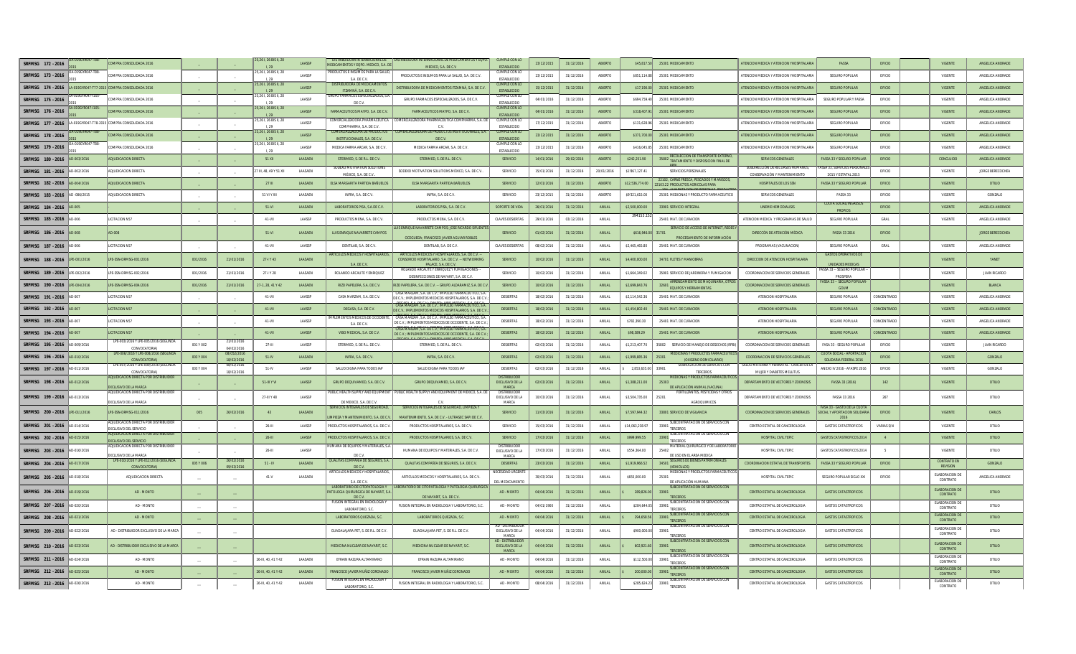| SRFMSG 172 - 2016                                               |                    | COMPRA CONSOLIDADA 2016                                                  |           |                           | 5,261, 26 BIS II, 28                       | LAASSP             | DISTRIBUIDORA INTERNACIONAL DE<br>MEDICAMENTOS Y EQPO. MEDICO, S.A. DE  | RIBUIDORA INTERNACIONAL DE MEDICAMENTOS Y EQPO.<br>MEDICO, S.A. DE C.V                                        | <b>CUMPLE CON LO</b><br>ESTABLECIDO          | 23/12/2015               | 31/12/2016               | ABIERTO        | \$45,817.5                 | 25301 MEDICAMENTO                                                           | ATENCION MEDICA Y ATENCION YHOSPITALARIA                         | FASSA                                                     | OFICIO            | VIGENTE                               | ANGELICA ANDRADE        |
|-----------------------------------------------------------------|--------------------|--------------------------------------------------------------------------|-----------|---------------------------|--------------------------------------------|--------------------|-------------------------------------------------------------------------|---------------------------------------------------------------------------------------------------------------|----------------------------------------------|--------------------------|--------------------------|----------------|----------------------------|-----------------------------------------------------------------------------|------------------------------------------------------------------|-----------------------------------------------------------|-------------------|---------------------------------------|-------------------------|
| SRFMSG 173 - 2016                                               |                    | OMPRA CONSOLIDADA 2016                                                   |           |                           | 261, 26 BIS II, 2                          | LAASSP             | RODUCTOS E INSUMOS PARA LA SALL<br>SA DECV                              | PRODUCTOS E INSUMOS PARA LA SALUD, S.A. DE C.V.                                                               | CUMPLE CON LO<br><b>ESTARLECIDO</b>          | 23/12/2015               | 31/12/2016               | ARIFRTO        | \$851 114.8                | 25301 MEDICAMENTO                                                           | ATENCION MEDICA Y ATENCION YHOSPITALARIA                         | SEGURO POPULAR                                            | OFICIO            | VIGENTE                               | ANGELICA ANDRADE        |
| SRFMSG 174 - 2016 LA-019GYR047-T77-2015 COMPRA CONSOLIDADA 2016 |                    |                                                                          |           |                           | 5.26 I. 26 BIS II. 28                      | LAASSP             | DISTRIBUIDORA DE MEDICAME<br>ITZAMNÁ, S.A. DE C.V.                      | DISTRIBUIDORA DE MEDICAMENTOS ITZAMNÁ, S.A. DE C.V.                                                           | CLIMPLE CON LC<br>ESTABLECIDO                | 15/12/2015               | 31/12/2016               | ABIERTO        | \$17,190.0                 | 25301 MEDICAMENTO                                                           | ATENCION MEDICA Y ATENCION YHOSPITALARIA                         | <b>SEGURO POPULAR</b>                                     | OFICIO            | <b>VIGENTE</b>                        | ANGELICA ANDRADE        |
| SRFMSG 175 - 2016                                               |                    | OMPRA CONSOLIDADA 2016                                                   |           |                           | 261, 26 BIS II, 28                         | LAASSP             | <b>RUPO FARMACOS ESPECIALIZADOS, S.A</b><br>DE C.V                      | GRUPO FARMACOS ESPECIALIZADOS, S.A. DE C.V.                                                                   | CUMPLE CON LO<br>ESTABLECIDO                 | 04/01/2016               | 31/12/2016               | ABIERTO        | \$694,759.40               | 25301 MEDICAMENTO                                                           | ATENCION MEDICA Y ATENCION YHOSPITALARIA                         | SEGURO POPULAR Y FASSA                                    | OFICIO            | VIGENTE                               | ANGELICA ANDRADE        |
| SRFMSG 176 - 2016                                               |                    | MPRA CONSOLIDADA 201                                                     |           |                           | 5,261, 26 BIS II, 2                        | LAASSP             | FARMACEUTICOS MAYPO, S.A. DE C.V.                                       | FARMACEUTICOS MAYPO, S.A. DE C.V.                                                                             | <b>CUMPLE CON LO</b><br><b>ESTABLECIDO</b>   | 04/01/2016               | 31/12/201                | ABIERTO        | \$318,407.9                | 25301 MEDICAMENTO                                                           | ATENCION MEDICA Y ATENCION YHOSPITALAR                           | <b>SEGURO POPULAR</b>                                     | OFICIO            | <b>VIGENTE</b>                        | ANGELICA ANDRAD         |
| SRFMSG 177 - 2016                                               | 4-019GYR047-T78-20 | COMPRA CONSOLIDADA 2016                                                  |           |                           | 5,261, 26 BIS II, 28                       | <b>LAASSP</b>      | COMERCIALIZADORA PHARMACELITICA<br>COMPHARMA S.A. DEC.V.                | COMERCIALIZADORA PHARMACEUTICA COMPHARMA, S.A. DE                                                             | CUMPLE CON LC<br><b>ESTABLECIDO</b>          | 17/12/2015               | 31/12/2016               | ARIFRTO        | \$131,628.9                | 25301 MEDICAMENTO                                                           | ATENCION MEDICA Y ATENCION YHOSPITALARI                          | <b>SEGURO POPULAR</b>                                     | OFICIO            | VIGENTE                               | ANGELICA ANDRADE        |
| SRFMSG 178 - 2016                                               |                    | COMPRA CONSOLIDADA 2016                                                  |           |                           | 5.26 L 26 BIS II, 28                       | LAASSP             | COMERCIALIZADORA DE PRODUCTOS<br>INSTITUCIONALES, S.A. DE C.V.          | COMERCIALIZADORA DE PRODUCTOS INSTITUCIONALES. S.A.<br>DE C.V.                                                | <b>CUMPLE CON LC</b><br>ESTABLECIDO          | 23/12/2015               | 31/12/2016               | <b>ABIERTO</b> | \$371,700.00               | 25301 MEDICAMENTO                                                           | ATENCION MEDICA Y ATENCION YHOSPITALARIA                         | SEGURO POPULAR                                            | OFICIO            | <b>VIGENTE</b>                        | ANGELICA ANDRADE        |
| SRFMSG 179 - 2016                                               | -019GYR047-T88     | OMPRA CONSOLIDADA 2016                                                   |           |                           | 5,261, 26 BIS II, 28<br>1, 29              | LAASSP             | MEDICA FARMA ARCAR. S.A. DE C.V.                                        | MEDICA FARMA ARCAR, S.A. DE C.V.                                                                              | CUMPLE CON LC<br>ESTABLECIDO                 | 23/12/2015               | 31/12/2016               | ABIERTO        | \$416,045.8                | 25301 MEDICAMENTO                                                           | ATENCION MEDICA Y ATENCION YHOSPITALARI                          | <b>SEGURO POPULAR</b>                                     | OFICIO            | VIGENTE                               | ANGELICA ANDRADE        |
| SRFMSG 180 - 2016                                               | AD-003/201         | <b>IDJUDICACION DIRECTA</b>                                              |           |                           | 51 XII                                     | <b>LAASAEN</b>     | STERIMED, S. DE R.L. DE C.V                                             | STERIMED. S. DE R.L. DE C.V.                                                                                  | <b>SERVICIO</b>                              | 14/01/2016               | 29/02/2016               | ARIERTO        | \$242,251.90               | ECOLECCION DE TRANSPORTE EXTERN<br>35802 TRATAMIENTO Y DISPOSICION FINAL DE | SERVICOS GENERALES                                               | <b>FASSA 33 Y SEGURO POPULA</b>                           | OFICIO            | CONCLUIDO                             | ANGELICA ANDRADE        |
| SREMSG 181 - 2016 AD-002/2016                                   |                    | DJUDICACION DIRECTA                                                      |           |                           | 7 III. 48.49 Y 51 XII                      | LAASAEN            | SODEXO MOTIVATION SOLUTION<br>MÉXICO, S.A. DE C.V.                      | SODEXO MOTIVATION SOLUTIONS MÉXICO. S.A. DE C.V.                                                              | <b>SERVICIO</b>                              | 15/01/2016               | 31/12/2016               | 20/01/2016     | \$1'867.127.41             | SERVICIOS PERSONALES                                                        | SUBDIRECCIÓN DE RECURSOS HUMANOS<br>CONSERVACIÓN Y MANTENIMIENTO | <b>SSA 33. SERVICIOS PERSONA</b><br>2015 Y ESTATAL 2015   | OFICIO            | VIGENTE                               | JORGE BERECOCHEA        |
| SRFMSG 182 - 2016 AD-004/201                                    |                    | <b>DJUDICACION DIRECTA</b>                                               |           |                           | $27$ III                                   | LAASAEN            | ELSA MARGARITA PARTIDA BAÑUELO                                          | ELSA MARGARITA PARTIDA BAÑUELOS                                                                               | <b>SERVICIO</b>                              | 12/01/2016               | 31/12/2016               | <b>ABIERTO</b> | \$12,536,774.00            | 102. CARNE FRESCA, PESCADOS Y MARISCO!<br>103.22 PRODUCTOS AGRICOLAS PARA   | HOSPITALES DE LOS SSN                                            | <b>FASSA 33 Y SEGURO POPULAR</b>                          | OFIICO            | VIGENTE                               | <b>OTILIO</b>           |
| SRFMSG 183 - 2016                                               | AD -086/201        | DJUDICACION DIRECTA                                                      |           |                           | 51 VI Y XII                                | LAASAEN            | INFRA, S.A. DE C.V                                                      | INFRA, S.A. DE C.V                                                                                            | SERVICIO                                     | 23/12/2015               | 31/12/201                | ABIERTO        | \$9'321,615.00             | 25301 MEDICINAS Y PRODUCTO FARMACEUTICO                                     | SERVICOS GENERALES                                               | FASSA 33                                                  | OFICIO            | VIGENTE                               | GONZALO                 |
| SRFMSG 184 - 2016 AD-005                                        |                    |                                                                          |           |                           | 51-VI                                      | <b>LAASAEN</b>     | LABORATORIOS PISA. S.A.DE C.V.                                          | LABORATORIOS PISA. S.A. DE C.V.                                                                               | SOPORTE DE VIDA                              | 26/01/2016               | 31/12/2016               | ANIJAI         | \$2,500,000.00             | 33901 SERVICIO INTEGRAL                                                     | <b>UNEME HEMODIALISIS</b>                                        | CHOTA SOCIAL/INGRESOS<br><b>PROPIOS</b>                   | OEICIO            | <b>VIGENTE</b>                        | ANGELICA ANDRADE        |
| SRFMSG 185 - 2016 AD-006                                        |                    | ICITACION N57                                                            |           |                           | 41-VII                                     | LAASSP             | PRODUCTOS MENA, S.A. DE C.V.                                            | PRODUCTOS MENA, S.A. DE C.V.                                                                                  | <b>CLAVES DESIERTAS</b>                      | 29/01/2016               | 03/12/2016               | ANUAL          |                            | 25401 MAT. DE CURACION                                                      | ATENCION MEDICA Y PROGRAMAS DE SALUI                             | SEGURO POPULAR                                            | GRAL              | VIGENTE                               | ANGELICA ANDRADE        |
| SRFMSG 186 - 2016                                               | AD-008             | 800-04                                                                   |           |                           | 51-VI                                      | <b>LAASAEN</b>     | <b>LUIS ENRIQUE NAVARRETE CAMPOS</b>                                    | ENRIQUE NAVARRETE CAMPOS; JOSÉ RICARDO SIFUENT                                                                | SERVICIO                                     | 01/02/2016               | 31/12/2016               | ANIJA          | \$616,946.00 31701         | SERVICIO DE ACCESO DE INTERNET, REDES                                       | DIRECCÓN DE ATENCIÓN MÉDICA                                      | FASSA 33 2016                                             | OFICIO            |                                       | JORGE BERECOCHEA        |
| SREMSG 187 - 2016 AD-006                                        |                    | ICITACION N57                                                            |           |                           | 41-VII                                     | LAASSP             | DENTILAB, S.A. DE C.V.                                                  | OCEGUEDA: FRANCISCO JAVIER AGUIAR ROBLE!<br>DENTILAB, S.A. DE C.V.                                            | <b>CLAVES DESIERTAS</b>                      | 08/02/2016               | 31/12/2016               | ANUAL          | \$2.465.465.80             | PROCESAMIENTO DE INFORMACIÓN<br>25401 MAT. DE CURACION                      | PROGRAMAS (VACUNACION)                                           | <b>SEGURO POPULAR</b>                                     | GRAL              | VIGENTE                               | ANGELICA ANDRADE        |
| SRFMSG 188 - 2016                                               | LPE-001/2016       | PE-SSN-DRMSG-001/2016                                                    | 001/2016  | 21/01/2016                | 27-IY43                                    | LAASAEN            | <b>ARTICULOS MEDICOS Y HOSPITALARI</b>                                  | ARTICULOS MEDICOS Y HOSPITALARIOS, S.A. DE C.V<br>CONSORCIO HOSPITALARIO, S.A. DE C.V. -- NETWORKING          | SERVICIO                                     | 10/02/2016               | 31/12/2016               | ANUAL          | \$4,400,000.00             | 34701 FLETES Y MANIOBRAS                                                    | DIRECCION DE ATENCION HOSPITALARIA                               | <b>GASTOS OPERATIVOS D</b>                                |                   | VIGENTE                               | YANET                   |
| SRFMSG 189 - 2016 LPE-002/2016                                  |                    | LPE-SSN-DRMSG-002/2016                                                   | 001/2016  | 21/01/2016                | 27-IY28                                    | LAASAEN            | SA DECV<br>ROLANDO ARCAUTE Y ENRIQUEZ                                   | PALACE SA DECV<br>ROLANDO ARCAUTE Y ENRIQUEZ Y FUMIGACIONES                                                   | <b>SERVICIO</b>                              | 10/02/2016               | 31/12/2016               | ANUAL          | \$1.664.349.02             | 35901 SERVICIO DE JARDINERIA Y FUMIGACION                                   | COORDINACION DE SERVICIOS GENERALES                              | <b>UNIDADES MEDICAS</b><br>ASSA 33 -- SEGURO POPULAR      |                   | VIGENTE                               | <b>JUAN RICARDO</b>     |
| SRFMSG 190 - 2016 LPE-004/2016                                  |                    | LPE-SSN-DRMSG-004/2016                                                   | 001/2016  | 21/01/2016                | 27-1, 28, 41 Y 42                          | LAASAEN            | RIZO PAPELERA, S.A. DE C.V.                                             | DESINEECCIONES DE NAYARIT S.A. DE C.V.<br>RIZO PAPELERA, S.A. DE C.V. -- GRUPO ALDARAMIZ, S.A. DE C.V         | <b>SERVICIO</b>                              | 10/02/2016               | 31/12/2016               | ANUAL          | \$2,699,843.76             | ARRENDAMIENTO DE MAQUINARIA, OTRO<br>32601                                  | <b>COORDINACION DE SERVICIOS GENERALES</b>                       | PROSPERA<br><b>ISSA 33 -- SEGURO POPULA</b>               |                   | VIGENTE                               | BLANCA                  |
| SRFMSG 191 - 2016                                               |                    | CITACION N57                                                             |           |                           | 41-VII                                     | LAASSP             | CASA MARZAM, S.A. DE C.V.                                               | ASA MARZAM, S.A. DE C.V.; IMPULSO FARMACEUTICO, S<br>DE C.V.; IMPLEMENTOS MEDICOS HOSPITALARIOS, S.A. DE C.V  | DESIERTAS                                    | 18/02/2016               | 31/12/201                | ANUA           | \$2,114,542.36             | <b>EQUIPOS Y HERRAMIENTAS</b><br>25401 MAT. DE CURACION                     | ATENCION HOSPITALARIA                                            | GOUM<br><b>SEGURO POPULAR</b>                             | CONCENTRAD        | VIGENTE                               | ANGELICA ANDRAD         |
| SRFMSG 192 - 2016                                               | AD-007             | <b>LICITACION N57</b>                                                    |           |                           | 41-VII                                     | LAASSP             | DEGASA, S.A. DE C.V.                                                    | CASA MARZAM, S.A. DE C.V.: IMPULSO FARMACEUTICO<br>DE C.V. IMPLEMENTOS MEDICOS HOSPITALARIOS, S.A. DE C.V.    | <b>DESIERTAS</b>                             | 18/02/2016               | 31/12/2016               | ANUAL          | \$1,454,802.40             | 25401 MAT. DE CURACION                                                      | ATENCION HOSPITALARIA                                            | SEGURO POPULAR                                            | ONCENTRAD         | <b>VIGENTE</b>                        | ANGELICA ANDRAD         |
| SREMSG 193 - 2016 AD-007                                        |                    | <b>ICITACION N57</b>                                                     |           |                           | 41-VII                                     | LAASSP             | MPLEMENTOS MEDICOS DE OCCIDENT                                          | CASA MARZAM, S.A. DE C.V.: IMPULSO FARMACEUTICO, S.<br>DE C.V.: IMPLEMENTOS MEDICOS DE OCCIDENTE, S.A. DE C.V | DESIERTAS                                    | 18/02/2016               | 31/12/2016               | ANUAL          | \$782,390.30               | 25401 MAT. DE CURACION                                                      | ATENCION HOSPITALARIA                                            | <b>SEGURO POPULAR</b>                                     | CONCENTRADO       | VIGENTE                               | ANGELICA ANDRADE        |
| SRFMSG 194 - 2016 AD-007                                        |                    | LICITACION N57                                                           |           |                           | 41-VII                                     | LAASSP             | SA DECV<br>VIBO MEDICAL, S.A. DE C.V.                                   | DE C.V.; IMPLEMENTOS MEDICOS DE OCCIDENTE, S.A. DE C.V                                                        | <b>DESIERTAS</b>                             | 18/02/2016               | 31/12/2016               | ANUAL          | \$98,589.29                | 25401 MAT. DE CURACION                                                      | ATENCION HOSPITALARIA                                            | <b>SEGURO POPULAR</b>                                     | CONCENTRADO       | VIGENTE                               | ANGELICA ANDRAD         |
| SRFMSG 195 - 2016                                               |                    | PE-003/2016 Y LPE-005/2016 (SEGUND                                       |           | 21/01/201                 |                                            | LAASSP             | STERIMED, S. DE R.L. DE C.V.                                            | STERIMED, S. DE R.L. DE C.V                                                                                   | DESIERTAS                                    | 02/03/2016               | 31/12/2016               | ANUAL          | \$1,213,407.70             | 35802 SERVICIO DE MANEJO DE DESECHOS (RPB                                   | COORDINACION DE SERVICIOS GENERALES                              | FASA 33 - SEGURO POPULAI                                  | OFICIO            | VIGENTE                               |                         |
|                                                                 | AD-009/2016        |                                                                          | 001 Y 002 |                           | $27 -$ III                                 |                    |                                                                         |                                                                                                               |                                              |                          |                          |                |                            |                                                                             |                                                                  |                                                           |                   |                                       | <b>JUAN RICARDO</b>     |
| SRFMSG 196 - 2016 AD-010/2016                                   |                    | CONVOCATORIAN<br>LPE-006/2016 Y LPE-008/2016 (SEGUND,                    | 003 Y 004 | 04/02/2016<br>08/052/2016 | $51 - IV$                                  | LAASAEN            | INFRA. S.A. DE C.V.                                                     | INFRA, S.A. DE C.V.                                                                                           | <b>DESIERTAS</b>                             | 02/03/2016               | 31/12/2016               | ANUAL          | \$1,999,885.36             | MEDICINAS Y PRODUCTOS FARMACEUTI<br>25301                                   | <b>COORDINACION DE SERVICIOS GENERALES</b>                       | <b>LIOTA SOCIAL - APORTACIO</b>                           | OFICIO            | <b>VIGENTE</b>                        | GONZALO                 |
| SRFMSG 197 - 2016 AD-011/2016                                   |                    | CONVOCATORIA<br>LPE-007/2016 Y LPE-009/2016 (SEGUNE                      | 003 Y 004 | 18/02/2016<br>08/02/2016  | 51-IV                                      | LAASSP             | SALUD DIGNA PARA TODOS IAP                                              | SALUD DIGNA PARA TODOS IAF                                                                                    | DESIERTAS                                    | 02/03/2016               | 31/12/2016               | ANUAL          | 2,853,635.00               | (OXIGENO DOMICILIARIO)<br>SUBROGACION DE SERVICIOS CON<br>33901             | SALUD MATERNA Y PERINATAL - CANCER DE L                          | SOLIDARIA FEDERAL 2016<br>NEXO IV 2016 - AFASPE 201       | OFICIO            | VIGENTE                               | GONZALO                 |
|                                                                 | AD-012/201         | CONVOCATORIA<br><b>IDICACION DIRECTA POR DISTRIBUIDO</b>                 |           | 18/02/2016                | 51-III YVI                                 | LAASSP             |                                                                         |                                                                                                               | <b>DISTRIBUIDO</b><br>EXCLUSIVO DE LA        | 02/03/2016               | 31/12/2016               | ANUAL          |                            | TERCERO<br><b>MEDICINAS</b><br><b>PRODUCTOS FARMACEI</b><br>25303           | MUJER Y DIABETES MELLITUS                                        |                                                           | 142               | VIGENTE                               | <b>OTILIO</b>           |
| SRFMSG 198 - 2016                                               |                    | CLUSIVO DE LA MARCA<br><b>JJUDICACION DIRECTA POR DISTRIBUIDOR</b>       |           |                           |                                            |                    | GRUPO DEQUIVAMED, S.A. DE C.V.<br>PUBLIC HEALTH SUPPLY AND EQUIPMENT    | GRUPO DEQUIVAMED, S.A. DE C.V.<br>PUBLIC HEALTH SUPPLY AND EQUIPMENT DE MEXICO. S.A. DE                       | MARCA<br><b>DISTRIBUIDOR</b>                 |                          |                          |                | \$1,388,211.00             | DE APLICACIÓN ANIMAL (VACUNA)<br>FERTILIZANTES, PESTICIDAS Y OTROS          | DEPARTAMENTO DE VECTORES Y ZOONOSIS                              | FASSA 33 (2016)                                           |                   |                                       |                         |
| SRFMSG 199 - 2016 AD-013/2016                                   |                    | USIVO DE LA MARCA                                                        |           |                           | 27-III Y 48                                | LAASSP             | DE MEXICO, S.A. DE C.V<br>SERVICIOS INTEGRALES DE SEGURIDA              | SERVICIOS INTEGRALES DE SEGURIDAD LIMPIEZA Y                                                                  | EXCLUSIVO DE LA<br>MARCA                     | 10/03/2016               | 31/12/2016               | ANUAL          | \$3,504,735.00             | 25201<br>AGROQUIMICOS                                                       | DEPARTAMENTO DE VECTORES Y ZOONOSIS                              | FASSA 33 2016<br>454 33 - GASTO DE LA CU                  | 267               | VIGENTE                               | OTILIO                  |
| SRFMSG 200 - 2016 LPE-011/2016                                  |                    | LPE-SSN-DRMSG-011/2016                                                   | 005       | 26/02/2016                | 43                                         | <b>LAASAEN</b>     | <b>IMPIEZA Y MANTENIMIENTO, S.A. DE C.</b>                              | MANTENIMIENTO, S.A. DE C.V. - ULTRASEC SAPI DE C.V.                                                           | <b>SERVICIO</b>                              | 11/03/2016               | 31/12/2016               | ANUAL          | \$7,597,944.32             | 33801 SERVICIO DE VIGILANCIA                                                | <b>COORDINACION DE SERVICIOS GENERALES</b>                       | <b>OCIAL Y APORTACION SOLIDARI</b><br>2016                | OFICIO            | <b>VIGENTE</b>                        | CARLOS                  |
| SRFMSG 201 - 2016 AD-014/2016                                   |                    | DJUDICACION DIRECTA POR DISTRIBUIDOR<br>LI ISIVO DEL SERVICI             |           |                           | $26 - 111$                                 | LAASSP             | RODUCTOS HOSPITALARIOS, S.A. DE C.                                      | PRODUCTOS HOSPITALARIOS, S.A. DE C.V.                                                                         | SERVICIO                                     | 15/03/2016               | 31/12/2016               | ANUAL          | \$14,063,238.97            | SUBCONTRATACION DE SERVICIOS CON<br>3390<br>TERCEROS                        | CENTRO ESTATAL DE CANCEROLOGIA                                   | <b>GASTOS CATASTROFICOS</b>                               | <b>VARIAS S/N</b> | VIGENTE                               | OTILIO                  |
| SRFMSG 202 - 2016                                               | AD-015/201         | <b>IDICACION DIRECTA POR DISTRIBUIDOR</b><br><b>LISIVO DEL SERVICIO</b>  |           |                           | $26 -$ III                                 | LAASSP             | PRODUCTOS HOSPITALARIOS, S.A. DE C.                                     | PRODUCTOS HOSPITALARIOS, S.A. DE C.V.                                                                         | SERVICIO                                     | 17/03/2016               | 31/12/2016               | ANUAL          | \$999,999.55               | SUBCONTRATACION DE SERVICIOS CON<br>33901<br>TERCEROS                       | HOSPITAL CIVIL TEPIC                                             | <b>GASTOS CATASTROFICOS 20</b>                            | $\overline{4}$    | <b>VIGENTE</b>                        | <b>OTILIO</b>           |
| SRFMSG 203 - 2016                                               | AD-016/2016        | <b>ILIDICACION DIRECTA POR DISTRIBUIDOR</b><br><b>LISIVO DE LA MARCA</b> |           |                           | $26 -$ III                                 | <b>LAASSP</b>      | <b>ILIMANA DE FOLIIPOS Y MATERIALES S</b>                               | HUMANA DE EQUIPOS Y MATERIALES, S.A. DE C.V.                                                                  | DISTRIBUIDO<br>EXCLUSIVO DE LA               | 17/03/2016               | 31/12/2016               | ANUAL          | \$554,364.00               | MATERIAL OUIRURGICO Y DE LABORATORI<br>25402<br>DE USO EN EL AREA MEDICA    | HOSPITAL CIVIL TEPIC                                             | GASTOS CATASTROFICOS 201                                  | $-5$              | VIGENTE                               | OTILIO                  |
| SRFMSG 204 - 2016 AD-017/2016                                   |                    | LPE-010/2016 Y LPE-012/2016 (SEGUNDA<br>CONVOCATORIA)                    | 005 Y 006 | 26/02/2016<br>09/03/2016  | $51 - IN$                                  | LAASAEN            | QUALITAS COMPAÑÍA DE SEGUROS. S.<br>DE C.V.                             | QUALITAS COMPAÑÍA DE SEGUROS, S.A. DE C.V.                                                                    | MARCA<br><b>DESIERTAS</b>                    | 23/03/2016               | 31/12/2016               | ANUAL          | \$1,919,966.52             | SEGUROS DE BIENES PATRIMONIALES<br>34501<br>(VEHICULOS)                     | <b>COORDINACION ESTATAL DE TRANSPORTES</b>                       | <b>FASSA 33 Y SEGURO POPULAR</b>                          | OFICIO            | <b>CONTRATO EN</b><br><b>REVISION</b> | GONZALO                 |
| SRFMSG 205 - 2016 AD-018/2016                                   |                    | ADJUDICACION DIRECTA                                                     |           |                           | $41-V$                                     | LAASAEN            | ARTICULOS MEDICOS Y HOSPITALARIOS<br>SA DECV                            | ARTICULOS MEDICOS Y HOSPITALARIOS. S.A. DE C.V.                                                               | <b>VECESIDAD URGENT</b>                      | 30/03/2016               | 31/12/2016               | ANUAL          | \$655,000.00               | MEDICINAS Y PRODUCTOS FARMACEUTICO<br>25301<br>DE APLICACIÓN HUMANA         | HOSPITAL CIVIL TEPIC                                             | EGURO POPULAR SIGLO XXI                                   | OFICIO            | FLARORACION DE<br>CONTRATO            | ANGELICA ANDRAD         |
| SRFMSG 206 - 2016 AD-019/2016                                   |                    | AD - MONTO                                                               |           |                           |                                            |                    | LABORATORIO DE CITOPATOLOGIA Y<br>PATOLOGIA QUIRURGICA DE NAYARIT. S.A. | LABORATORIO DE CITOPATOLOGIA Y PATOLOGIA QUIRURGI                                                             | DEL MEDICAMENTO<br>AD - MONTO                | 04/04/2016               | 31/12/2016               | ANUAL          | 289.826.00                 | SUBCONTRATACION DE SERVICIOS CON<br>33901                                   | CENTRO ESTATAL DE CANCEROLOGIA                                   | <b>GASTOS CATASTROFICOS</b>                               |                   | ELABORACION D<br>CONTRATO             | <b>OTILIO</b>           |
| SRFMSG 207 - 2016                                               | AD-020/2016        | AD - MONTO                                                               |           |                           |                                            |                    | DE C.V.<br><b>FUSION INTEGRAL EN RADIOLOGIA</b>                         | DE NAYARIT. S.A. DE C.V.<br>USION INTEGRAL EN RADIOLOGIA Y LABORATORIO. S.C.                                  | AD - MONTO                                   | 04/01/1900               | 31/12/2016               | ANUAL          | \$284,644.0                | TERCERO:<br>SUBCONTRATACION DE SERVICIOS CON                                | CENTRO ESTATAL DE CANCEROLOGIA                                   | <b>GASTOS CATASTROFICOS</b>                               |                   | ELABORACION DE                        | OTILIO                  |
| SRFMSG 208 - 2016 AD-021/2016                                   |                    | AD - MONTO                                                               |           |                           |                                            |                    | LABORATORIO S.<br>LABORATORIOS QUEZADA, S.C.                            | LABORATORIOS QUEZADA, S.C                                                                                     | AD - MONTO                                   | 04/04/2016               | 31/12/2016               | ANUAL          | 294,658.56                 | 33901 TERCEROS<br>SUBCONTRATACION DE SERVICIOS CON<br>3390                  | CENTRO ESTATAL DE CANCEROLOGIA                                   | <b>GASTOS CATASTROFICOS</b>                               |                   | CONTRATO<br>ELABORACION DE            | <b>OTILIO</b>           |
| SRFMSG 209 - 2016 AD-022/2016                                   |                    | AD - DISTRIBUIDOR EXCLUSIVO DE LA MARCA                                  |           |                           |                                            |                    | GUADALAJARA PET, S. DE R.L. DE C.V.                                     | GUADALAJARA PET, S. DE R.L. DE C.V.                                                                           | AD - DISTRIBUIDOI<br>EXCLUSIVO DE LA         | 04/04/2016               | 31/12/2016               | ANUAL          | \$900,000.0                | TERCEROS<br>SUBCONTRATACION DE SERVICIOS CON<br>33901                       | CENTRO ESTATAL DE CANCEROLOGIA                                   | <b>GASTOS CATASTROFICOS</b>                               |                   | CONTRATO<br>ELABORACION D             | OTILIO                  |
|                                                                 | AD-023/2016        | AD - DISTRIBUIDOR EXCUUSIVO DE LA MARCA                                  |           |                           |                                            |                    | MEDICINA NUCLEAR DE NAYARIT S.C.                                        |                                                                                                               | MARCA<br>AD - DISTRIBUIDO<br>EXCLUSIVO DE LA | 04/04/2016               |                          | ANIJAI         |                            | TERCERO<br>SUBCONTRATACION DE SERVICIOS CON<br>33901                        |                                                                  | <b>GASTOS CATASTROFICOS</b>                               |                   | CONTRATO<br>ELABORACION DI            | <b>OTILIO</b>           |
| SRFMSG 210 - 2016                                               |                    |                                                                          |           |                           |                                            |                    |                                                                         | MEDICINA NUCLEAR DE NAYARIT, S.C.                                                                             | MARCA                                        |                          | 31/12/2016               |                | 602,921.60                 | <b>TERCEROS</b><br>SUBCONTRATACION DE SERVICIOS CON                         | CENTRO ESTATAL DE CANCEROLOGIA                                   |                                                           |                   | CONTRATO<br>ELABORACION D             |                         |
| SRFMSG 211 - 2016 AD-024/2016                                   |                    | AD - MONTO                                                               |           |                           | 26-III, 40, 41 Y 42                        | LAASAEN            | EFRAIN RAZURA ALTAMIRANO                                                | EFRAIN RAZURA ALTAMIRANO                                                                                      | AD - MONTO                                   | 04/04/2016               | 31/12/2016               | ANUAL          | \$112,500.00               | 33901<br>TERCEROS<br>SUBCONTRATACION DE SERVICIOS COL                       | CENTRO ESTATAL DE CANCEROLOGIA                                   | <b>GASTOS CATASTROFICOS</b>                               |                   | CONTRATO<br><b>FLARORACION DE</b>     | OTILIO                  |
| SRFMSG 212 - 2016 AD-025/2016<br>SRFMSG 213 - 2016 AD-026/2016  |                    | AD - MONTO<br>AD - MONTO                                                 |           |                           | 26-III, 40, 41 Y 42<br>26-III, 40, 41 Y 42 | LAASAEN<br>LAASAEN | FRANCISCO JAVIER MUÑIZ CORONADI<br>FUSION INTEGRAL EN RADIOLOGIA        | FRANCISCO JAVIER MUÑIZ CORONADO<br>USION INTEGRAL EN RADIOLOGIA Y LABORATORIO. S.O                            | AD - MONTO<br>AD - MONTO                     | 04/04/2016<br>08/04/2016 | 31/12/2016<br>31/12/2016 | ANUAL<br>ANUAL | 200,000.00<br>\$285,624.23 | 339<br><b>TERCEROS</b><br>SUBCONTRATACION DE SERVICIOS CON<br>33901         | CENTRO ESTATAL DE CANCEROLOGIA<br>CENTRO ESTATAL DE CANCEROLOGIA | <b>GASTOS CATASTROFICO</b><br><b>GASTOS CATASTROFICOS</b> |                   | CONTRATO<br>ELABORACION DE            | <b>OTILIO</b><br>OTILIO |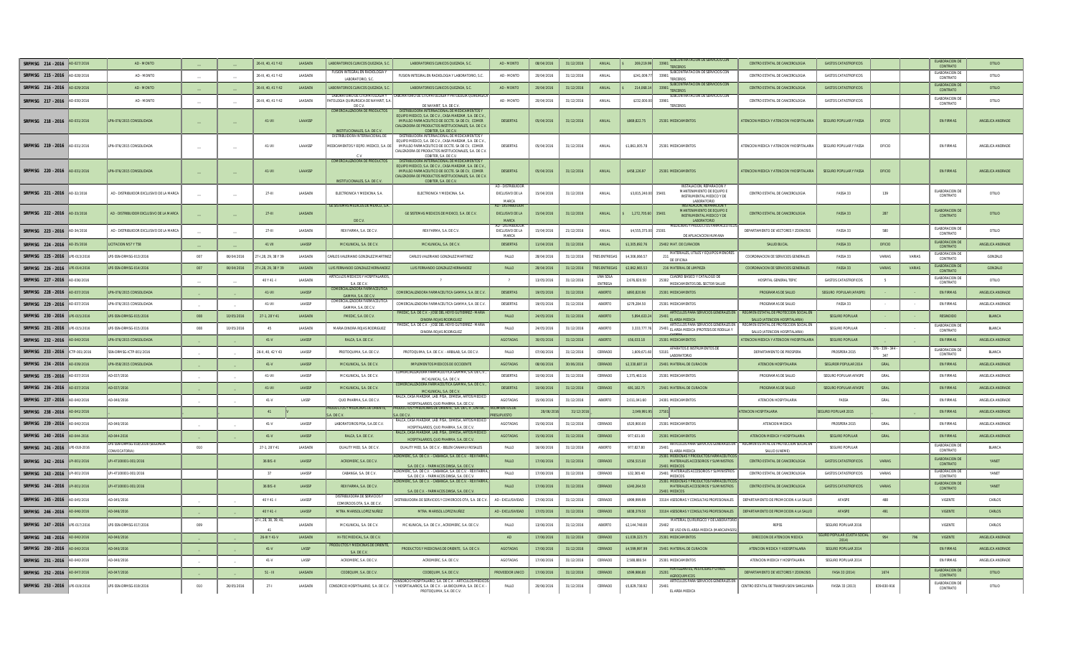| SRFMSG 214 - 2016              | 0.027/201    | AD - MONTO                                          |                          |                          | 26-III 40 41 Y 42    | <b>LAASAEN</b> | LABORATORIOS CLINICOS OLIEZADA. S                                      | LABORATORIOS CLINICOS OLIEZADA, S.C.                                                                                                                                                                                                  | AD - MONTO                                                       | 08/04/2016 | 31/12/201t | ANIJAI               | 269.219.99         | SUBCONTRATACION DE SERVICIOS CON<br>33901<br>TERCEROS                                                                                             | CENTRO ESTATAL DE CANCEROLOGIA                                           | <b>GASTOS CATASTROFICOS</b>          |                 |        | ELABORACION D<br>CONTRATO                   | <b>OTILIO</b>    |
|--------------------------------|--------------|-----------------------------------------------------|--------------------------|--------------------------|----------------------|----------------|------------------------------------------------------------------------|---------------------------------------------------------------------------------------------------------------------------------------------------------------------------------------------------------------------------------------|------------------------------------------------------------------|------------|------------|----------------------|--------------------|---------------------------------------------------------------------------------------------------------------------------------------------------|--------------------------------------------------------------------------|--------------------------------------|-----------------|--------|---------------------------------------------|------------------|
| SRFMSG 215 - 2016              | AD-028/201   | AD - MONTO                                          | $\overline{\phantom{a}}$ |                          | 26-III, 40, 41 Y 42  | LAASAEN        | FUSION INTEGRAL EN RADIOLOGIA Y<br>LABORATORIO S.C                     | FUSION INTEGRAL EN RADIOLOGIA Y LABORATORIO, S.O                                                                                                                                                                                      | AD - MONTO                                                       | 20/04/2016 | 31/12/2016 | ANUAL                | \$241,009.         | SUBCONTRATACION DE SERVICIOS CON<br>33901<br>TERCEROS                                                                                             | CENTRO ESTATAL DE CANCEROLOGIA                                           | <b>GASTOS CATASTROFICOS</b>          |                 |        | FLARORACION DE<br>CONTRATO                  | OTILIO           |
| SRFMSG 216 - 2016              | AD-029/2016  | AD - MONTO                                          | $\overline{\phantom{a}}$ |                          | 26-III, 40, 41 Y 42  | LAASAEN        | LABORATORIOS CLINICOS QUEZADA. S.                                      | LABORATORIOS CLINICOS QUEZADA, S.C.                                                                                                                                                                                                   | AD - MONTO                                                       | 20/04/2016 | 31/12/2016 | ANUAL                | 214,068.14         | SUBCONTRATACION DE SERVICIOS CON<br>3390<br>TERCEROS                                                                                              | CENTRO ESTATAL DE CANCEROLOGIA                                           | <b>GASTOS CATASTROFICOS</b>          |                 |        | ELABORACION DE<br>CONTRATO                  | <b>OTILIO</b>    |
| SRFMSG 217 - 2016 AD-030/2016  |              | AD - MONTO                                          |                          |                          | 26-III. 40.41 Y 42   | LAASAEN        | LABORATORIO DE CITOPATOLOGIA Y<br>PATOLOGIA QUIRURGICA DE NAYARIT. S.A | LABORATORIO DE CITOPATOLOGIA Y PATOLOGIA QUIRURGICA<br>DE MAYARIT CA. DEC V.                                                                                                                                                          | AD - MONTO                                                       | 20/04/2016 | 31/12/2016 | ANUAL                | \$232,000.0        | SUBCONTRATACION DE SERVICIOS CON<br>33901<br>TERCEROS                                                                                             | CENTRO ESTATAL DE CANCEROLOGIA                                           | <b>GASTOS CATASTROFICOS</b>          |                 |        | ELABORACION D<br>CONTRATO                   | OTILIO           |
| SRFMSG 218 - 2016 AD-031/2016  |              | LPN-076/2015 CONSOLIDADA                            |                          |                          | 41-VII               | LAAASSP        | <b>COMERCIALIZADORA DE PRODUCTOS</b><br>INSTITUCIONALES, S.A. DE C.V.  | DISTRIBUIDORA INTERNACIONAL DE MEDICAMENTO<br>FOUIPO MEDICO S A DE C.V. CASA MARZAM S A DE C.V.<br>IMPULSO FARMACEUTICO DE OCCTE. SA DE CV. COMER<br>CIALIZADORA DE PRODUCTOS INSTITUCIONALES, S.A. DE C.V<br>COBITER, S.A. DE C.V.   | <b>DESIERTAS</b>                                                 | 05/04/2016 | 31/12/2016 | ANUAL                | \$869,822.75       | 25301 MEDICAMENTOS                                                                                                                                | ATENCION MEDICA Y ATENCION YHOSPITALARIA                                 | <b>SEGURO POPULAR Y FASSA</b>        | OFICIO          |        | <b>EN FIRMAS</b>                            | ANGELICA ANDRADE |
| SRFMSG 219 - 2016 AD-031/2016  |              | LPN-076/2015 CONSOLIDADA                            | $\overline{\phantom{a}}$ | $\overline{\phantom{a}}$ | 41-VII               | LAAASSP        | DISTRIBUIDORA INTERNACIONAL D<br>MEDICAMENTOS Y EQPO. MEDICO. S.A. DI  | DISTRIBUIDORA INTE<br>NACIONAL DE MEDICAMENTOS<br>FOUIPO MEDICO S A DE C.V. CASA MARZAM S A DE C.V.<br>IMPULSO FARMACEUTICO DE OCCTE. SA DE CV. COMER<br>CIALIZADORA DE PRODUCTOS INSTITUCIONALES, S.A. DE C.V.<br>COBITER S A DE C V | DESIERTAS                                                        | 05/04/2016 | 31/12/2016 | ANUAL                | \$1,861,005.78     | 25301 MEDICAMENTOS                                                                                                                                | ATENCION MEDICA Y ATENCION YHOSPITALARIA                                 | <b>SEGURO POPULAR Y FASSA</b>        | OFICIO          |        | <b>EN FIRMAS</b>                            | ANGELICA ANDRADE |
| SRFMSG 220 - 2016 AD-031/2016  |              | LPN-076/2015 CONSOLIDADA                            |                          |                          | 41-VII               | LAAASSP        | COMERCIALIZADORA DE PRODUCTO<br>INSTITUCIONALES, S.A. DE C.V.          | DISTRIBUIDORA INTERNACIONAL DE MEDI<br>FOUIPO MEDICO S A DE C.V. CASA MARZAM S A DE C.V.<br>IMPULSO FARMACEUTICO DE OCCTE. SA DE CV, COMER<br>CIALIZADORA DE PRODUCTOS INSTITUCIONALES, S.A. DE C.V.<br>COBITER, S.A. DE C.V          | <b>DESIERTAS</b>                                                 | 05/04/2016 | 31/12/2016 | ANUAL                | \$458,126.97       | 25301 MEDICAMENTOS                                                                                                                                | ATENCION MEDICA Y ATENCION YHOSPITALARIA                                 | <b>SEGURO POPULAR Y FASSA</b>        | OFICIO          |        | <b>EN FIRMAS</b>                            | ANGELICA ANDRADE |
| SRFMSG 221 - 2016 AD-32/2016   |              | AD - DISTRIBUIDOR EXCLUSIVO DE LA MARCA             |                          |                          | $27 - 111$           | LAASAEN        | ELECTRONICA Y MEDICINA, S.A.<br>GE SISTEMAS MEDICOS DE MEXICO, S.A     | ELECTRONICA Y MEDICINA, S.A.                                                                                                                                                                                                          | AD - DISTRIBUIDO<br>EXCLUSIVO DE LA<br>MARCA<br>AD - DISTRIBUIDO | 15/04/2016 | 31/12/2016 | ANUAL                | \$3,815,240.0      | INSTALACION, REPARACION<br>MANTENIMIENTO DE EQUIPO E<br>35401<br>INSTRUMENTAL MEDICO Y DE<br><b>LARORATORIO</b><br><b>INSTALACION, REPARACION</b> | CENTRO ESTATAL DE CANCEROLOGIA                                           | FASSA 33                             | 139             |        | ELABORACION DE<br>CONTRATO                  | OTILIO           |
| SRFMSG 222 - 2016              | AD-33/2016   | AD - DISTRIBUIDOR EXCLUSIVO DE LA MARCA             |                          |                          | $27 - 111$           | LAASAEN        | DE C.V.                                                                | GE SISTEMAS MEDICOS DE MEXICO, S.A. DE C.V.                                                                                                                                                                                           | <b>EXCLUSIVO DE LA</b><br>MARCA<br>AD - DISTRIBUIDOI             | 15/04/2016 | 31/12/2016 | ANUAL                | 1,272,705.60 35401 | MANTENIMIENTO DE FOLUPO E<br>INSTRUMENTAL MEDICO Y DE<br>LABORATORIO<br>MEDICINAS Y PRODUCTOS FARMACEUTIO                                         | CENTRO ESTATAL DE CANCEROLOGIA                                           | FASSA 33                             | 287             |        | <b>FLARORACION DE</b><br>CONTRATO           | <b>OTILIO</b>    |
| SRFMSG 223 - 2016 AD-34/2016   |              | AD - DISTRIBUIDOR EXCLUSIVO DE LA MARCA             | $\hspace{0.1mm}$         |                          | 27-111               | LAASAEN        | REX FARMA, S.A. DE C.V.                                                | REX FARMA. S.A. DE C.V.                                                                                                                                                                                                               | EXCLUSIVO DE LA<br>MARCA                                         | 15/04/2016 | 21/12/2016 | ANUAL                | \$4,555,375.00     | 25301<br>DE APLIACACION HUMANA                                                                                                                    | DEPARTAMENTO DE VECTORES Y ZOONOSIS                                      | <b>FASSA 33</b>                      | 580             |        | ELABORACION DE<br>CONTRATO                  | OTILIO           |
| SREMSG 224 - 2016 AD-35/2016   |              | LICITACION N57 Y T58                                |                          |                          | 41 VII               | LAASSP         | MC KLINICAL, S.A. DE C.V.                                              | MC KLINICAL, S.A. DE C.V.                                                                                                                                                                                                             | <b>DESIERTAS</b>                                                 | 11/04/2016 | 31/12/2016 | ANUAL                | \$1,305,692.76     | 25402 MAT. DE CURACION                                                                                                                            | SALUD BUCAL                                                              | FASSA 33                             | OFICIO          |        | ELABORACION D<br>CONTRATO                   | ANGELICA ANDRADE |
| SRFMSG 225 - 2016 LPE-013/2016 |              | PE-SSN-DRMSG-013/2016                               | 007                      | 06/04/2016               | 7-1,28, 29, 38 Y 39  | LAASAEN        | ARLOS VALERIANO GONZALEZ MARTINI                                       | CARLOS VALERIANO GONZALEZ MARTINEZ                                                                                                                                                                                                    | FALLO                                                            | 28/04/2016 | 31/12/2016 | <b>RES ENTREGA</b>   | \$4,306,066.57     | MATERIALES, UTILES Y EQUIPOS MENORE:<br>$^{211}$ DE OFICINA                                                                                       | COORDINACION DE SERVICIOS GENERALES                                      | FASSA 33                             | VARIAS          | VARIAS | ELABORACION D<br>CONTRATO                   | GONZALO          |
| SRFMSG 226 - 2016              | LPE-014/201  | LPE-SSN-DRMSG-014/2016                              | $007\,$                  | 06/04/2016               | 7-1,28, 29, 38 Y 39  | LAASAEN        | UIS FERNANDO GONZALEZ HERNANDE                                         | LUIS FERNANDO GONZALEZ HERNANDEZ                                                                                                                                                                                                      | FALLO                                                            | 28/04/2016 | 31/12/2016 | <b>RES ENTREG</b>    | \$2.862.965.53     | 216 MATERIAL DE LIMPIEZA                                                                                                                          | COORDINACION DE SERVICIOS GENERALES                                      | FASSA 33                             | VARIAS          | VARIAS | ELABORACION DE<br>CONTRATO                  | GONZALO          |
| SREMSG 227 - 2016 AD-036/2016  |              |                                                     |                          |                          | 40 Y 41 -            | LAASAEN        | ARTICULOS MEDICOS Y HOSPITALARIO<br>S.A. DE C.V.                       |                                                                                                                                                                                                                                       | $\overline{2}$                                                   | 13/05/2016 | 31/12/2016 | LINA SOLA<br>ENTREGA | 2.676.820.50       | CUADRO BASICO Y CATALOGO DE<br>25302<br>MEDICAMENTOS DEL SECTOR SALUD                                                                             | HOSPITAL GENERAL TEPIC                                                   | <b>GASTOS CATASTROFICOS</b>          | - 5             |        | ELABORACION DE<br>CONTRATO                  | OTILIO           |
| SRFMSG 228 - 2016              | AD-037/201   | PN-076/2015 CONSOLIDAD/                             |                          |                          | 41-VII               | LAASSP         | COMERCIALIZADORA FARMACE<br>GAMMA, S.A. DE C.V                         | COMERCIALIZADORA FARMACEUTICA GAMMA, S.A. DE C.                                                                                                                                                                                       | DESIERTAS                                                        | 19/05/2016 | 31/12/2016 | ABIERTO              | \$893,820.90       | 25301 MEDICAMENTOS                                                                                                                                | PROGRAMAS DE SALUD                                                       | SEGURO POPULAR (AFASPI               |                 |        | EN FIRMAS                                   | ANGELICA ANDRAD  |
| SRFMSG 229 - 2016              | 10.037/2016  | PN-076/2015 CONSOLIDADA                             |                          |                          | 41-VII               | LAASSP         | OMERCIALIZADORA FARMACE<br>GAMMA, S.A. DE C.V.                         | COMERCIALIZADORA FARMACEUTICA GAMMA, S.A. DE C.V                                                                                                                                                                                      | DESIERTAS                                                        | 19/05/2016 | 31/12/2016 | ABIERTO              | \$279,284.50       | 25301 MEDICAMENTOS                                                                                                                                | PROGRAMAS DE SALUD                                                       | FASSA 33                             |                 |        | <b>EN FIRMAS</b>                            | ANGELICA ANDRADE |
| SREMSG 230 - 2016 LPE-015/2016 |              | LPE-SSN-DRMSG-015/2016                              | 008                      | 10/05/2016               | 27-1, 28 Y 41        | LAASAEN        | FMEDIC, S.A. DE C.V.                                                   | FMEDIC, S.A. DE C.V. - JOSE DEL HOYO GUTIERREZ - MARIA<br><b>DINORA ROJAS RODRIGUEZ</b>                                                                                                                                               | FALLO                                                            | 24/05/2016 | 31/12/2016 | <b>ABIERTO</b>       | 5.894.633.24       | ARTICULOS PARA SERVICIOS GENERALES EN<br>25401<br>EL AREA MEDICA                                                                                  | REGIMEN ESTATAL DE PROTECCION SOCIAL EN<br>SALUD (ATENCION HOSPITALARIA) | <b>SEGURO POPULAR</b>                |                 |        | RESINDIDO                                   | <b>BLANCA</b>    |
| SRFMSG 231 - 2016 LPE-015/2016 |              | PE-SSN-DRMSG-015/2016                               | 008                      | 10/05/2016               | 45                   | LAASAEN        | MARIA DINORA ROJAS RODRIGUEZ                                           | FMEDIC, S.A. DE C.V. - JOSE DEL HOYO GUTIERREZ - MARIA<br>DINORA ROJAS RODRIGUEZ                                                                                                                                                      | FALLO                                                            | 24/05/2016 | 31/12/2016 | ABIERTO              | 3.333.777.7        | ARTICULOS PARA SERVICIOS GENERALES EN<br>25401 EL AREA MEDICA (PROTESIS DE RODILLA Y                                                              | REGIMEN ESTATAL DE PROTECCION SOCIAL EN<br>SALUD (ATENCION HOSPITALARIA  | SEGURO POPULAR                       |                 |        | ELABORACION DE<br>CONTRATO                  | BLANCA           |
| SRFMSG 232 - 2016              | AD-040/201   | PN-076/2015 CONSOLIDAD/                             |                          |                          | $41-V$               | LAASSP         | RALCA, S.A. DE C.V.                                                    |                                                                                                                                                                                                                                       | <b>AGOTADAS</b>                                                  | 30/05/2016 | 31/12/2016 | ABIERTO              | \$56,033.18        | 25301 MEDICAMENTOS                                                                                                                                | <b>TENCION MEDICA Y ATENCION YHOSPITALARI</b>                            | <b>SEGURO POPULAR</b>                |                 |        | <b>EN FIRMAS</b>                            | ANGELICA ANDRADE |
|                                |              |                                                     |                          |                          |                      |                |                                                                        |                                                                                                                                                                                                                                       |                                                                  |            |            |                      |                    |                                                                                                                                                   |                                                                          |                                      |                 |        |                                             |                  |
| SREMSG 233 - 2016 CTP-001/2016 |              | SN-DRMSG-ICTP-001/2016                              |                          |                          | 26-II. 40. 42 Y 43   | <b>LAASSP</b>  | PROTOQUIMA, S.A. DE C.V.                                               | PROTOOLIIMA S.A. DEC.V. - ARBILAR S.A. DEC.V.                                                                                                                                                                                         | <b>FAILO</b>                                                     | 07/06/2016 | 31/12/2016 | CERRADO              | 1 609 671 60       | APARATOS E INSTRUMENTOS DE<br>53101<br><b>LABORATORIO</b>                                                                                         | DEPARTAMENTO DE PROSPERA                                                 | PROSPERA 2015                        | $76 - 339 - 34$ |        | ELABORACION D<br>CONTRATO                   | <b>BLANCA</b>    |
| SRFMSG 234 - 2016              | AD-039/2016  | PN-058/2015 CONSOLIDAD/                             |                          |                          | $41-V$               | LAASSP         | MC KLINICAL, S.A. DE C.V.                                              | IMPLEMENTOS MEDICOS DE OCCIDENTE                                                                                                                                                                                                      | <b>AGOTADAS</b>                                                  | 08/06/2016 | 30/06/2016 | CERRADO              | \$2,330,687.10     | 25401 MATERIAL DE CURACION                                                                                                                        | ATENCION HOSPITALARIA                                                    | SEGUROR POPULAR 2014                 | GRAL            |        | EN FIRMAS                                   | ANGELICA ANDRAD  |
| SRFMSG 235 - 2016              | 1-037/201    | 0-037/2016                                          | $\overline{a}$           | $\overline{a}$           | 41-VII               | LAASSP         | MC KLINICAL, S.A. DE C.V.                                              | OMERCIALIZADORA FARMACEUTICA GAMMA, S.A. DE C.V<br>MCKHNICAL S.A. DEC.V.                                                                                                                                                              | DESIERTAS                                                        | 10/06/2016 | 31/12/2016 | CERRADO              | 1,375,463.16       | 25301 MEDICAMENTOS                                                                                                                                | PROGRAMAS DE SALUD                                                       | SEGURO POPULAR AFASPE                | $\mathsf{GRAL}$ |        | <b>EN FIRMAS</b>                            | ANGELICA ANDRADE |
| SRFMSG 236 - 2016 AD-037/2016  |              | D-037/2016                                          |                          |                          | 41-VII               | LAASSP         | MC KLINICAL, S.A. DE C.V.                                              | COMERCIALIZADORA FARMACEUTICA GAMMA, S.A. DE C.V.<br>MC KLINICAL, S.A. DE C.V.                                                                                                                                                        | <b>DESIERTAS</b>                                                 | 10/06/2016 | 31/12/2016 | CERRADO              | 691.182.75         | 25401 MATERIAL DE CURACION                                                                                                                        | PROGRAMAS DE SALUD                                                       | <b>SEGURO POPULAR AFASPE</b>         | GRAL            |        | <b>EN FIRMAS</b>                            | ANGELICA ANDRADE |
| SRFMSG 237 - 2016              | AD-040/2016  | D-040/2016                                          |                          |                          | $41-V$               | LASSP          | QUO PHARMA, S.A. DE C.V.                                               | RALCA, CASA MARZAM, LAB. PISA,. DIMESA, ARTOS MEDICI<br>HOSPITALARIOS, QUO PHARMA, S.A. DE C.V.                                                                                                                                       | AGOTADAS                                                         | 15/06/2016 | 31/12/2016 | ABIERTO              | 2,011,041.60       | 24301 MEDICAMENTOS                                                                                                                                | ATENCION HOSPITALARIA                                                    | FASSA                                | GRAL            |        | <b>EN FIRMAS</b>                            | ANGELICA ANDRADE |
| SRFMSG 238 - 2016              | AD-041/201   |                                                     |                          |                          | 41                   |                | <b>DUCTOS Y MEDICINAS DE ORIENTE</b><br>DE C.                          | <b>UCTOS Y MEDICINAS DE ORIENTE, S.A. DE C.V., LINTEK,</b><br>S.A. DE C.V.                                                                                                                                                            | <b>AIENTOS D</b>                                                 | 28/06/20   | 31/12/2    |                      | 2,049,991          |                                                                                                                                                   | <b>TENCION HOSPITALARIA</b>                                              | GURO POPULAR 2015                    |                 |        | <b>EN FIRMAS</b>                            | ANGELICA ANDRADE |
| SRFMSG 239 - 2016 AD-040/2016  |              | D-040/2016                                          |                          |                          | $41-V$               | <b>LAASSP</b>  | LABORATORIOS PISA. S.A.DE C.V.                                         | RALCA, CASA MARZAM, LAB, PISA., DIMESA, ARTOS MEDICO<br>HOSPITALARIOS OLIO PHARMA S.A. DEC.V.                                                                                                                                         | AGOTADAS                                                         | 15/06/2016 | 31/12/2016 | CERRADO              | \$520,900.00       | 25301 MEDICAMENTOS                                                                                                                                | ATENCION MEDICA                                                          | PROSPERA 2015                        | GRAL            |        | <b>EN FIRMAS</b>                            | ANGELICA ANDRADE |
| SRFMSG 240 - 2016 AD-044-2016  |              | AD-044-2016                                         |                          |                          | $41-V$               | LAASSP         | RALCA, S.A. DE C.V.                                                    | RALCA, CASA MARZAM, LAB, PISA., DIMESA, ARTOS MEDIC<br>HOSPITALARIOS, QUO PHARMA, S.A. DE C.V.                                                                                                                                        | <b>AGOTADAS</b>                                                  | 15/06/2016 | 31/12/2016 | CERRADO              | 977.631.00         | 25301 MEDICAMENTOS                                                                                                                                | ATENCION MEDICA Y HOSPITALARIA                                           | SEGURO POPULAR                       | GRAL            |        | <b>EN FIRMAS</b>                            | ANGELICA ANDRADE |
| SRFMSG 241 - 2016 LPE-018-2016 |              | E-SSN-DRMSG-018/2016 (SEGUNDA<br><b>ONVOCATORIA</b> | 010                      |                          | 27-1, 28 Y 41        | LAASAEN        | QUALITY MED, S.A. DE C.V.                                              | QUALITY MED, S.A. DE C.V. - BELEN CANAHUI ROSALES                                                                                                                                                                                     | FALLO                                                            | 16/06/2016 | 31/12/2016 | ABIERTO              | 977,827.80         | ARTICULOS PARA SERVICIOS GENERALES EN                                                                                                             | REGIMEN ESTATAL DE PROTECCION SOCIAL EN<br>SALUD (UNEME)                 | SEGURO POPULAR                       |                 |        | ELABORACION DE<br>CONTRATO                  | BLANCA           |
| SRFMSG 242 - 2016 LPI-001/2016 |              | LPI-47100001-001/2016                               |                          |                          | 36 BIS - II          | LAASSP         | ACROMERC, S.A. DE C.V.                                                 | ACROMERC, S.A. DE C.V. - CABANGA, S.A. DE C.V. - REX FARMA                                                                                                                                                                            | FALLO                                                            | 17/06/2016 | 31/12/2016 | CERRADO              | \$356,515.00       | 25401 EL AREA MEDICA<br>25301 MEIDICNAS Y PRODUCTOS FARMACEUTIC<br>MATERIALES ACCESORIOS Y SUMINISTROS                                            | CENTRO ESTATAL DE CANCEROLOGIA                                           | <b>GASTOS CATASTROFICOS</b>          | VARIAS          |        | ELABORACION DE<br>CONTRATO                  | YANET            |
| SREMSG 243 - 2016 LPI-001/2016 |              | LPI-47100001-001/2016                               |                          |                          | 37                   | LAASSP         | CABANGA, S.A. DE C.V.                                                  | S.A. DE C.V. - FARMACOS DINSA. S.A. DE C.V.<br>CROMERC, S.A. DE C.V. - CABANGA, S.A. DE C.V. - REX FARM<br>S.A. DE C.V. - FARMACOS DINSA. S.A. DE C.V.                                                                                | FALLO                                                            | 17/06/2016 | 31/12/2016 | CERRADO              | \$32,365.40        | 25401 MEDICOS<br>25401 MATERIALES ACCESORIOS Y SUMINISTRO                                                                                         | CENTRO ESTATAL DE CANCEROLOGIA                                           | <b>GASTOS CATASTROFICOS</b>          | VARIAS          |        | ELABORACION DE<br>CONTRATO                  | YANET            |
| SREMSG 244 - 2016 LPI-001/2016 |              | LPI-47100001-001/2016                               |                          |                          | 36 BIS - II          | LAASSP         | REX FARMA, S.A. DE C.V.                                                | ACROMERC, S.A. DE C.V. - CABANGA, S.A. DE C.V. - REX FARMA                                                                                                                                                                            | FALLO                                                            | 17/06/2016 | 31/12/2016 | CERRADO              | \$340,264.50       | 25301 MEIDICNAS Y PRODUCTOS FARMACEUTIC<br>MATERIALES ACCESORIOS Y SUMINISTROS                                                                    | CENTRO ESTATAL DE CANCEROLOGIA                                           | <b>GASTOS CATASTROFICOS</b>          | VARIAS          |        | ELABORACION D<br>CONTRATO                   | YANET            |
| SRFMSG 245 - 2016              | AD-045/201   | D-045/2016                                          |                          |                          | 40 Y 41 -            | LAASSP         | DISTRIBUIDORA DE SERVICIOS                                             | S.A. DE C.V. - FARMACOS DINSA, S.A. DE C.V.<br>DISTRIBUIDORA DE SERVICIOS Y COMERCIOS OTA, S.A. DE C.V.                                                                                                                               | AD - EXCLUSIVIDA                                                 | 17/06/2016 | 31/12/2016 | CERRADO              | \$999,999.99       | 25401 MEDICOS<br>33104 ASESORIAS Y CONSULTAS PROFESIONALES                                                                                        | DEPARTAMENTO DE PROMOCIÓN A LA SALUI                                     | AFASPE                               | 488             |        | VIGENTE                                     | CARLOS           |
| SRFMSG 246 - 2016 AD-046/2016  |              | D-046/2016                                          |                          |                          | 40 Y 41-L            | <b>LAASSP</b>  | COMERCIOS OTA, S.A. DE C.V<br>MTRA, MARISOL LOPEZ NUÑEZ                | MTRA, MARISOL LOPEZ NUÑEZ                                                                                                                                                                                                             | AD - EXCLUSIVIDAD                                                | 17/05/2016 | 31/12/201i | CERRADO              | \$838,379.50       | 33104 ASESORIAS Y CONSULTAS PROFESIONALES                                                                                                         | DEPARTAMENTO DE PROMOCION A LA SALUE                                     | AFASPE                               | 491             |        | <b>VIGENTE</b>                              | CARLOS.          |
| SRFMSG 247 - 2016              | LPE-017/2016 | LPE-SSN-DRMSG-017/2016                              | 009                      |                          | 7-1, 28, 38, 39, 40. | LAASAEN        | MC KLINICAL, S.A. DE C.V.                                              | MC KLINICAL, S.A. DE C.V., ACROMERC, S.A. DE C.V                                                                                                                                                                                      | FALLO                                                            | 13/06/2016 | 31/12/2016 | ABIERTO              | \$2,144,748.00     | MATERIAL QUIRURGICO Y DE LABORATOR<br>25402<br>DE USO EN EL AREA MEDICA (MARCAPASO                                                                | REPSS                                                                    | SEGURO POPULAR 2016                  |                 |        | VIGENTE                                     | CARLOS           |
| SRFMSG 248 - 2016 AD-040/2016  |              | D-040/2016                                          |                          |                          | 26-III Y 41-V        | LAASAEN        | HI-TEC MEDICAL, S.A. DE C.V.                                           |                                                                                                                                                                                                                                       | AD                                                               | 17/06/2016 | 31/12/2016 | CERRADO              | \$1,039,323.75     | 25301 MEDICAMENTOS                                                                                                                                | DIRECCION DE ATENCION MEDICA                                             | <b>JRO POPULAR (CUOTA SC</b><br>2014 | 954             | 796    | VIGENTE                                     | ANGELICA ANDRADE |
| SRFMSG 250 - 2016 AD-040/2016  |              | D-040/2016                                          |                          |                          | $41-V$               | LASSP          | RODUCTOS Y MEDICINAS DE ORIENT<br>S.A. DE C.V.                         | PRODUCTOS Y MEDICINAS DE ORIENTE, S.A. DE C.V.                                                                                                                                                                                        | <b>AGOTADAS</b>                                                  | 17/06/2016 | 31/12/2016 | CERRADO              | \$4,599,997.99     | 25401 MATERIAL DE CURACION                                                                                                                        | ATENCION MEDICA Y HODSPITALARIA                                          | SEGURO POPULAR 2014                  |                 |        | <b>EN FIRMAS</b>                            | ANGELICA ANDRADE |
| SRFMSG 251 - 2016              | AD-040/201   | D-040/2016                                          |                          |                          | $41-V$               | LASSP          | ACROMERC, S.A. DE C.V                                                  | ACROMERC, S.A. DE C.V.                                                                                                                                                                                                                | AGOTADAS                                                         | 17/06/2016 | 31/12/2016 | CERRADO              | 2,588,880.54       | 25301 MEDICAMENTOS<br><b>FERTILIZANTES, PESTICIDAS Y OTROS</b>                                                                                    | ATENCION MEDICA Y HOSPITALARIA                                           | SEGURO POPULAR 2014                  |                 |        | <b>EN FIRMAS</b>                            | ANGELICA ANDRADE |
| SRFMSG 252 - 2016              | AD-047/2016  | D-047/2016                                          |                          |                          | $51 - III$           | <b>LAASAEN</b> | CODEQUIM, S.A. DE C.V.                                                 | CODEQUIM S A DEC.V.<br>ONSORCIO HOSPITALARIO. S.A. DE C.V. - ARTICULOS MEDICO                                                                                                                                                         | PROVEEDOR UNIC                                                   | 17/06/2016 | 31/12/2016 | CERRADO              | \$599,986.80       | 25201<br>AGROOUIMICOS<br>ARTICULOS PARA SERVICIOS GENERALES EI                                                                                    | DEPARTAMENTO DE VECTORES Y ZOONOSIS                                      | FASA 33 (2014)                       | 1674            |        | ELABORACION DE<br>CONTRATO<br>FLARORACION D | <b>OTILIO</b>    |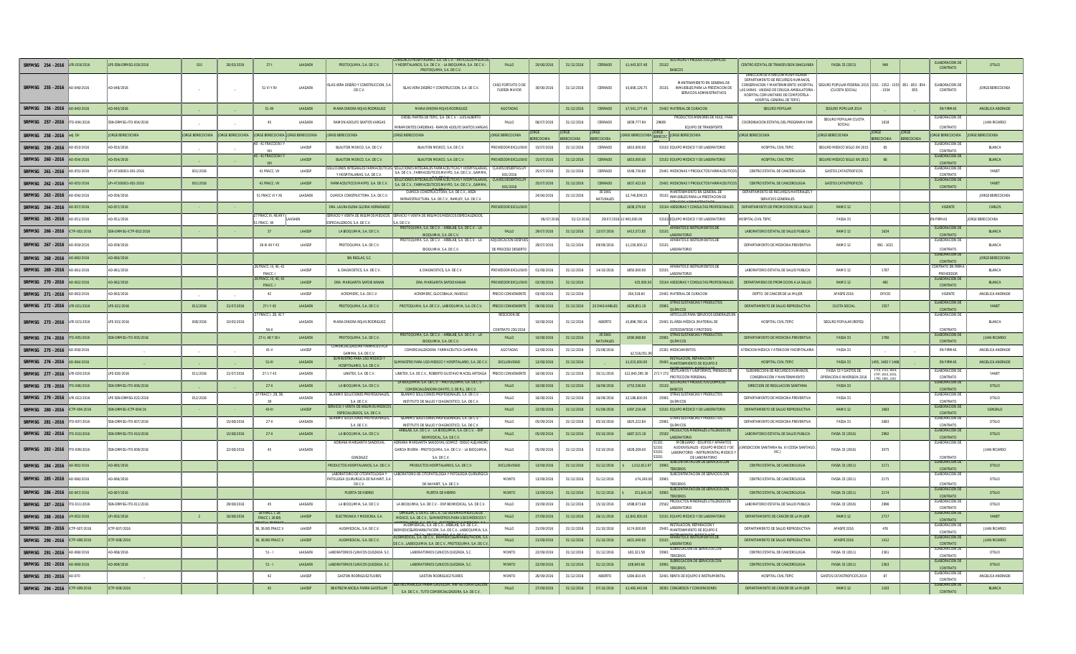| SRFMSG 254 - 2016 LPE-019/2016   |              | LPE-SSN-DRMSG-019/2016  | 010                     | 26/05/2016       | $27 - 1$                                 | LAASAEN        | PROTOQUIMA, S.A. DE C.V.                                                           | CONSORCIO HOSPITALARIO, S.A. DE C.V. - ARTICULOS MEDICO<br>Y HOSPITALARIOS, S.A. DE C.V. - LA BIOQUIMIA, S.A. DE C.V. -<br>PROTOQUIMA, S.A. DE C.V. | FALLO                                      | 20/06/2016 | 31/12/2016        | CERRADO                   | \$1,443,507.48            | SUSTACIAS Y PRODUCTOS QUIMICOS<br>25102                                                                                              | CENTRO ESTATAL DE TRANSFUSION SANGUINE                                                                                                                                                                                              | FASSA 33 (2013)                                                                  | 949                           |                   | <b>FLARORACION DI</b><br>CONTRATO               | OTILIO                  |
|----------------------------------|--------------|-------------------------|-------------------------|------------------|------------------------------------------|----------------|------------------------------------------------------------------------------------|-----------------------------------------------------------------------------------------------------------------------------------------------------|--------------------------------------------|------------|-------------------|---------------------------|---------------------------|--------------------------------------------------------------------------------------------------------------------------------------|-------------------------------------------------------------------------------------------------------------------------------------------------------------------------------------------------------------------------------------|----------------------------------------------------------------------------------|-------------------------------|-------------------|-------------------------------------------------|-------------------------|
| SRFMSG 255 - 2016 AD-048/2016    |              | AD-048/2016             |                         |                  | 51 VI Y XII                              | LAASAEN        | SLAS-VERA DISEÑO Y CONSTRUCCION, S.A.<br>DE C.V.                                   | ISLAS-VERA DISEÑO Y CONSTRUCCION. S.A. DE C.V.                                                                                                      | CASO FORTUITO O DE<br><b>FUERZA MAYOR</b>  | 30/06/2016 | 31/12/2016        | CERRADO                   | \$5,606,126.75            | MANTENIMIENTO EN GENERAL DE<br>35101 INMUEBLES PARA LA PRESTACION DE<br>SERVICIOS ADMINISTRATIVOS                                    | DIRECCION DE ATENCION HOSPITALARIA<br>DEPARTAMENTO DE RECURSOS HUMANOS.<br>CONSERVACION Y MANTENIMIENTO (HOSPITAL<br>AS VARAS - UNIDAD DE CIRUGIA AMBULATORIA<br>HOSPITAL COMUNITARIO DE COMPOSTELA -<br>HOSPITAL GENERAL DE TEPIC) | EGURO POPULAR FEDERAL 2015 1551 - 1552 - 1553 851 - 853 - 854<br>(CUOSTA SOCIAL) | $-1554$                       | 855               | ELABORACION D<br>CONTRATO                       | JORGE BERECOCHEA        |
| SREMSG 256 - 2016 AD-040/2016    |              | AD-040/2016             |                         |                  | $51-XII$                                 | LAASAEN        | MARIA DINORA ROJAS RODRIGUEZ                                                       | MARIA DINORA ROJAS RODRIGUEZ<br>DIESEL PARTES DE TEPIC. S.A. DE C.V. - LUIS ALBERTO                                                                 | <b>AGOTADAS</b>                            |            | 31/12/2016        | CERRADO                   | \$7,541,177.40            | 25402 MATERIAL DE CURACION<br><b>PRODUCTOS MENORES DE HULE. PARA</b>                                                                 | SEGURO POPULAR                                                                                                                                                                                                                      | SEGURO POPULAR 2014                                                              |                               |                   | <b>EN FIRMAS</b><br><b>LABORACION</b>           | ANGELICA ANDRADE        |
| SRFMSG 257 - 2016 TO-004/2016    |              | SN-DRMSG-ITO-004/2016   |                         |                  | 45                                       | LAASAEN        | RAMON ADOLFO SANTOS VARGAS                                                         | IIRAMONTES CARDENAS - RAMON ADOLEO SANTOS VARGAS                                                                                                    | FALLO                                      | 06/07/2016 | 31/12/2016        | CERRADO                   | \$839,777.94              | FOUIPO DE TRANSPORTE                                                                                                                 | COORDINACION ESTATAL DEL PROGRAMA FAM                                                                                                                                                                                               | SEGURO POPULAR (CUOTA<br>SOCIAL)                                                 | 1618                          |                   | CONTRATO                                        | <b>JUAN RICARDO</b>     |
| SRFMSG 258 - 2016 adj. Dir       |              | JORGE BERECOCHEA        | <b>JORGE BERECOCHEA</b> | JORGE BERECOCHEA | <b>JORGE BERECOCHEA JORGE BERECOCHEA</b> |                | JORGE BERECOCHEA                                                                   | JORGE BERECOCHEA                                                                                                                                    | JORGE BERECOCHEA                           | RECOCHEA   | <b>SERECOCHEA</b> | ገድናና<br><b>BERECOCHEA</b> |                           | JORGE BERECOCHEA BERECOC JORGE BERECOCHEA                                                                                            | JORGE BERECOCHEA                                                                                                                                                                                                                    | JORGE BERECOCHEA                                                                 | ERECOCHEA                     | <b>BERECOCHEA</b> | JORGE BERECOCHEA                                | JORGE BERECOCHEA        |
| SRFMSG 259 - 2016 AD-053/2016    |              | D-053/2016              |                         |                  | 41 FRACCION I                            | LAASS          | BLAUTON MEXICO, S.A. DE C.V.                                                       | BLAUTON MEXICO, S.A. DE C.V.                                                                                                                        | ROVEEDOR EXCLUSIV                          | 15/07/2016 | 31/12/2016        | CERRADO                   | \$810,000.00              | 53102 EQUIPO MEDICO Y DE LABORATORIO                                                                                                 | HOSPITAL CIVIL TEPIC                                                                                                                                                                                                                | EGURO MEDICO SIGLO XXI 201                                                       | 65                            |                   | LABORACION E<br>CONTRAT                         | BLANCA                  |
| SRFMSG 260 - 2016 AD-054/2016    |              | D-054/2016              |                         |                  | 40 - 41 FRACCION I                       | <b>LAASSP</b>  | BLAUTON MEXICO, S.A. DE C.V.                                                       | BLAUTON MEXICO, S.A. DE C.V.                                                                                                                        | PROVEEDOR EXCLUSIVO                        | 15/07/2016 | 31/12/2016        | CERRADO                   | \$810,000.00              | 53102 EQUIPO MEDICO Y DE LABORATORIO                                                                                                 | HOSPITAL CIVIL TEPIC                                                                                                                                                                                                                | SEGURO MEDICO SIGLO XXI 201                                                      | 66                            |                   | <b>ELABORACION D</b><br>CONTRATO                | <b>RLANCA</b>           |
| SREMSG 261 - 2016 AD-055/2016    |              | PI-47100001-001-2016    | 001/2016                |                  | 41 FRACC, VII                            | <b>LAASSP</b>  | Y HOSPITALARIAS S.A. DEC.V.                                                        | OLUCIONES INTEGRALES FARMACEUTICAS. SOLUCIONES INTEGRALES FARMACEUTICAS Y HOSPITALARIAS<br>S.A. DE C.V., FARMACEUTICOS MAYPO, S.A. DE C.V., GAMMA,  | CLAVES DESIERTAS L<br>001/2016             | 25/07/2016 | 31/12/2016        | CERRADO                   | \$548,730.60              | 25401 MEDICINAS Y PRODUCTOS FARMACEUTICO                                                                                             | CENTRO ESTATAL DE CANCEROLOGIA                                                                                                                                                                                                      | GASTOS CATASTROFICOS                                                             |                               |                   | ELABORACION DI<br>CONTRATO                      | YANFT                   |
| SRFMSG 262 - 2016 AD-055/2016    |              | LPI-47100001-001-2016   | 001/2016                |                  | 41 FRACC. VII                            | LAASSP         | FARMACEUTICOS MAYPO, S.A. DE C.V.                                                  | <b>LUCIONES INTEGRALES FARMACEUTICAS Y HOSPITALARU</b><br>S.A. DE C.V., FARMACEUTICOS MAYPO, S.A. DE C.V., GAMMA,                                   | LAVES DESIERTAS<br>001/2016                | 25/07/2016 | 31/12/2016        | CERRADO                   | \$637,422.00              | 25401 MEDICINAS Y PRODUCTOS FARMACEUTICO                                                                                             | CENTRO ESTATAL DE CANCEROLOGIA                                                                                                                                                                                                      | <b>GASTOS CATASTROFICOS</b>                                                      |                               |                   | <b>ELABORACION D</b><br>CONTRATO                | YANET                   |
| SRFMSG 263 - 2016                | AD-056/2016  | D-056/2016              |                         |                  | 51 FRACC VI Y XII                        | LAASAEN        | OLMECA CONSTRUCTORA, S.A. DE C.V                                                   | OLMECA CONSTRUCCTORA, S.A. DE C.V., ARZA<br>INFRAESTRUCTURA, S.A. DE C.V., RAMLEY, S.A. DE C.V.                                                     |                                            | 24/06/2016 | 31/12/2016        | NATURALE!                 | \$2,740,839.25            | MANTENIMIENTO EN GENERAL DE<br>35101 INMUEBLES PARA LA PRESTACION DE                                                                 | EPARTAMENTO DE RECURSOS MATERIALES<br>SERVICIOS GENERALES                                                                                                                                                                           |                                                                                  |                               |                   |                                                 | JORGE BERECOCHEA        |
| SRFMSG 264 - 2016 AD-057/2016    |              | D-057/2016              |                         |                  |                                          |                | DRA, LAURA ELENA GLORIA HERNÁNDE                                                   |                                                                                                                                                     | <b>ROVEEDOR EXCLUSE</b>                    |            |                   |                           | \$838,379.50              | 33104 ASESORIAS Y CONSULTAS PROFESIONALES                                                                                            | DEPARTAMENTO DE PROMOCIÓN DE LA SALUD                                                                                                                                                                                               | RAMO <sub>12</sub>                                                               |                               |                   | VIGENTE                                         | CARLOS                  |
| SRFMSG 265 - 2016 AD-051/2016    |              | D-051/2016              |                         |                  | RACC III, 48,49<br>FRACC, XII            | LAASAEN        | VICIO Y VENTA DE INSUMOS MEDICO<br>ECIALIZADOS, S.A. DE C.V.                       | SERVICIO Y VENTA DE INSUMOS MEDICOS ESPECIALIZADOS                                                                                                  |                                            | 06/07/20   | 31/12/201         |                           | 29/07/2016 \$1'493,000.00 | 53102 EQUIPO MEDICO Y DE LABORATORIO                                                                                                 | <b>OSPITAL CIVIL TEPIC</b>                                                                                                                                                                                                          | FASSA 33                                                                         |                               |                   | EN FIRMAS                                       | ORGE BERECOCHEA         |
| SRFMSG 266 - 2016 CTP-002/2016   |              | SSN-DRMSG-ICTP-002/2016 |                         |                  | 37                                       | LAASSP         | LA BIOQUIMIA, S.A. DE C.V.                                                         | PROTOQUIMA, S.A. DE C.V. - ARBILAB, S.A. DE C.V. - L<br>BIOQUIMIA, S.A. DE C.V.                                                                     | FALLO                                      | 29/07/2016 | 31/12/2016        | 12/07/2016                | \$413,572.85              | <b>APARATOS E INSTRUMENTOS DE</b><br>53101<br>LABORATORIO                                                                            | LABORATORIO ESTATAL DE SALUD PUBLICA                                                                                                                                                                                                | RAMO <sub>12</sub>                                                               | 1634                          |                   | <b>ELABORACION</b><br><b>CONTRAT</b>            | BLANCA                  |
| SRFMSG 267 - 2016 AD-059/2016    |              | D-059/2016              |                         |                  | 26-III 40 Y 43                           | LAASSP         | PROTOQUIMA, S.A. DE C.V.                                                           | PROTOQUIMA, S.A. DE C.V. - ARBILAB, S.A. DE C.V. - LA<br>BIOQUIMIA, S.A. DE C.V.                                                                    | ADJUDICACION DESPUI<br>DE PROCESO DESIERTO | 29/07/2016 | 31/12/2016        | 09/09/2016                | \$1,100,000.12            | APARATOS E INSTRUMENTOS DE<br>53101<br>LABORATORIO                                                                                   | DEPARTAMENTO DE MEDICINA PREVENTIVA                                                                                                                                                                                                 | RAMO <sub>12</sub>                                                               | $991 - 1021$                  |                   | FLARORACION D<br>CONTRATO                       | BLANCA                  |
| SRFMSG 268 - 2016 AD-060/2016    |              | 0-060/2016              |                         |                  |                                          |                | SIN REGLAS, S.C.                                                                   |                                                                                                                                                     |                                            |            |                   |                           |                           |                                                                                                                                      |                                                                                                                                                                                                                                     |                                                                                  |                               |                   | ELABORACION D<br>CONTRATO                       | <b>JORGE BERECOCHEA</b> |
| SRFMSG 269 - 2016 AD-061/2016    |              | 0-061/2016              |                         |                  | FRACC III 40 41<br><b>FRACC</b>          | <b>LAASSP</b>  | IL DIAGNOSTICS, S.A. DE C.V.                                                       | IL DIAGNOSTICS, S.A. DE C.V.                                                                                                                        | ROVEEDOR EXCLUSIVO                         | 01/08/2016 | 31/12/2016        | 14/10/2016                | \$850,000.00              | APARATOS E INSTRUMENTOS DE<br>53101<br><b>LABORATORIO</b>                                                                            | LARORATORIO ESTATAL DE SALUD PURLICA                                                                                                                                                                                                | RAMO <sub>12</sub>                                                               | 1787                          |                   | <b>ONTRATO EN FIRM</b><br>PROVEEDOR             | <b>RI ANCA</b>          |
| SREMSG 270 - 2016 AD-062/2016    |              | AD-062/2016             |                         |                  | 26 FRACC, III, 40, 41<br>FRACC. I        | LAASSP         | DRA, MARGARITA SAFDIE KANAN                                                        | DRA, MARGARITA SAFDIE KANAN                                                                                                                         | <b>PROVEEDOR EXCLUSIVO</b>                 | 02/08/2016 | 31/12/2016        |                           | 425,000.00                | 33104 ASESORIAS Y CONSULTAS PROFESIONALES                                                                                            | DEPARTAMENO DE PROMOCION A LA SALUD                                                                                                                                                                                                 | RAMO <sub>12</sub>                                                               | 492                           |                   | <b>ELABORACION D</b><br>CONTRATO                | BLANCA                  |
| SRFMSG 271 - 2016 AD-063/2016    |              | 0-063/2016              |                         |                  | 42                                       | LAASSP         | ACROMERC, S.A. DE C.V.                                                             | ACROMERC, GLOCOBALIX, INVEDUC                                                                                                                       | RECIO CONVENIENTI                          | 03/08/2016 | 31/12/2016        |                           | 264,518.60                | 25401 MATERIAL DE CURACION                                                                                                           | DEPTO. DE CANCER DE LA MUJER                                                                                                                                                                                                        | AFASPE 2016                                                                      | OFICIO                        |                   | VIGENTE                                         | ANGELICA ANDRADI        |
| SRFMSG 272 - 2016 LPE-021/2016   |              | LPE-021/2016            | 011/2016                | 21/07/2016       | 27-IY43                                  | LAASAEN        | PROTOQUIMA, S.A. DE C.V.                                                           | PROTOQUIMA, S.A. DE C.V., LABIOQUIMIA, S.A. DE C.V.                                                                                                 | PRECIO CONVENIENTE                         | 09/08/2016 | 31/12/2016        | 20 DÍAS HÁBILE:           | \$929,851.19              | OTRAS SUSTANCIAS Y PRODUCTOS<br>25901<br><b>OUIMICOS</b>                                                                             | DEPARTAMENTO DE SALUD REPRODUCTIVA                                                                                                                                                                                                  | <b>CUOTA SOCIAL</b>                                                              | 1557                          |                   | FLARORACIÓN D<br>CONTRATO                       | YANET                   |
| SRFMSG 273 - 2016 LPE-015/2016   |              | PE-015/2016             | 008/2016                | 10/05/2016       | <b>FRACC I. 28, 41 Y</b><br>56-11        | LAASAEN        | MARIA DINORA ROJAS RODRIGUEZ                                                       |                                                                                                                                                     | <b>RESCICIÓN DE</b><br>CONTRATO 230/201    | 10/08/2016 | 31/12/2016        | ABIERTO                   | \$5,896,780.16            | ARTÍCULOS PARA SERVICIOS GENERALES EI<br>25401 EL ÁREA MÉDICA (MATERIAL DE<br>OSTEOSINTESIS Y PROTESIS)                              | HOSPITAL CIVIL TEPIC                                                                                                                                                                                                                | <b>SEGURO POPULAR (REPSS)</b>                                                    |                               |                   | ELABORACIÓN D<br>CONTRATO                       | BLANCA                  |
| SREMSG 274 - 2016 110-005/2016   |              | SSN-DRMSG-ITO-005/2016  |                         |                  | 27-II. 48 Y 50-I                         | LAASAEN        | PROTOQUIMA, S.A. DE C.V.                                                           | PROTOQUIMA SA DECV-ARBILAR SA DECV-LA<br>BIOQUIMIA, S.A. DE C.V.                                                                                    | FALLO                                      | 10/08/2016 | 31/12/2016        | NATURALE!                 | \$590,068.80              | OTRAS SUSTANCIAS Y PRODUCTOS<br>25901<br>QUÍMICOS                                                                                    | DEPARTAMENTO DE MEDICINA PREVENTIVA                                                                                                                                                                                                 | FASSA 33                                                                         | 1780                          |                   | FLARORACIÓN D<br>CONTRATO                       | <b>JUAN RICARDO</b>     |
| SRFMSG 275 - 2016 AD-058/2016    |              |                         | $\sim$                  |                  | $41 - V$                                 | LAASSP         | COMERCIALIZADORA FARMACEUTIC/<br>GAMMA, S.A. DE C.V                                | COMERCIALIZADORA FARMACEUTICA GAMMAS                                                                                                                | AGOTADAS                                   | 12/08/2016 | 31/12/2016        | 25/08/2016                | \$2,516,051.0             | 25301 MEDICAMENTOS                                                                                                                   | <b>ITENCION MEDICA Y ATENCION YHOSPITALARIA</b>                                                                                                                                                                                     | FASSA 33                                                                         |                               |                   | EN FIRMAS                                       | ANGELICA ANDRADI        |
| SRFMSG 276 - 2016 AD-064/2016    |              |                         | $\sim$                  |                  | $51-III$                                 | LAASAEN        | UMINISTRO PARA USO MEDICO<br>HOSPITALARIO, S.A. DE C.V.                            | SUMINISTRO PARA USO MEDICO Y HOSPITALARIO, S.A. DE C.                                                                                               | EXCLUSIVIDAL                               | 12/08/2016 | 31/12/2016        |                           | \$1,015,000.00            | <b>INSTALACION, REPARACION Y</b><br>35401 MANTENIMIENTO DE EQUIPO E                                                                  | HOSPITAL CIVIL TEPIC                                                                                                                                                                                                                | FASSA 33                                                                         | 55, 1465 Y 14                 |                   | <b>EN FIRMAS</b>                                | ANGELICA ANDRADI        |
| SRFMSG 277 - 2016 LPE-020/2016   |              | IPF-020/2016            | 011/2016                | 21/07/2016       | 27-1 Y 43                                | <b>LAASAEN</b> | LINKTEX, S.A. DE C.V.                                                              | LINKTEX S.A. DE C.V. ROBERTO GUSTAVO MACIFI ARTEAGA                                                                                                 | PRECIO CONVENIENTI                         | 16/08/2016 | 31/12/2016        | 30/11/2016                | \$12,843,395,30           | VESTUARIOS Y UNIFORMES: PRENDAS DE<br>271 Y 272<br>PROTECCIÓN PERSONAL                                                               | SUBDIRECCIÓN DE RECURSOS HUMANOS<br>CONSERVACIÓN Y MANTENIMIENTO                                                                                                                                                                    | <b>FASSA 33 Y GASTOS DR</b><br>OPERACIÓN E INVERSION 2016                        | 710 1712 181<br>797.1810.2203 |                   | <b>LARORACIÓN D</b><br>CONTRATO                 | YANFT                   |
| SREMSG 278 - 2016 1TO-006/2016   |              | SSN-DRMSG-ITO-006/2016  |                         |                  | $27 -$                                   | LAASAEN        | LA BIOQUIMIA, S.A. DE C.V.                                                         | LA RIOQUIMIA SA DECV - PROTOQUIMA SA DECV<br>COMERCIALIZADORA DAVITO. S. DE R.L. DE C.V.                                                            | FALLO                                      | 16/08/2016 | 31/12/2016        | 16/09/2016                | \$753,536.00              | <b>SUSTACIAS Y PRODUCTOS QUIMICOS</b><br>25102<br><b>BASICOS</b>                                                                     | DIRECCION DE REGULACION SANITARIA                                                                                                                                                                                                   | FASSA 33                                                                         |                               |                   | ELABORACION DI<br>CONTRATO                      | OTILIO                  |
| SRFMSG 279 - 2016                | LPE-022/201  | PE-SSN-DRMSG-022/2016   | 012/2016                |                  | FRACC I, 28, 38                          | LAASAEN        | ANMO SOLUCIONES PROFESIONALE:<br>S.A. DE C.V                                       | SILANMO SOLUCIONES PROFESIONALES, S.A. DE C.V.<br>INSTITUTO DE SALUD Y DIAGNOSTICO, S.A. DE C.\                                                     | FALLO                                      | 16/08/2016 | 31/12/2016        | 16/09/2016                | \$2,186,600.00            | <b>DTRAS SUSTANCIAS Y PRODUCTOS</b><br>25901 QUÍMICOS                                                                                | DEPARTAMENTO DE MEDICINA PREVENTIVA                                                                                                                                                                                                 | FASSA 33                                                                         |                               |                   | LABORACION I<br>CONTRATO                        | OTILIO                  |
| SRFMSG 280 - 2016 CTP-004/2016   |              | SSN-DRMSG-ICTP-004/16   |                         |                  | $43 - 111$                               | LAASSP         | SERVICIO Y VENTA DE INSUMOS MEDICO<br>ESPECIALIZADOS S.A. DE C.V.                  |                                                                                                                                                     | <b>FALLO</b>                               | 22/08/2016 | 31/12/2016        | 01/09/2016                | \$397,216.48              | 53101 EQUIPO MÉDICO Y DE LABORATORIO                                                                                                 | DEPARTAMENTO DE SALUD REPRODUCTIVA                                                                                                                                                                                                  | RAMO <sub>12</sub>                                                               | 1683                          |                   | ELARORACIÓN DI<br>CONTRATO                      | GONZALO                 |
| SRFMSG 281 - 2016                | TO-007/2016  | SN-DRMSG-ITO-007/2016   |                         | 15/08/2016       | $27 - 11$                                | LAASAEN        | SILANMO SOLUCIONES PROFESIONALES.<br>S.A. DE C.V.                                  | SILANMO SOLUCIONES PROFESIONALES, S.A. DE C.V.<br>INSTITUTO DE SALUD Y DIAGNOSTICO. S.A. DE C.V                                                     | FALLO                                      | 05/09/2016 | 31/12/2016        | 05/10/2016                | \$825,222.84              | OTRAS SUSTANCIAS Y PRODUCTOS<br>25901<br>QUÍMICOS                                                                                    | DEPARTAMENTO DE MEDICINA PREVENTIVA                                                                                                                                                                                                 | FASSA 33                                                                         | 2683                          |                   | ELABORACION D<br>CONTRATO                       | OTILIO                  |
| SRFMSG 282 - 2016   ITO-010/2016 |              | SN-DRMSG-ITO-010/2016   |                         | 15/08/2016       | $27 - 11$                                | LAASAEN        | LA BIOQUIMIA, S.A. DE C.V.                                                         | ARBILAB, S.A. DE C.V. - LA BIOQUIMIA, S.A. DE C.V. - EHF<br>BIOMEDICAL, S.A. DE C.V.                                                                | FALLO                                      | 05/09/2016 | 31/12/2016        | 05/10/2016                | \$687,515.18              | PRODUCTOS MINERALES UTILIZADOS EN<br>25502<br>LABORATORIO                                                                            | LABORATORIO ESTATAL DE SALUD PUBLICA                                                                                                                                                                                                | FASSA 33 (2016)                                                                  | 2992                          |                   | ELABORACION DE<br>CONTRATO                      | <b>OTILIO</b>           |
| SRFMSG 283 - 2016                | TO-009/2016  | SSN-DRMSG-ITO-009/2016  |                         | 22/08/2016       |                                          | LAASAEN        | ADRIANA MARGARITA SANDOVAL<br><b>GONZALEZ</b>                                      | ADRIANA MARGARITA SANDOVAL GOMEZ - DIEGO ALEJAND<br>GARCIA RIVERA - PROTOQUIMA, S.A. DE C.V. - LA BIOQUIMIA,<br>S.A. DE C.V.                        | FALLO                                      | 05/09/2016 | 31/12/2016        | 03/10/2016                | \$828,269.00              | MOBILIARIO - EQUIPOS Y APARAT<br>AUDIOVISUALES - EQUIPO MEDICO Y DE<br>3101<br>LABORATORIO - INSTRUMENTAL MEDICO Y<br>DE LABORATORIO | JURISDICCION SANITARIA No. III (CESSA SANTIAG)<br>IXC.)                                                                                                                                                                             | FASSA 33 (2016)                                                                  | 3075                          |                   | ELABORACION I<br>CONTRATO                       | <b>JUAN RICARDO</b>     |
| SRFMSG 284 - 2016 AD-065/2016    |              | 0-065/2016              |                         |                  |                                          |                | PRODUCTOS HOSPITALARIOS, S.A. DE C.V                                               | PRODUCTOS HOSPITALARIOS, S.A. DE C.V.                                                                                                               | EXCLUSIVIDAL                               | 13/09/2016 | 31/12/2016        | 31/12/2016                | 1,012,811.97              | <b>SUBCONTRATACION DE SERVICIOS CO</b><br>33901 TERCEROS                                                                             | CENTRO ESTATAL DE CANCEROLOGIA                                                                                                                                                                                                      | FASSA 33 (2011)                                                                  | 2171                          |                   | LARORACION I<br>CONTRATO                        | OTILIO                  |
| SRFMSG 285 - 2016 AD-066/2016    |              | D-066/2016              |                         |                  |                                          |                | LABORATORIO DE CITOPATOLOGIA Y<br>PATOLOGIA QUIRURGICA DE NAYARIT. S.A.<br>DE C.V. | <b>LABORATORIO DE CITOPATOLOGIA Y PATOLOGIA OLIBURGIO</b><br>DE NAYARIT, S.A. DE C.V.                                                               | MONTO                                      | 13/09/2016 | 31/12/2016        | 31/12/2016                | \$74,240.00               | SUBCONTRATACION DE SERVICIOS CON<br>33901<br>TERCEROS                                                                                | CENTRO ESTATAL DE CANCEROLOGIA                                                                                                                                                                                                      | FASSA 33 (2011)                                                                  | 2175                          |                   | FLARORACION DI<br>CONTRATO                      | OTILIO                  |
| SRFMSG 286 - 2016                | AD-067/2016  | D-067/2016              |                         |                  |                                          |                | PUERTA DE HIERRO                                                                   | PUERTA DE HIERRO                                                                                                                                    | <b>MONTO</b>                               | 13/09/2016 | 31/12/2016        | 31/12/2016                | 251,641.09                | SUBCONTRATACION DE SERVICIOS CON<br>3390<br><b>TERCEROS</b>                                                                          | CENTRO ESTATAL DE CANCEROLOGIA                                                                                                                                                                                                      | FASSA 33 (2011)                                                                  | 2174                          |                   | <b>ELABORACION D</b><br>CONTRATO                | <b>OTILIO</b>           |
| SRFMSG 287 - 2016                | ITO-011/2016 | SSN-DRMSG-ITO-011/2016  |                         | 29/08/2016       | 45                                       | <b>LAASAEN</b> | <b>LA RIOOLIMIA SA DECV</b>                                                        | LA BIOQUIMIA, S.A. DE C.V. - EHF BIOMEDICAL, S.A. DE C.V.                                                                                           | <b>FALLO</b>                               | 15/09/2016 | 31/12/2016        | 15/10/2016                | \$598,673.68              | PRODUCTOS MINERALES UTILIZADOS EN<br>25502<br><b>I ARORATORIO</b>                                                                    | LARORATORIO ESTATAL DE SALLID PLIBLICA                                                                                                                                                                                              | FASSA 33 (2016)                                                                  | 2996                          |                   | FLARORACION I<br>CONTRATO                       | OTILIO                  |
| SRFMSG 288 - 2016 LPI-002/2016   |              | PI-002/2016             | $\overline{2}$          | 16/08/2016       | <b>6 FRACC I.26</b><br>FRACC I, 26 BIS   | LAASSP         | ELECTRONICA Y MEDICINA, S.A.                                                       | DIMEGRA. S. DE R.L. DE C.V., GE SISTEMAS MÉDICOS DE<br>MÉXICO, S.A. DE C.V., SUMINISTROS PARA USOS MÉDICOS Y                                        | FALLO                                      | 27/09/2016 | 31/12/2016        | 26/11/2016                | \$2,842,000.00            | 53101 EQUIPO MÉDICO Y DE LABORATORIO                                                                                                 | DEPARTAMENTO DE CÁNCER DE LA MUJER                                                                                                                                                                                                  | RAMO <sub>12</sub>                                                               | 2717                          |                   | ELABORACIÓN DE<br>CONTRATO                      | YANFT                   |
| SRFMSG 289 - 2016                | ICTP-007/201 | CTP-007/2016            |                         |                  | 6, 36 BIS FRACC II                       | LAASSP         | AUDIMEDICAL, S.A. DE C.V.                                                          | AUDIMEDICAL, S.A. DE C.V., ARBILAB, S.A. DE C.V.,<br>BIOMEDICS&REHABILITACIÓN, S.A. DE C.V., LABIOQUIMIA, S                                         | FALLO                                      | 21/09/2016 | 31/12/201         | 21/10/201                 | \$174,000.00              | NSTALACION, REPARACION<br>35401 MANTENIMIENTO DE EQUIPO E                                                                            | DEPARTAMENTO DE SALUD REPRODUCTIVA                                                                                                                                                                                                  | AFASPE 2016                                                                      | 476                           |                   | ELABORACIÓN<br><b>CONTRAT</b>                   | <b>JUAN RICARD</b>      |
| SRFMSG 290 - 2016 CTP-008/2016   |              | CTP-008/2016            |                         |                  | 36, 36 BIS FRACC II                      | LAASSP         | AUDIMEDICAL, S.A. DE C.V.                                                          | UDIMEDICAL, S.A. DE C.V., BIOMEDICS&REHABILITACIÓN, S.A<br>C.V., LABIOQUIMIA, S.A. DE C.V., PROTOQUIMA, S.A. DE C                                   | FALLO                                      | 21/09/2016 | 31/12/2016        | 21/10/2016                | \$631,040.00              | APARATOS E INSTRUMENTOS DE<br>53101<br>LABORATORIO                                                                                   | DEPARTAMENTO DE SALUD REPRODUCTIVA                                                                                                                                                                                                  | AFASPE 2016                                                                      | 1412                          |                   | FLARORACIÓN D<br>CONTRATO                       | <b>ILIAN RICARDO</b>    |
| SREMSG 291 - 2016 AD-068/2016    |              | D-068/2016              |                         |                  | $51 - 1$                                 | LAASAEN        | ABORATORIOS CLINICOS QUEZADA. S.O                                                  | LABORATORIOS CLINICOS QUEZADA, S.C.                                                                                                                 | MONTO                                      | 22/09/2016 | 31/12/2016        | 31/12/2016                | \$83,321.58               | SUBROGACION DE SERVICIOS CON<br>33901<br>TERCEROS                                                                                    | CENTRO ESTATAL DE CANCEROLOGIA                                                                                                                                                                                                      | FASSA 33 (2011)                                                                  | 2361                          |                   | ELABORACION DI<br>CONTRATO                      | OTILIO                  |
| SRFMSG 292 - 2016 AD-069/2016    |              | AD-069/2016             |                         |                  | $51 - 1$                                 | LAASAEN        | LABORATORIOS CLINICOS QUEZADA, S.                                                  | LABORATORIOS CLINICOS QUEZADA, S.C.                                                                                                                 | <b>MONTO</b>                               | 22/09/2016 | 31/12/2016        | 31/12/2016                | \$58,645.66               | SUBROGACION DE SERVICIOS CON<br>33901 TERCEROS                                                                                       | CENTRO ESTATAL DE CANCEROLOGIA                                                                                                                                                                                                      | FASSA 33 (2011)                                                                  | 2363                          |                   | ELABORACION D<br>CONTRATO                       | OTILIO                  |
| SRFMSG 293 - 2016 AD-070         |              |                         |                         |                  | 42                                       | LAASSP         | <b>GASTON RODRIGUEZ FLORES</b>                                                     | <b>GASTON RODRIGUEZ FLORES</b><br>BEATRIZ MARCELA PARRA GASTELLIM HKP ALITOMATIZACIÓ                                                                | MONTO                                      | 26/09/2016 | 31/12/2016        | ABIERTO                   | \$384,810.45              | 32401 RENTA DE EQUIPO E INSTRUMENTAL                                                                                                 | HOSPITAL CIVIL TEPIC                                                                                                                                                                                                                | <b>GASTOS CATASTROFICOS 201</b>                                                  | 67                            |                   | <b>LABORACION</b><br>CONTRATO<br>ELARORACIÓN DI | ANGELICA ANDRADE        |
| SREMSG 294 - 2016 CTP-009/2016   |              | ICTP-009/2016           |                         |                  | 42                                       | LAASSP         | BEATRIZ MARCELA PARRA GASTELUM                                                     | S.A. DE C.V., TUTO COMERCIALIZADORA, S.A. DE C.V.                                                                                                   | FALLO                                      | 27/09/2016 | 31/12/2016        | 07/10/2016                | \$1,492,443.08            | 38301 CONGRESOS Y CONVENCIONES                                                                                                       | DEPARTAMENTO DE CÁNCER DE LA MUJER                                                                                                                                                                                                  | RAMO <sub>12</sub>                                                               | 1193                          |                   | CONTRATO                                        | BLANCA                  |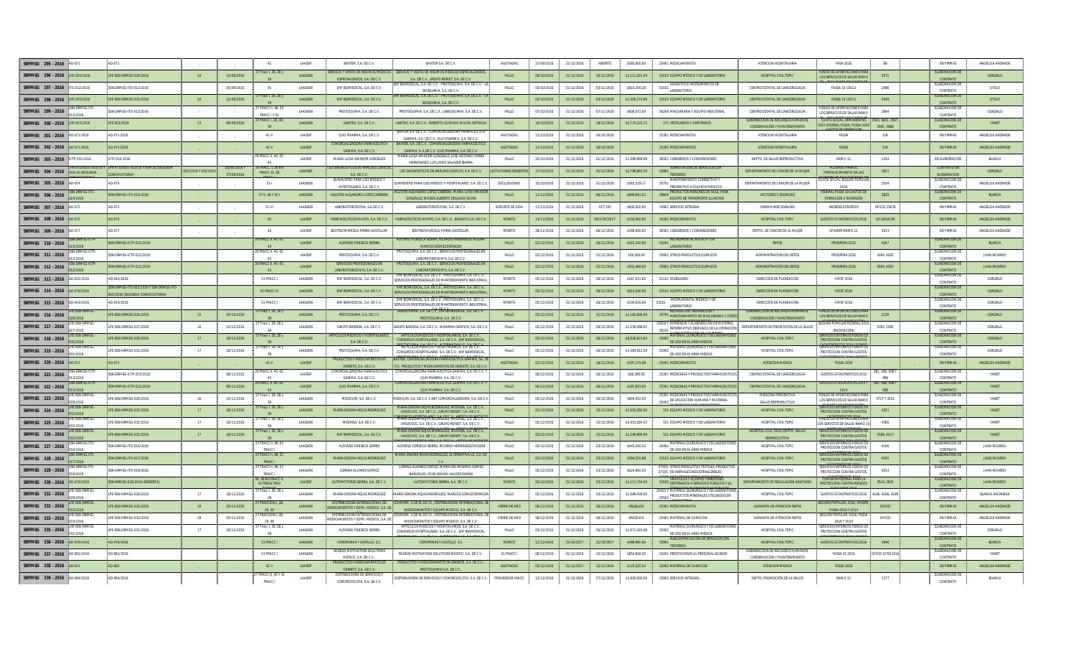| SRFMSG 295 - 2016                       |                                                                       |                   |              |                                        | LAASS          | BAXTER, S.A. DE C.V.                                                   | BAXTER S.A. DE C.V                                                                                                     | <b>AGOTADAS</b>            | 27/09/2016 | 31/12/2016 | ABIERTO     | \$585,600.00    | 25401 MEDICAMENTOS                                                                                                                | ATENCION HOSPITALARIA                                             | <b>FASA 201</b>                                                 |                           | EN FIRMA                                     | ANGELICA ANDRAD         |
|-----------------------------------------|-----------------------------------------------------------------------|-------------------|--------------|----------------------------------------|----------------|------------------------------------------------------------------------|------------------------------------------------------------------------------------------------------------------------|----------------------------|------------|------------|-------------|-----------------|-----------------------------------------------------------------------------------------------------------------------------------|-------------------------------------------------------------------|-----------------------------------------------------------------|---------------------------|----------------------------------------------|-------------------------|
| SRFMSG 296 - 2016 LPE-024/2016          | IPF-SSN-DRMSG-024/2016                                                | 14                | 12/09/2016   | Fracc I, 28, 38 y                      | <b>LAASAEN</b> | ESPECIALIZADOS, S.A. DE C.V.                                           | ERVICIO Y VENTA DE INSUMOS MÉDICOS E SERVICIO Y VENTA DE INSUMOS MÉDICOS ESPECIALIZADO<br>SA DECV GRUPO REINET SA DECV | <b>FALLO</b>               | 04/10/2016 | 31/12/2016 | 30/11/2016  | \$1 111 261 44  | 53102 FOUIPO MÉDICO Y DE LABORATORIO                                                                                              | HOSPITAL CIVIL TEPIC                                              | INDO DE APOPTACIONES<br>LOS SERVICIOS DE SALUD RAMO             | 3515                      | <b>FLARORACIÓN D</b><br>CONTRATO             | GONZALO                 |
| SRFMSG 297 - 2016<br>TO-012/2016        | SN-DRMSG-ITO-012/2016                                                 |                   | 05/09/2016   | 45                                     | LAASAEN        | EHF BIOMEDICAL, S.A. DE C.V.                                           | HE BIOMEDICAL, S.A. DE C.V. - PROTOQUIMA, S.A. DE C.V. - L<br><b>BIOOUMIA SA DECV</b>                                  | FALLO                      | 03/10/2016 | 31/12/2016 | 03/11/2016  | \$810,240.28    | APARATOS E INSTRUMENTOS DE<br>53101<br><b>I ARORATORIO</b>                                                                        | CENTRO ESTATAL DE CANCEROLOGIA                                    | FASSA 33 (2011)                                                 | 2486                      | FLARORACION D<br>CONTRATO                    | OTILIO                  |
| SREMSG 298 - 2016 LPE-025/2016          | LPE-SSN-DRMSG-025/2016                                                | 14                | 12/09/2016   | Fracc I. 28, 38                        | LAASAEN        | EHF BIOMEDICAL, S.A. DE C.V.                                           | HF BIOMEDICAL, S.A. DE C.V. - PROTOQUIMA, S.A. DE C.V. - L<br>BIOQUIMIA, S.A. DE C.V.                                  | FALLO                      | 03/10/2016 | 31/12/2016 | 03/12/2016  | \$1,406,274.96  | 53102 EQUIPO MEDICO Y DE LABORATORIO                                                                                              | CENTRO ESTATAL DE CANCEROLOGIA                                    | FASSA 33 (2011)                                                 | 3549                      | <b>ELABORACION DE</b><br>CONTRATO            | OTILIO                  |
| SRFMSG 299 - 2016                       | N-DRMSG-ITO-013/201                                                   |                   |              | <b>FRACC II. 48.50</b><br>FRACC I Y 52 | LAASAEN        | PROTOQUIMA, S.A. DE C.V.                                               | PROTOQUIMIA, S.A. DE C.V., LABIOQUIMIA, S.A. DE C.V.                                                                   | FALLO                      | 07/10/2016 | 31/12/2016 | 07/11/2016  | \$608,072.00    | 56206 MAQUINARIA Y EQUIPO INDUSTRIA                                                                                               | CENTRO ESTATAL DE CANCEROLOGIA                                    | NDO DE APORTACIONES PA<br>OS SERVICIOS DE SALUD RAM             | 2864                      | ELABORACIÓN D<br><b>CONTRAT</b>              | GONZALO                 |
| SRFMSG 300 - 2016 LPE-023/2016          | PE-023/2016                                                           | 13                | 09/09/2016   | FRACC I, 28, 38                        | LAASAEN        | LINKTEX, S.A. DE C.V.                                                  | LINKTEX, S.A. DE C.V., ROBERTO GUSTAVO MACIEL ARTEAGA                                                                  | FALLO                      | 19/10/2016 | 31/12/2016 | 18/12/2016  | \$5,774,222.71  | 271 VESTUARIOS Y UNIFORMES                                                                                                        | SUBDIRECCIÓN DE RECURSOS HUMANOS,<br>CONSERVACIÓN Y MANTENIMIENTO | <b>CUOTA SOCIAL, REMANENTES</b><br>015 FEDERAL FASSA, FASSA 201 | 64, 3601, 35<br>3565.3666 | LABORACIÓN E<br>CONTRATO                     | YANET                   |
| SRFMSG 301 - 2016<br>AD-071-2016        | D-071-2016                                                            |                   |              | $41-V$                                 | LAASSP         | QUO PHARMA, S.A. DE C.V.                                               | BAXTER S.A. DE C.V., COMERCIALIZADORA FARMACEUTIC<br>GAMMA S A DECV OUO PHARMA S A DECV                                | AGOTADAS                   | 11/10/2016 | 31/12/2016 | 30/10/2016  |                 | 25301 MEDICAMENTOS                                                                                                                | ATENCION HOSPITALARIA                                             | FASSA                                                           | S/N                       | <b>EN FIRMAS</b>                             | ANGELICA ANDRAD         |
| SRFMSG 302 - 2016<br>AD-071-2016        | D-071-2016                                                            |                   |              | $41-V$                                 | LAASSP         | MERCIALIZADORA I                                                       | BAXTER, S.A. DE C.V., COMERCIALIZADORA FARMACEUTIO                                                                     | <b>AGOTADAS</b>            | 11/10/2016 | 31/12/2016 | 30/10/2016  |                 | 25301 MEDICAMENTOS                                                                                                                | ATENCION HOSPITALARIA                                             | FASSA                                                           | S/N                       | <b>EN FIRMAS</b>                             | ANGELICA ANDRAD         |
| SREMSG 303 - 2016<br>ICTP-010-2016      | TP-010-2016                                                           |                   |              | FRACC II. 40.42                        | <b>LAASSP</b>  | GAMMA SA DECV<br>MARÍA LUISA AMADOR GONZÁLEZ                           | GAMMA S A DECV OHO PHARMA SA DECV<br>MARÍA LUISA AMADOR GONZÁLEZ, JOSÉ ANTONIO PARRA                                   | FALLO                      | 20/10/2016 | 31/12/2016 | 01/12/2016  | 99 999 994 12   | 38301 CONGRESOS Y CONVENCIONES                                                                                                    | DEPTO. DE SALUD REPRODUCTIVA                                      | RAMO <sub>12</sub>                                              | 1454                      | EN ELABORACIÓN                               | BLANCA                  |
| SRFMSG 304 - 2016                       | LPN 47100001-003/16 Y 004/16 (SEGUNDA                                 | 02/2016 Y 003/201 | 16/08/2016 \ | 16 FRACC. I. 26 BIS                    | LAAASSP        | ) DIAGNOSTICOS DE ANÁLISIS CLÍN                                        | HERNÁNDEZ. LUIS JAIME SALAZAR IBARRA<br>LSD DIAGNOSTICOS DE ANÁLISIS CLÍNICOS, S.A. DE C.V.                            | <b>ITACIONES DESIERTAS</b> | 27/10/2016 | 31/12/2016 | 31/12/2016  | \$2,799,683.20  | SUBROGACION DE SERVICIOS CON<br>33901                                                                                             | DEPARTAMENTO DE CÁNCER DE LA MUJER                                | <b>ACLIFRDO PARA</b>                                            | 1621                      | CONTRATO EN                                  | GONZALO                 |
| 004/16 (SEGUNDA                         | CONVOCATORIA)                                                         |                   | 27/09/2016   | <b>FRACC. III. 28</b>                  |                | S.A. DE C.V.<br>SUMINISTRO PARA USO MEDICO                             |                                                                                                                        |                            |            |            |             |                 | TERCEROS                                                                                                                          |                                                                   | <b>FORTALECIMIENTO DE LAS</b><br>SOCIAL SEGURO POPU             |                           | ELABORACION<br><b>LABORACION</b>             |                         |
| SRFMSG 305 - 2016                       |                                                                       |                   |              | $51 -$                                 | LAASAEN        | HOSPITALARIO S.A. DEC.V                                                | MINISTRO PARA USO MEDICO Y HOSPITALARIO, S.A. DE C.V<br>ISTÍN ALE IANDRO LÓPEZ CARRERA MARÍA LLUSA AMADO               | EXCLUSIVIDAD               | 31/10/2016 | 31/12/2016 | 31/12/2016  | \$363,529.17    | 35701 PREVENTIVO A EQUIPOS MEDICOS<br>PRODUCTOS MENORES DE HULE, PARA                                                             | DEPARTAMENTO DE CÁNCER DE LA MUJER                                | 201<br><b>EDERAL FASSA 33 GASTOS1</b>                           | 2504                      | CONTRATO<br><b>FLARORACIÓN DE</b>            | ANGELICA ANDRAD         |
| SRFMSG 306 - 2016                       | SN-DRMSG-ITO-014/2016                                                 |                   |              | 27 II, 48 Y 50 I                       | LAASAEN        | AGUSTÍN ALEJANDRO LÓPEZ CABRERA                                        | GONZÁLEZ, MOÍSES ALBERTO DELGADO SICAI                                                                                 | FALLO                      | 11/11/2016 | 31/12/2016 | 06/12/2016  | \$649,641.52    | 29609<br>EQUIPO DE TRANSPORTE (LLANTAS                                                                                            | <b>VECTORES Y ZOONOSIS</b>                                        | OPERACIÓN E INVERSIÓ                                            | 3829                      | CONTRATO                                     | <b>BLANCA</b>           |
| SRFMSG 307 - 2016<br><b>AD-072</b>      | D-072                                                                 |                   |              | 51-VI                                  | <b>LAASAFN</b> | LABORATORIOS PISA. S.A.DE C.V.                                         | LABORATORIOS PISA. S.A. DE C.V.                                                                                        | SOPORTE DE VIDA            | 17/10/2016 | 31/12/2016 | OCT-DIC     | \$600,000.00    | 33901 SERVICIO INTEGRAL                                                                                                           | UNEME HEMODIALISIS                                                | <b>INGRESOS PROPIOS</b>                                         | OFICIO 23678              | <b>FN FIRMAS</b>                             | ANGELICA ANDRADE        |
| SRFMSG 308 - 2016 AD-075                | <b>D.075</b>                                                          |                   |              | 42                                     | LAASSP         | FARMACEUTICOS MAYPO, S.A. DE C.V.                                      | FARMACEUTICOS MAYPO, S.A. DE C.V., BAXALTA.S.A. DE C.V.                                                                | <b>MONTO</b>               | 14/11/2016 | 31/12/2016 | NOV-DIC2017 | \$150,000.00    | 25301 MEDICAMENTOS                                                                                                                | HOSPITAL CIVIL TEPIC                                              | <b>GASTOS CATASTROFICOS 2016</b>                                | OF ADVA/06                | <b>EN FIRMAS</b>                             | ANGELICA ANDRADE        |
| SRFMSG 309 - 2016                       |                                                                       |                   |              | 42                                     | LAASSP         | BEATRIZ MARCELA PARRA GASTELUM                                         | BEATRIZ MARCELA PARRA GASTELUM                                                                                         | MONTO                      | 28/11/2016 | 31/12/2016 | 06/12/2016  | \$348,000.00    | 38301 CONGRESOS Y CONVENCIONE:                                                                                                    | DEPTO. DE CANCER DE LA MUJER                                      | AFASSPE RAMO 12                                                 | 3014                      | <b>EN FIRMAS</b>                             | ANGELICA ANDRADE        |
| SRFMSG 310 - 2016                       | SN-DRMSG-ICTP-015/2016                                                |                   |              | <b>FRACC II. 40. 42</b>                | LAASSI         | ALFONSO FONSECA SIERRA                                                 | ALFONSO FONSECA SIERRA. RICARDO HERNÁNDEZ HUIZAR<br>MARCOS GÓMEZ ESPINOZA                                              | FALLO                      | 02/12/2016 | 31/12/2016 | 20/12/2016  | \$422,240.00    | <b>INSTRUMENTAL MÉDICO Y DE</b><br>53201<br>LABORATORIO                                                                           | <b>REPSS</b>                                                      | PROSPERA 2010                                                   | 4267                      | <b>LABORACIÓN D</b><br><b>CONTRAT</b>        | BLANCA                  |
| SRFMSG 311 - 2016                       | M-DRMSG-ICTP-012/2016                                                 |                   |              | FRACC II, 40, 42                       | <b>LAASSP</b>  | PROTOQUIMA, S.A. DE C.V.                                               | PROTOQUIMA, S.A. DE C.V., SERVICIOS PROFESIONALES EI<br>LABORATORIOS NYS. S.A. DE C.V.                                 | FALLO                      | 02/12/2016 | 31/12/2016 | 22/12/2016  | \$56,260.00     | 25901 OTROS PRODUCTOS QUÍMICOS                                                                                                    | ADMINISTRACIÓN DEL REPSS                                          | PROSPERA 2016                                                   | 4284.4263                 | ELABORACIÓN E<br>CONTRATO                    | <b>ILIAN RICARDO</b>    |
| SRFMSG 312 - 2016                       | SN-DRMSG-ICTP-012/2016                                                |                   |              | 5 FRACC II 40 43                       | <b>LAASSP</b>  | SERVICIOS PROFESIONALES EL<br>LABORATORIOS NYS, S.A. DE C.V            | PROTOQUIMA, S.A. DE C.V., SERVICIOS PROFESIONALES<br>LABORATORIOS NYS. S.A. DE C.V.                                    | EALLO                      | 02/12/2016 | 31/12/2016 | 22/12/201   | \$501,468.00    | 25901 OTROS PRODUCTOS QUÍMICOS                                                                                                    | <b>ADMINISTRACIÓN DEL REPSS</b>                                   | PROSPERA 2016                                                   | 4284.4263                 | FLARORACIÓN D<br>CONTRATO                    | <b>ILIAN RICARDO</b>    |
| SRFMSG 313 - 2016<br>AD-042/2016        | D-042/2016                                                            |                   |              | 51 FRACC I                             | LAASAEN        | EHF BIOMEDICAL, S.A. DE C.V.                                           | EHF BIOMEDICAL S.A. DE C.V., PROTOQUIMA, S.A. DE C.V.<br>SERVICIOS PROFESIONALES DE MANTENIMIENTO INDUSTRIAI           | <b>MONTO</b>               | 05/12/2016 | 31/12/2016 | 26/12/2016  | \$167,631.60    | 51101 MOBILIARIO                                                                                                                  | DIRECCIÓN DE PLANEACIÓN                                           | <b>FAFEF 2016</b>                                               |                           | ELABORACIÓN DE<br>CONTRATO                   | GONZALO                 |
| SREMSG 314 - 2016 AD-078/2016           | I-DRMSG-ITO 002/2016 Y SSN-DRMSG-ITC<br>3/2016 (SEGUNDA CONVOCATORIA) |                   |              | 51 FRACC IV                            | LAASAEN        | EHF BIOMEDICAL, S.A. DE C.V.                                           | EHF BIOMEDICAL, S.A. DE C.V., PROTOQUIMA, S.A. DE C.V.<br>SERVICIOS PROFESIONALES DE MANTENIMIENTO INDUSTRIA           | <b>MONTO</b>               | 05/12/2016 | 31/12/2016 | 26/12/2016  | \$814,546.00    | 53101 EQUIPO MÉDICO Y DE LABORATORIO                                                                                              | DIRECCIÓN DE PLANEACIÓN                                           | <b>FAFEF 2016</b>                                               |                           | ELABORACIÓN D<br>CONTRATO                    | GONZALO                 |
| SRFMSG 315 - 2016<br>AD-043/2016        | 0.043/2016                                                            |                   |              | 51 FRACC I                             | LAASAEN        | EHF BIOMEDICAL, S.A. DE C.V.                                           | EHF BIOMEDICAL, S.A. DE C.V., PROTOQUIMA, S.A. DE C.V.,<br>SERVICIOS PROFESIONALES DE MANTENIMIENTO INDUSTRIAI         | MONTO                      | 05/12/2016 | 31/12/2016 | 26/12/2016  | \$334,016.00    | INSTRUMENTAL MEDICO Y DE<br>53201<br><b>LABORATORIO</b>                                                                           | DIRECCIÓN DE PLANEACIÓN                                           | <b>FAFEF 2016</b>                                               |                           | ELABORACIÓN DE<br>CONTRATO                   | GONZALO                 |
| SRFMSG 316 - 2016                       | LPE-SSN-DRMSG-026/2016                                                | 15                | 24/10/2016   | Fracc I, 28, 38 y                      | LAASAEN        | PROTOQUIMA, S.A. DE C.V.                                               | LABIOQUIMIA, S.A. DE C.V., EHF BIOMEDICAL, S.A. DE C.V.,<br>PROTOQUIMIA, S.A. DE C.\                                   | FALLO                      | 05/12/2016 | 31/12/2016 | 31/12/2016  | \$1,182,646.59  | <b>INSTALACIÓN, REPARACIÓN Y</b><br>35701 MANTENIMIENTO DE MAQUINARIA Y OTROS                                                     | SUBDIRECCIÓN DE RECURSOS HUMANOS,<br>CONSERVACIÓN Y MANTENIMIENTO | <b>ONDO DE APORTACIONES PA</b><br>LOS SERVICIOS DE SALLID RAMO  | 2239                      | ELABORACIÓN DE<br>CONTRATO                   | GONZALO                 |
| SRFMSG 317 - 2016<br>7/2016             | PE-SSN-DRMSG-027/2016                                                 | 16                | 10/11/2016   | Fracc I, 28, 38 y                      | <b>LAASAFN</b> | GRUPO BANSISA, S.A. DE C.V.                                            | GRUPO BANSISA, S.A. DE C.V., WIXARIKA GRÁFICA, S.A. DE C.V                                                             | <b>FALLO</b>               | 05/12/2016 | 31/12/2016 | 26/12/2016  | \$1,239,488.42  | 3604 Y IMPRESIÓN Y ELABORACIÓN DE MATERIAL<br>36101 INFORMATIVO DERIVADO DE LA OPERACIÓN                                          | DEPARTAMENTO DE PROMOCIÓN DE LA SALUI                             | (RADICACIÓN)                                                    | 2393.2392                 | FLARORACIÓN D<br>CONTRATO                    | GONZALO                 |
| PL.CCN.INDMO<br>SREMSG 318 - 2016       | LPE-SSN-DRMSG-030/2016                                                | 17                | 18/11/2016   | Fracc I, 28, 38 y                      | LAASAEN        | ARTÍCULOS MÉDICOS Y HOSPITALARIOS<br>S.A. DE C.V.                      | ARTÍCULOS MÉDICOS Y HOSPITALARIOS S A DE C V<br>CONSORCIO HOSPITALARIO, S.A. DE C.V., EHF BIOMEDICAL                   | FALLO                      | 05/12/2016 | 31/12/2016 | 26/12/2016  | \$8,036,623.84  | MATERIAL OLIBURGICO Y DE LABORATOR<br>25402<br>DE USO EN EL AREA MEDICA                                                           | HOSPITAL CIVIL TEPIC                                              | <b>RVICIOS INTERNOS FONDO D</b><br>PROTECCIÓN CONTRA GASTO      |                           | FLARORACIÓN DE<br>CONTRATO                   | GONZALO                 |
| SRFMSG 319 - 2016                       | PE-SSN-DRMSG-031/2016                                                 | 17                | 18/11/2016   | Fracc I, 28, 38 \                      | <b>LAASAFN</b> | PROTOQUIMA, S.A. DE C.V.                                               | ARTÍCULOS MÉDICOS Y HOSPITALARIOS, S.A. DE C.V.,<br>CONSORCIO HOSPITALARIO, S.A. DE C.V., EHF BIOMEDICAL,              | <b>FALLO</b>               | 05/12/2016 | 31/12/2016 | 26/12/2016  | \$1,384,012.59  | MATERIAL QUIRURGICO Y DE LABORATORI<br>25402<br>DE USO EN EL AREA MEDICA                                                          | HOSPITAL CIVIL TEPIC                                              | <b>ERVICIOS INTERNOS FONDO D</b><br>PROTECCIÓN CONTRA GASTOS    |                           | ELABORACIÓN DE<br>CONTRATO                   | GONZALO                 |
| SRFMSG 320 - 2016                       | .071                                                                  |                   |              | $41-V$                                 | LAASSP         | <b>ODUCTOS Y MEDICAMENTOS D</b>                                        | AXTER, COMERCIALIZADORA FARMACEUTICA GAMMA, SA. D                                                                      | <b>AGOTADAS</b>            | 02/12/2016 | 31/12/2016 | 16/12/2016  | \$197,179.08    | 25401 MEDICAMENTOS                                                                                                                | ATENCION MEDICA                                                   | <b>FASSA 2016</b>                                               |                           | <b>EN FIRMAS</b>                             | ANGELICA ANDRAD         |
| SRFMSG 321 - 2016                       | SN-DRMSG-ICTP-013/2016                                                |                   | 08/11/2016   | RACC II, 40, 42                        | LAASSP         | ORIENTE, S.A. DE C.V.<br>COMERCIALIZADORA FARMACEUTICA                 | CV.; PRODUCTOS Y MEDICAMENTOS DE ORIENTE, S.A. DE C.V.<br>COMERCIALIZADORA FARMACEUTICA GAMMA, S.A. DE C.V. Y          | FALLO                      | 06/12/2016 | 31/12/2016 | 26/12/201   | \$66,290.00     | 25301 MEDICINAS Y PRODUCTOS FARMACEUTICO:                                                                                         | CENTRO ESTATAL DE CANCEROLOGIA                                    | GASTOS CATASTROFICOS 201                                        | 1,086,01                  | ELABORACIÓN I                                | YANET                   |
| SRFMSG 322 - 2016                       | M-DRMSG-ICTP-013/201/                                                 |                   | 08/11/2016   | FRACC II, 40, 42,                      | <b>LAASSP</b>  | GAMMA, S.A. DE C.V<br>QUO PHARMA, S.A. DE C.V.                         | QUO PHARMA, S.A. DE C.V<br>COMERCIALIZADORA FARMACEUTICA GAMMA, S.A. DE C.V. Y                                         | FALLO                      | 06/12/2016 | 31/12/2016 | 26/12/2016  | \$187,823.00    | 25301 MEDICINAS Y PRODUCTOS FARMACEUTIC                                                                                           | CENTRO ESTATAL DE CANCEROLOGIA                                    | <b>FOS CATASTROFICOS 201</b>                                    | 081.086.0881              | CONTRATO<br>ELABORACIÓN DE                   | YANET                   |
| PF-SSN-DRMSG-<br>SREMSG 323 - 2016      | PE-SSN-DRMSG-028/2016                                                 | 16                | 10/11/2016   | 7 Fracc I, 28, 38 y                    | <b>LAASAFN</b> | MEDICURI, S.A. DE C.V.                                                 | QUO PHARMA, S.A. DE C.V<br>MEDICURI, S.A. DE C.V. Y ABT COMERCIALIZADORA, S.A. DE C.V.                                 | <b>FALLO</b>               | 05/12/2016 | 31/12/2016 | 30/12/2016  | \$904,452.00    | 25301 MEDICINAS Y PRODUCTOS FARMACEUTIC                                                                                           | MEDICINA PREVENTIVA                                               | FONDO DE APORTACIONES PARA                                      | 3727 Y 3531               | CONTRATO<br>FLARORACIÓN DE                   | YANFT                   |
| SRFMSG 324 - 2016                       | PE-SSN-DRMSG-032/2016                                                 | 17                | 18/11/2016   | Fracc I, 28, 38 y                      | LAASAEN        | MARÍA DINORA ROJAS RODRÍGUEZ                                           | MARÍA DINORA ROJAS RODRÍGUEZ MEDIXSA, S.A. DEC. V                                                                      | FALLO                      | 05/12/2016 | 31/12/2016 | 15/12/2016  | \$1,053,280.00  | 25402 DE APLICACIÓN HUMANA Y MATERIAL<br>531 EQUIPO MÉDICO Y DE LABORATORIO                                                       | SALUD REPRODUCTIVA<br>HOSPITAL CIVIL TEPIC                        | LOS SERVICIOS DE SALUD RAMO<br><b>RVICIOS INTERNOS FONDO D</b>  | 4321                      | CONTRATO<br>ELABORACIÓN DI                   | YANET                   |
| E-SSN-DRMSG<br>SRFMSG 325 - 2016        | E-SSN-DRMSG-032/2016                                                  |                   | 18/11/2016   | Fracc I, 28, 38 y                      | LAASAEN        | MEDIXSA, S.A. DE C.V.                                                  | VIASIS OCC, S.A. DE C.V., GRUPO REINET, S.A. DE C.V.,<br>ARÍA DINORA ROJAS RODRÍGUEZ, MEDIXSA, S.A. DE C.V.            | FALLO                      | 05/12/2016 | 31/12/2016 | 15/12/2016  | \$3.453.084.52  | 531 EQUIPO MÉDICO Y DE LABORATORIO                                                                                                | HOSPITAL CIVIL TEPIC                                              | PROTECCIÓN CONTRA GASTOS<br>ONDO DE APORTACIONES PAI            | 4365                      | CONTRATO<br>ELABORACIÓN DE                   | YANE1                   |
|                                         |                                                                       |                   |              | Fracc I, 28, 38 y                      |                |                                                                        | VIASIS OCC, S.A. DE C.V., GRUPO REINET, S.A. DE C.V.<br>ARIA DINORA ROJAS RODRIGUEZ, MEDIXSA, S.A. DE C                |                            |            |            |             |                 |                                                                                                                                   | <b>HOSPITAL CIVIL TEPIC/DEPTO, SALU</b>                           | OS SERVCIOS DE SALUD RAMO<br>RVÍCIÓS INTERNOS FÓNDO             |                           | CONTRATO<br><b>ELABORACIÓN D</b>             |                         |
| SRFMSG 326 - 2016                       | LPE-SSN-DRMSG-032/2016                                                | 17                | 18/11/2016   | RACC II, 48, 5                         | LAASAEN        | EHF BIOMEDICAL, S.A. DE C.V                                            | VIASIS OCC, S.A. DE C.V., GRUPO REINET, S.A. DE C.V                                                                    | FALLO                      | 05/12/2016 | 31/12/2016 | 15/12/2016  | \$2,249,999.99  | 531 EQUIPO MÉDICO Y DE LABORATORIO<br>MATERIAL QUIRURGICO Y DE LABORATOR                                                          | REPRODUCTIVA                                                      | PROTECCIÓN CONTRA GASTOS<br><b>ERVICIOS INTERNOS FONDO</b>      | 4188, 4217                | CONTRAT<br>FLARORACIÓN D                     | YANET                   |
| SRFMSG 327 - 2016                       | SN-DRMSG-ITO-016/2016                                                 |                   |              | <b>FRACC</b><br>7 FRACC II 48 5        | <b>LAASAEM</b> | ALFONSO FONSECA SIERRA                                                 | ALFONSO FONSECA SIERRA, RICARDO HERNÁNDEZ HUIZAI<br>MARÍA DINORA ROJAS RODRÍGUEZ, ALTERNATIVA LG, S.A. D.              | FALLO                      | 05/12/2016 | 31/12/2016 | 23/12/2016  | \$643,040.20    | 25402<br>DE USO EN EL ÁREA MÉDICA                                                                                                 | HOSPITAL CIVIL TEPIC                                              | PROTECCIÓN CONTRA GASTOS<br><b>CONDO SONTER SOLUCE</b>          | 4190                      | CONTRATO<br>FLARORACIÓN DE                   | <b>ILLAN PICARDO</b>    |
| SREMSG 328 - 2016                       | SN-DRMSG-ITO-017/2016                                                 |                   |              | <b>ERACCI</b>                          | <b>LAASAEN</b> | MARÍA DINORA ROJAS RODRÍGUEZ                                           | LORENA ÁLVAREZ GÓMEZ. MARÍA DEL ROSARIO GÓMEZ                                                                          | EALLO                      | 05/12/2016 | 31/12/2016 | 23/12/2016  | \$594,555.68    | 53102 FOUIPO MÉDICO Y DE LABORATORIO<br>27503. OTROS PRODUCTOS TEXTILES. PRODUCTO                                                 | HOSPITAL CIVIL TEPIC                                              | PROTECCIÓN CONTRA GASTOS<br>SERVICIOS INTERNOS FONDO D          | 4355                      | CONTRATO                                     | <b>ILIAN RICARDO</b>    |
| <b>J-DRMSG-ITO</b><br>SRFMSG 329 - 2016 | SN-DRMSG-ITO-018/2016                                                 |                   |              | 7 FRACC II. 48, 51<br>FRACC.           | LAASAEN        | LORENA ÁLVAREZ GÓMEZ                                                   | BAÑUELOS. OCIEL RAFAEL VALDEZ DURAN                                                                                    | FALLO                      | 05/12/2016 | 31/12/2016 | 23/12/2016  | \$624,892.00    | 27105. DE ANIMALES INDUSTRIALIZABLES                                                                                              | HOSPITAL CIVIL TEPIC                                              | PROTECCIÓN CONTRA GASTOS                                        | 4253                      | ELABORACIÓN D<br>CONTRATO                    | <b>JUAN RICARDO</b>     |
| SRFMSG 330 - 2016 AD-079/2016           | SSN-DRMSG-016/2016 (DESIERTA)                                         |                   |              | 6, 36 BIS FRACC II<br>42 PENÚLTIMO     | LAASSP         | AUTOMOTORES SIERRA, S.A. DE C.V.                                       | AUTOMOTORES SIERRA, S.A. DE C.V.                                                                                       | <b>MONTO</b>               | 05/12/2016 | 31/12/2016 | 23/12/2016  | \$1,111,744.00  | <b>VEHÍCULOS Y EQUIPOS TERRESTRES</b><br>54103 DESTINADOS A SERVICIOS PÚBLICOS Y LA<br>25501 Y MATERIAL QUIRURGICO Y DE LABORATOR | DEPARTAMENTO DE REGULACIÓN SANITARIA                              | COMISIÓN FEDERAL PARA L<br>PROTECCIÓN CONTRA RIESGOS            | 3516, 2630                | ELABORACIÓN DE<br>CONTRATO<br>ELABORACION DE | <b>JUAN RICARDO</b>     |
| SRFMSG 331 - 2016<br>10/2014            | LPE-SSN-DRMSG-029/2016                                                | 17                | 18/11/2016   | 7 Fracc I, 28, 38 y                    | LAASAEN        | MARÍA DINORA ROJAS RODRÍGUEZ                                           | MARÍA DINORA ROJAS RODRÍGUEZ, MARCOS GÓMEZ ESPINOZ                                                                     | FALLO                      | 05/12/2016 | 31/12/2016 | 20/12/2016  | \$2,589,439.00  | 25502 PRODUCTOS MINERALES UTILIZADOS EN                                                                                           | HOSPITAL CIVIL TEPIC                                              | GASTOS CATASTROFICOS 201                                        | 85, 4206, 418             | CONTRATO                                     | <b>BLANCA ARCINIEGA</b> |
| SRFMSG 332 - 2016                       | PF-SSN-DRMSG-033/2016                                                 | 18                | 25/11/2016   | RACCION I, 28                          | <b>LAASAEN</b> | DISTRIBUIDORA INTERNACIONAL DE<br>MEDICAMENTOS Y EQPO. MEDICO, S.A. DE | FARM, S DE RL DE CV., DISTRIBUIDORA INTERNACIO<br>MEDICAMENTOS Y EQUIPO MEDICO, S.A. DE C.V.                           | CIERRE DE AÑO              | 08/12/2016 | 31/12/201  | 26/12/201   | <b>ANGELICA</b> | 25301 MEDICAMENTOS                                                                                                                | <b>GARANTIA DE ATENCION REPSS</b>                                 | URO POPULAR, 2016, AF<br>FASSA 2016 Y 2014                      | OFICIO                    | EN FIRMAS                                    | ANGELICA ANDRAD         |
| CSN.DDMSC<br>SREMSG 333 - 2016          | PE-SSN-DRMSG-033/2016                                                 | 18                | 25/11/2016   | <b>FRACCION I.28</b>                   | <b>LAASAEN</b> | DISTRIBUIDORA INTERNACIONAL DE<br>MEDICAMENTOS Y EQPO. MEDICO. S.A. DI | EDIFARM. S DE RL DE CV DISTRIBUIDORA INTERNACIONAL I<br>MEDICAMENTOS Y FOLIIPO MEDICO, S.A. DE C.V.                    | CIERRE DE AÑO              | 08/12/2016 | 31/12/2016 | 26/12/2016  | <b>ANGELICA</b> | 25401 MATERIAL DE CLIRACIÓN                                                                                                       | <b>GARANTIA DE ATENCIÓN REPSS</b>                                 | <b>GURO POPULAR, 2016, FASS</b><br>2016 Y 2014                  | OFICIO                    | <b>FN FIRMAS</b>                             | ANGELICA ANDRADE        |
| SREMSG 335 - 2016                       | PE-SSN-DRMSG-031/2016                                                 | 17                | 18/11/2016   | Fracc I. 28, 38 \                      | LAASAEN        | ALFONSO FONSECA SIERRA                                                 | ARTÍCULOS MÉDICOS Y HOSPITALARIOS. S.A. DE C.V.<br>CONSORCIO HOSPITALARIO. S.A. DE C.V., EHF BIOMEDICAL                | FALLO                      | 05/12/2016 | 31/12/2016 | 26/12/2016  | \$1,071,420.08  | MATERIAL QUIRURGICO Y DE LABORATORI<br>25402<br>DE USO EN EL AREA MEDICA                                                          | HOSPITAL CIVIL TEPIC                                              | ERVICIOS INTERNOS FONDO<br>PROTECCIÓN CONTRA GASTOS             |                           | FLARORACIÓN D<br>CONTRATO                    | GONZALO                 |
| SRFMSG 336 - 2016 AD-076/2016           | AD-076/2016                                                           |                   |              | 51 FRACC I                             | LAASAEN        | COROMINAS Y CASTILLO, S.C.                                             | COROMINAS Y CASTILLO, S.C.                                                                                             | <b>MONTO</b>               | 12/12/2016 | 31/10/2017 | 31/10/2017  | \$499,960.00    | SUBCONTRATACIÓN DE SERVICIOS CON<br>33901<br><b>TERCEROS</b>                                                                      | HOSPITAL CIVIL TEPIC                                              | <b>GASTOS CATASTROFICOS 2016</b>                                | 2946                      | ELABORACION DE<br>CONTRATO                   | BLANCA                  |
| SRFMSG 337 - 2016<br>AD-081/201         | D-081/201                                                             |                   |              | 51 FRACC                               | LAASAEN        | SODEXO MOTIVATION SOLUTION<br>MÉXICO S.A. DE C.                        | SODEXO MOTIVATION SOLUTIONS MÉXICO. S.A. DE C.1                                                                        | 51 FRACC I                 | 08/12/2016 | 31/12/201  | 12/12/2016  | \$854,658.30    | 15401 PRESTACIONES AL PERSONAL DE BASE                                                                                            | SUBDIRECCIÓN DE RECURSOS HUMANOS<br>CONSERVACIÓN Y MANTENIMIENTO  | FASSA 33 2016                                                   | FICIO 1078/201            | ELABORACION DE<br>CONTRATO                   | YANE1                   |
| SRFMSG 338 - 2016                       | $D-082$                                                               |                   |              | $41-V$                                 | LAASSP         | <b>RODUCTOS Y MEDICAMENTO</b><br>ORIENTE, S.A. DE C.V.                 | PRODUCTOS Y MEDICAMENTOS DE ORIENTE. S.A. DE C.V.<br>PROTOQUIMIA S.A. DE C.V.                                          | <b>AGOTADAS</b>            | 05/12/2016 | 31/12/201  | 12/12/201   | \$125,520.54    | 25402 MATERIAL DE CURACION                                                                                                        | ATENCION MEDICA                                                   | <b>FASSA 2016</b>                                               |                           | <b>EN FIRMAS</b>                             | ANGELICA ANDRAD         |
| SRFMSG 339 - 2016 AD-084/2016           | 0-084/2016                                                            |                   |              | FRACC III, 40 Y<br>FRACC.I             | LAASSP         | DISTRIBUIDORA DE SERVICIOS Y<br>COMERCIOS OTA, S.A. DE C.V.            | DISTRIBUIDORA DE SERVICIOS Y COMERCIOS OTA, S.A. DE C.V.                                                               | PROVEEDOR ÚNICO            | 12/12/2016 | 31/12/2016 | 27/12/2016  | \$1,400,000.00  | 33903 SERVICIO INTEGRAL                                                                                                           | DEPTO PROMOCIÓN DE LA SALLID                                      | RAMO <sub>12</sub>                                              | 1277                      | <b>LABORACIÓN D</b><br>CONTRATO              | <b>BLANCA</b>           |